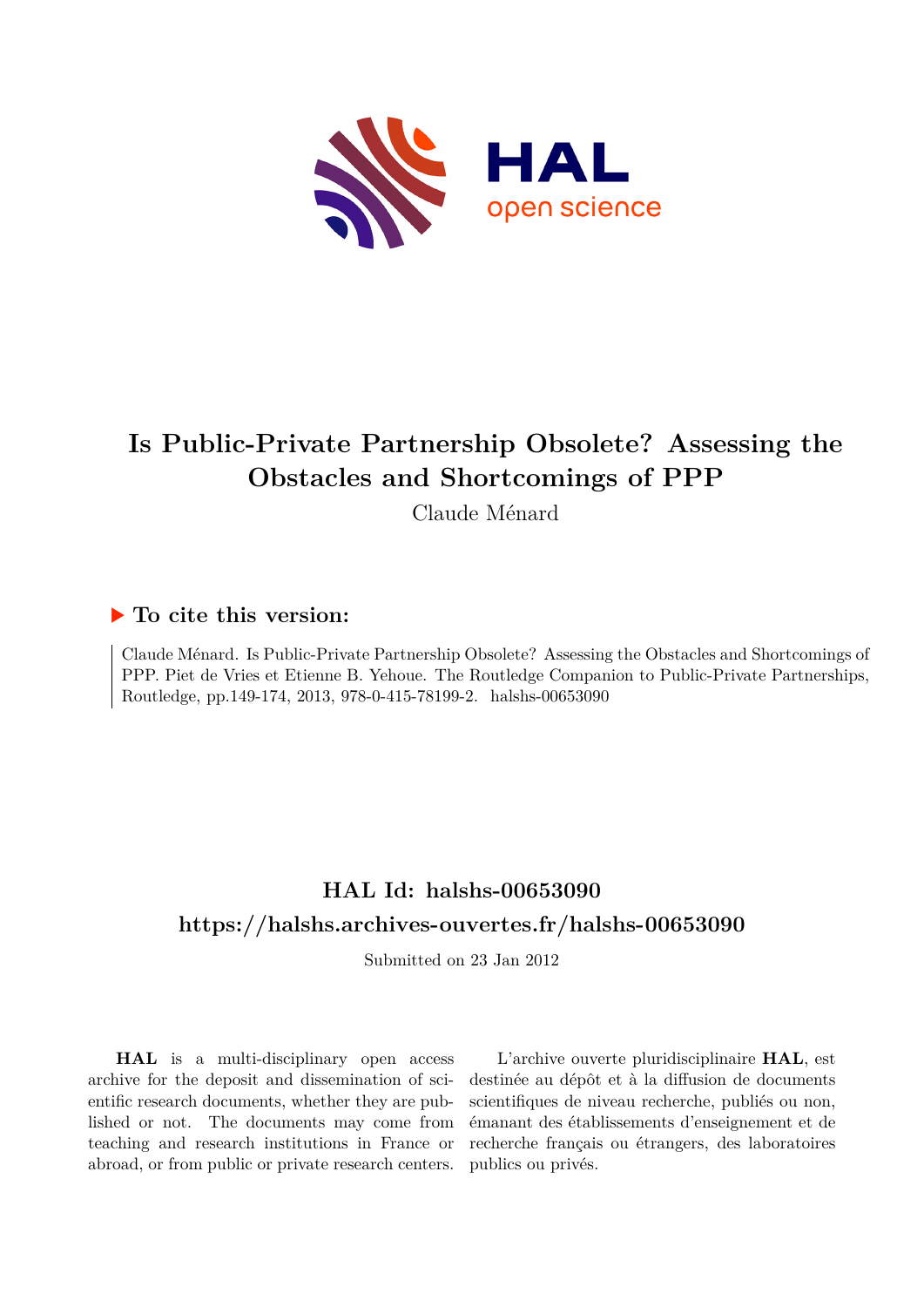

# **Is Public-Private Partnership Obsolete? Assessing the Obstacles and Shortcomings of PPP**

Claude Ménard

## **To cite this version:**

Claude Ménard. Is Public-Private Partnership Obsolete? Assessing the Obstacles and Shortcomings of PPP. Piet de Vries et Etienne B. Yehoue. The Routledge Companion to Public-Private Partnerships, Routledge, pp.149-174, 2013, 978-0-415-78199-2. halshs-00653090

# **HAL Id: halshs-00653090 <https://halshs.archives-ouvertes.fr/halshs-00653090>**

Submitted on 23 Jan 2012

**HAL** is a multi-disciplinary open access archive for the deposit and dissemination of scientific research documents, whether they are published or not. The documents may come from teaching and research institutions in France or abroad, or from public or private research centers.

L'archive ouverte pluridisciplinaire **HAL**, est destinée au dépôt et à la diffusion de documents scientifiques de niveau recherche, publiés ou non, émanant des établissements d'enseignement et de recherche français ou étrangers, des laboratoires publics ou privés.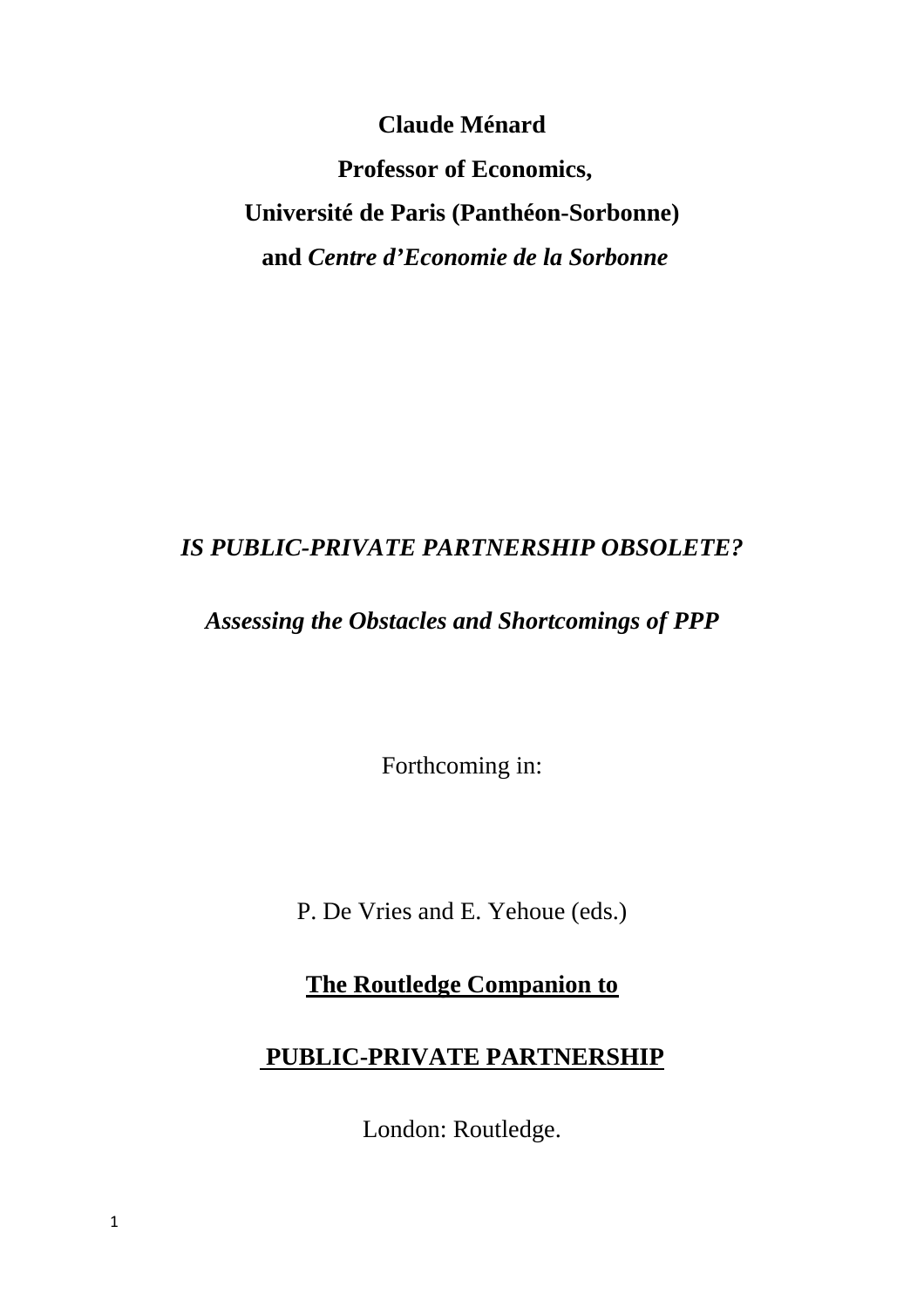**Claude Ménard** 

 **Professor of Economics, Université de Paris (Panthéon-Sorbonne) and** *Centre d'Economie de la Sorbonne*

## *IS PUBLIC-PRIVATE PARTNERSHIP OBSOLETE?*

## *Assessing the Obstacles and Shortcomings of PPP*

Forthcoming in:

P. De Vries and E. Yehoue (eds.)

**The Routledge Companion to**

## **PUBLIC-PRIVATE PARTNERSHIP**

London: Routledge.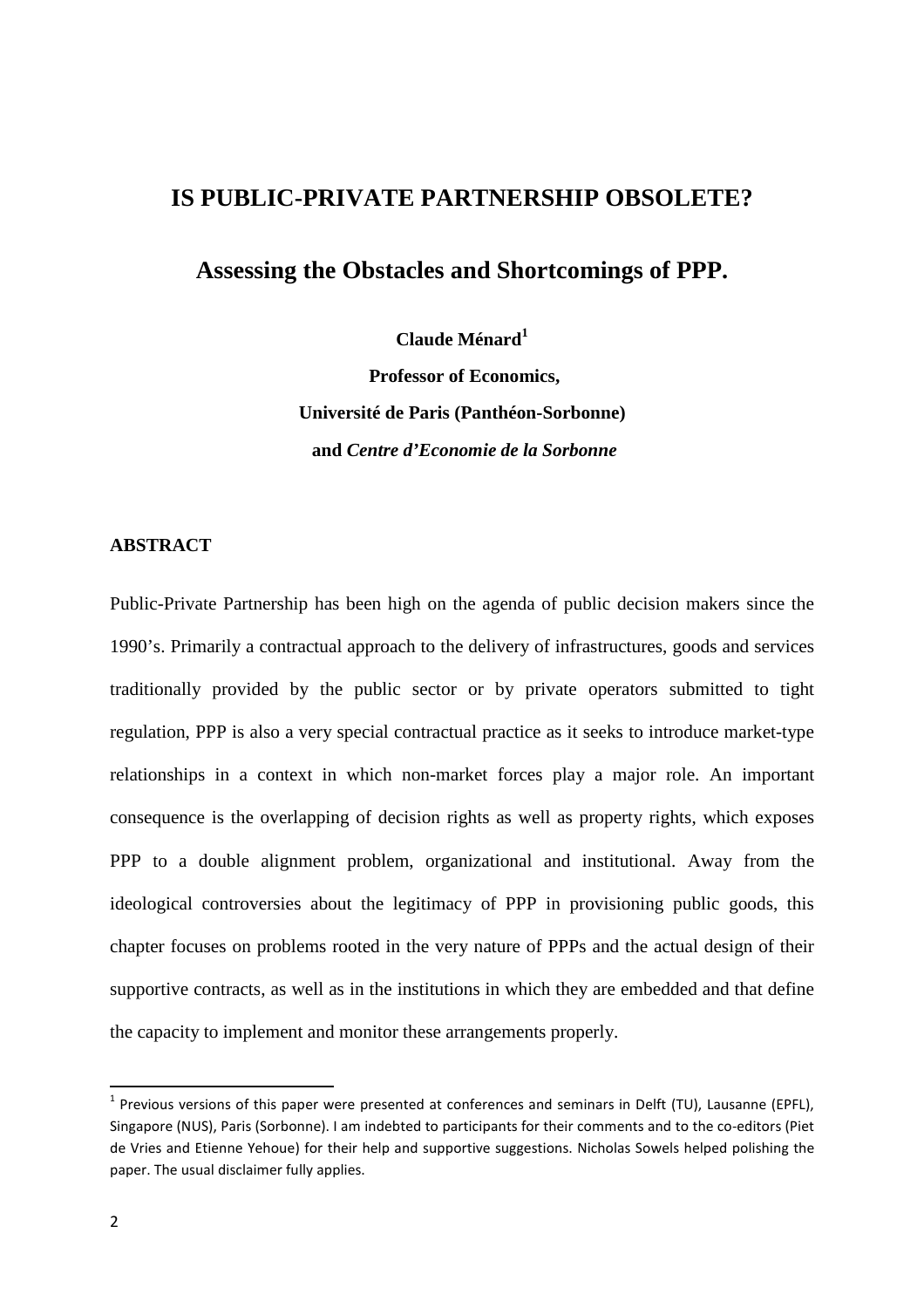## **IS PUBLIC-PRIVATE PARTNERSHIP OBSOLETE?**

## **Assessing the Obstacles and Shortcomings of PPP.**

**Claude Ménard<sup>1</sup>**

 **Professor of Economics, Université de Paris (Panthéon-Sorbonne) and** *Centre d'Economie de la Sorbonne*

#### **ABSTRACT**

Public-Private Partnership has been high on the agenda of public decision makers since the 1990's. Primarily a contractual approach to the delivery of infrastructures, goods and services traditionally provided by the public sector or by private operators submitted to tight regulation, PPP is also a very special contractual practice as it seeks to introduce market-type relationships in a context in which non-market forces play a major role. An important consequence is the overlapping of decision rights as well as property rights, which exposes PPP to a double alignment problem, organizational and institutional. Away from the ideological controversies about the legitimacy of PPP in provisioning public goods, this chapter focuses on problems rooted in the very nature of PPPs and the actual design of their supportive contracts, as well as in the institutions in which they are embedded and that define the capacity to implement and monitor these arrangements properly.

<sup>&</sup>lt;sup>1</sup> Previous versions of this paper were presented at conferences and seminars in Delft (TU), Lausanne (EPFL), Singapore (NUS), Paris (Sorbonne). I am indebted to participants for their comments and to the co-editors (Piet de Vries and Etienne Yehoue) for their help and supportive suggestions. Nicholas Sowels helped polishing the paper. The usual disclaimer fully applies.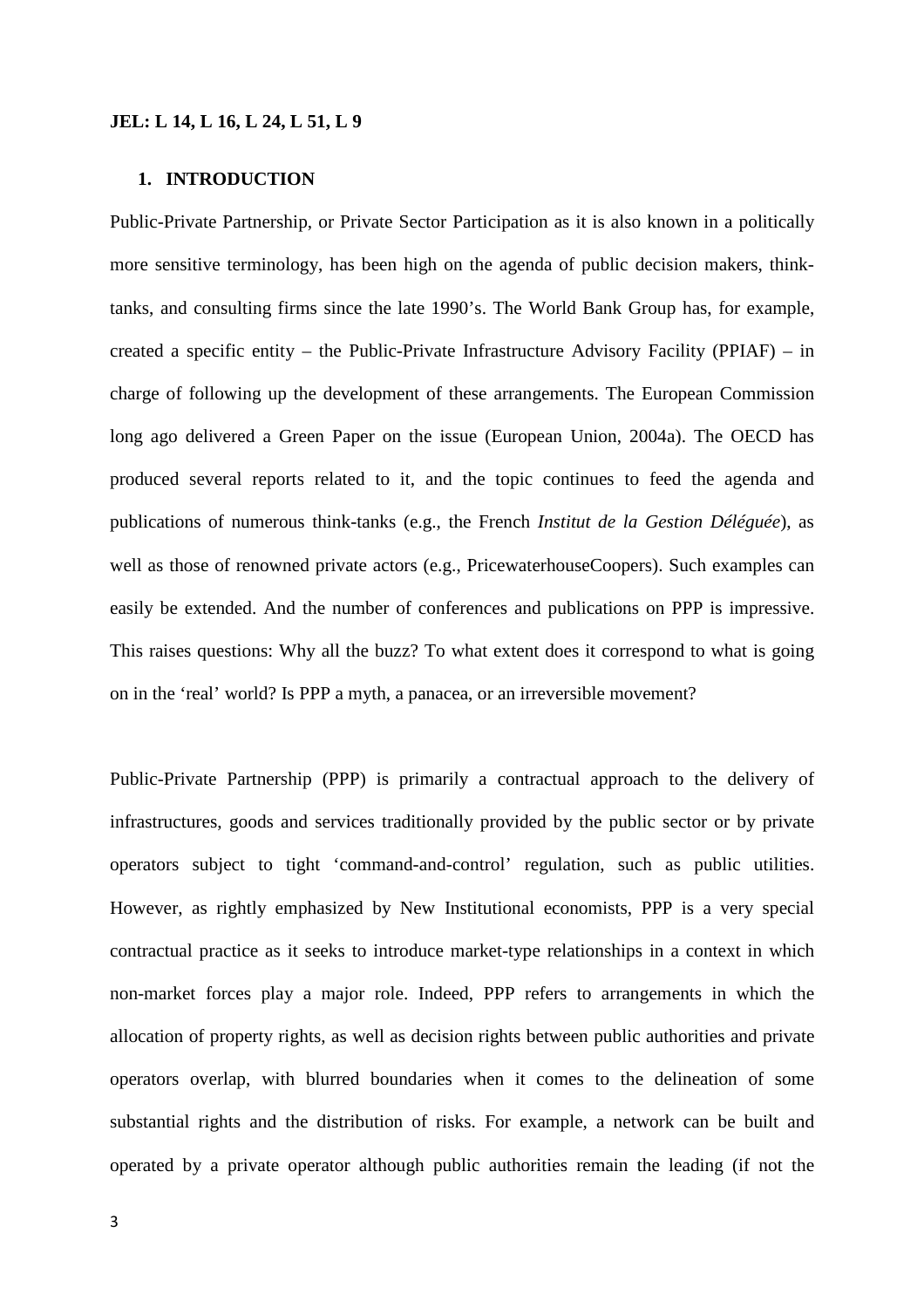#### **JEL: L 14, L 16, L 24, L 51, L 9**

#### **1. INTRODUCTION**

Public-Private Partnership, or Private Sector Participation as it is also known in a politically more sensitive terminology, has been high on the agenda of public decision makers, thinktanks, and consulting firms since the late 1990's. The World Bank Group has, for example, created a specific entity – the Public-Private Infrastructure Advisory Facility (PPIAF) – in charge of following up the development of these arrangements. The European Commission long ago delivered a Green Paper on the issue (European Union, 2004a). The OECD has produced several reports related to it, and the topic continues to feed the agenda and publications of numerous think-tanks (e.g., the French *Institut de la Gestion Déléguée*), as well as those of renowned private actors (e.g., PricewaterhouseCoopers). Such examples can easily be extended. And the number of conferences and publications on PPP is impressive. This raises questions: Why all the buzz? To what extent does it correspond to what is going on in the 'real' world? Is PPP a myth, a panacea, or an irreversible movement?

Public-Private Partnership (PPP) is primarily a contractual approach to the delivery of infrastructures, goods and services traditionally provided by the public sector or by private operators subject to tight 'command-and-control' regulation, such as public utilities. However, as rightly emphasized by New Institutional economists, PPP is a very special contractual practice as it seeks to introduce market-type relationships in a context in which non-market forces play a major role. Indeed, PPP refers to arrangements in which the allocation of property rights, as well as decision rights between public authorities and private operators overlap, with blurred boundaries when it comes to the delineation of some substantial rights and the distribution of risks. For example, a network can be built and operated by a private operator although public authorities remain the leading (if not the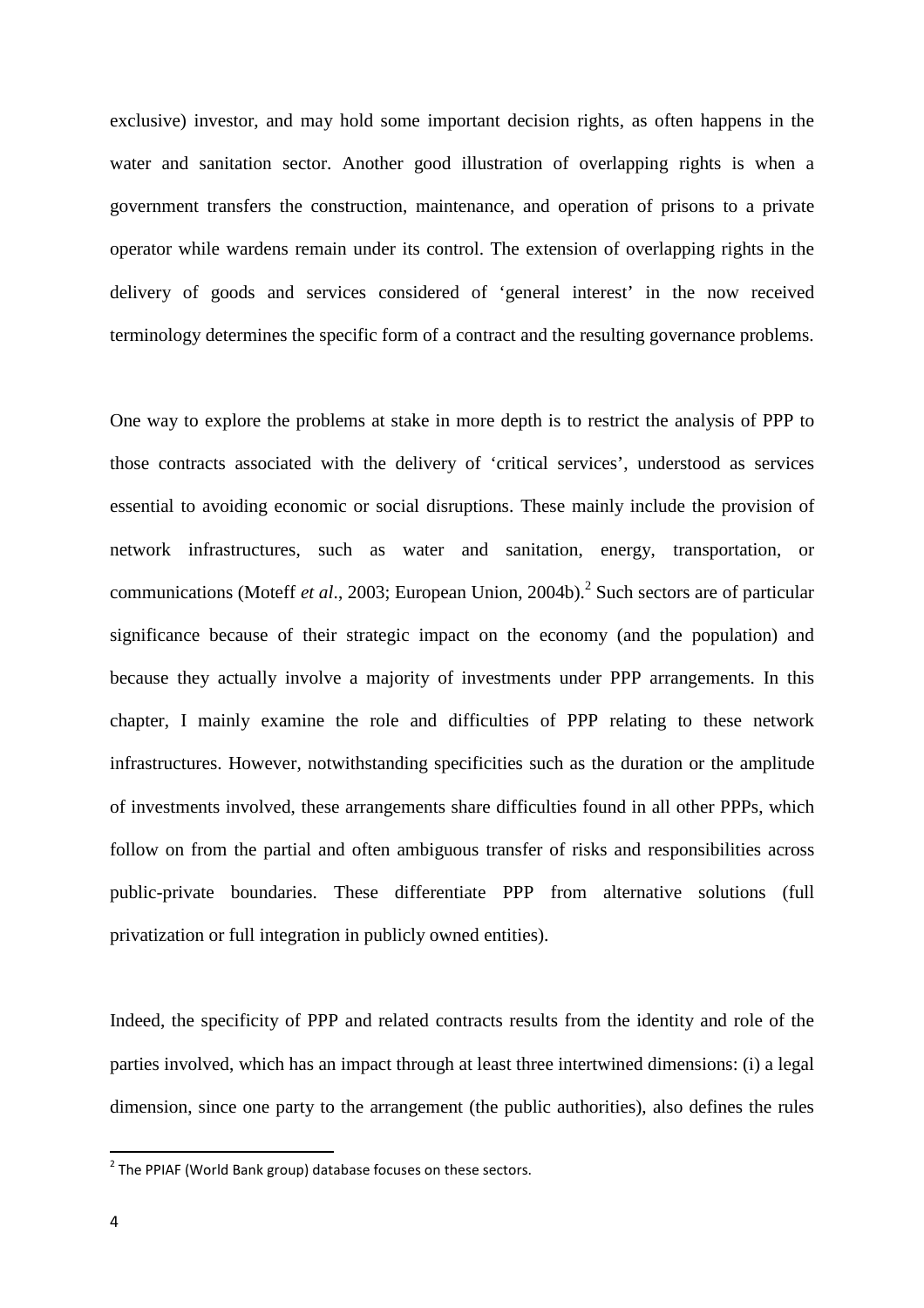exclusive) investor, and may hold some important decision rights, as often happens in the water and sanitation sector. Another good illustration of overlapping rights is when a government transfers the construction, maintenance, and operation of prisons to a private operator while wardens remain under its control. The extension of overlapping rights in the delivery of goods and services considered of 'general interest' in the now received terminology determines the specific form of a contract and the resulting governance problems.

One way to explore the problems at stake in more depth is to restrict the analysis of PPP to those contracts associated with the delivery of 'critical services', understood as services essential to avoiding economic or social disruptions. These mainly include the provision of network infrastructures, such as water and sanitation, energy, transportation, or communications (Moteff *et al.*, 2003; European Union, 2004b).<sup>2</sup> Such sectors are of particular significance because of their strategic impact on the economy (and the population) and because they actually involve a majority of investments under PPP arrangements. In this chapter, I mainly examine the role and difficulties of PPP relating to these network infrastructures. However, notwithstanding specificities such as the duration or the amplitude of investments involved, these arrangements share difficulties found in all other PPPs, which follow on from the partial and often ambiguous transfer of risks and responsibilities across public-private boundaries. These differentiate PPP from alternative solutions (full privatization or full integration in publicly owned entities).

Indeed, the specificity of PPP and related contracts results from the identity and role of the parties involved, which has an impact through at least three intertwined dimensions: (i) a legal dimension, since one party to the arrangement (the public authorities), also defines the rules

 $2$  The PPIAF (World Bank group) database focuses on these sectors.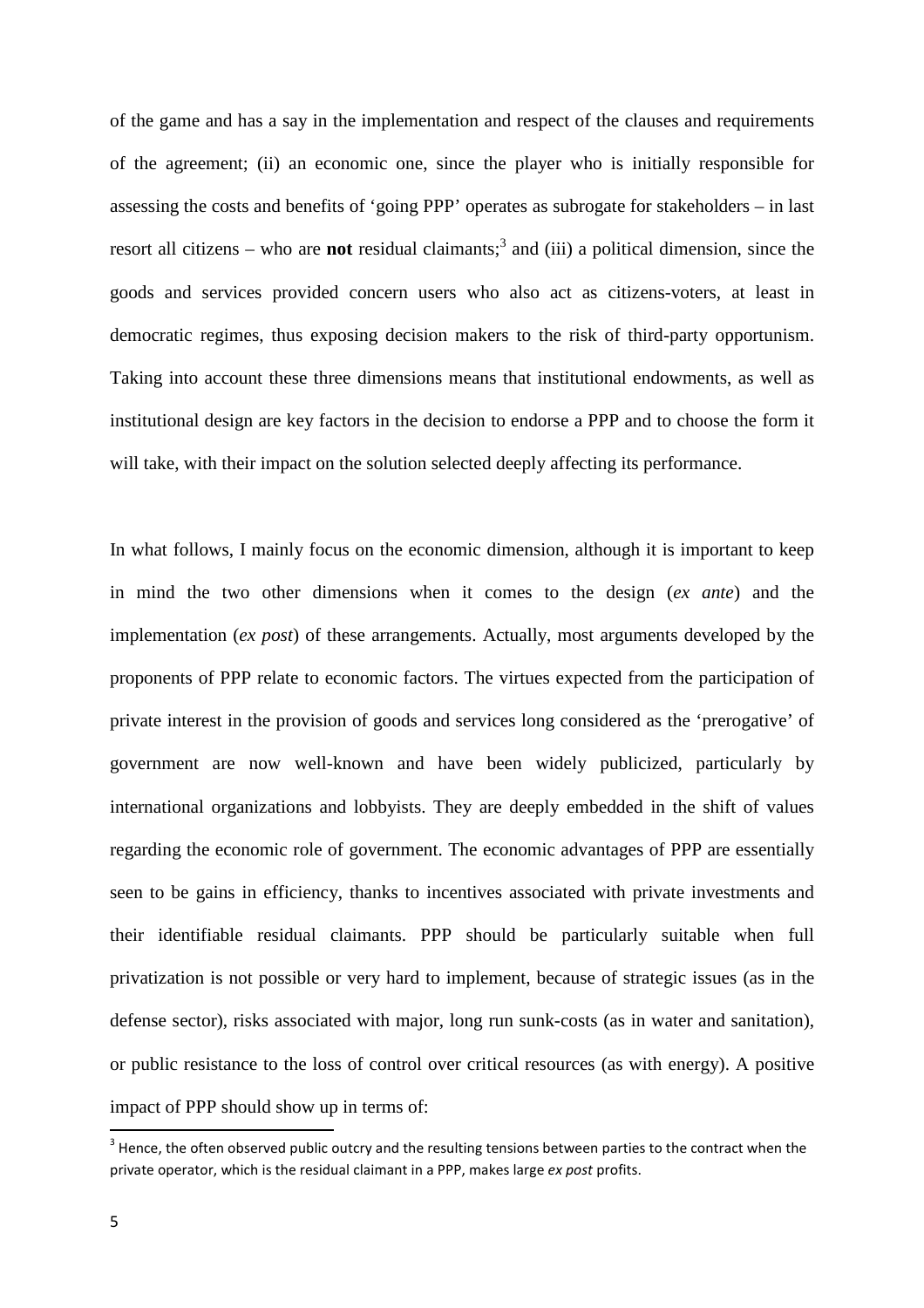of the game and has a say in the implementation and respect of the clauses and requirements of the agreement; (ii) an economic one, since the player who is initially responsible for assessing the costs and benefits of 'going PPP' operates as subrogate for stakeholders – in last resort all citizens – who are **not** residual claimants;<sup>3</sup> and (iii) a political dimension, since the goods and services provided concern users who also act as citizens-voters, at least in democratic regimes, thus exposing decision makers to the risk of third-party opportunism. Taking into account these three dimensions means that institutional endowments, as well as institutional design are key factors in the decision to endorse a PPP and to choose the form it will take, with their impact on the solution selected deeply affecting its performance.

In what follows, I mainly focus on the economic dimension, although it is important to keep in mind the two other dimensions when it comes to the design (*ex ante*) and the implementation (*ex post*) of these arrangements. Actually, most arguments developed by the proponents of PPP relate to economic factors. The virtues expected from the participation of private interest in the provision of goods and services long considered as the 'prerogative' of government are now well-known and have been widely publicized, particularly by international organizations and lobbyists. They are deeply embedded in the shift of values regarding the economic role of government. The economic advantages of PPP are essentially seen to be gains in efficiency, thanks to incentives associated with private investments and their identifiable residual claimants. PPP should be particularly suitable when full privatization is not possible or very hard to implement, because of strategic issues (as in the defense sector), risks associated with major, long run sunk-costs (as in water and sanitation), or public resistance to the loss of control over critical resources (as with energy). A positive impact of PPP should show up in terms of:

 $3$  Hence, the often observed public outcry and the resulting tensions between parties to the contract when the private operator, which is the residual claimant in a PPP, makes large *ex post* profits.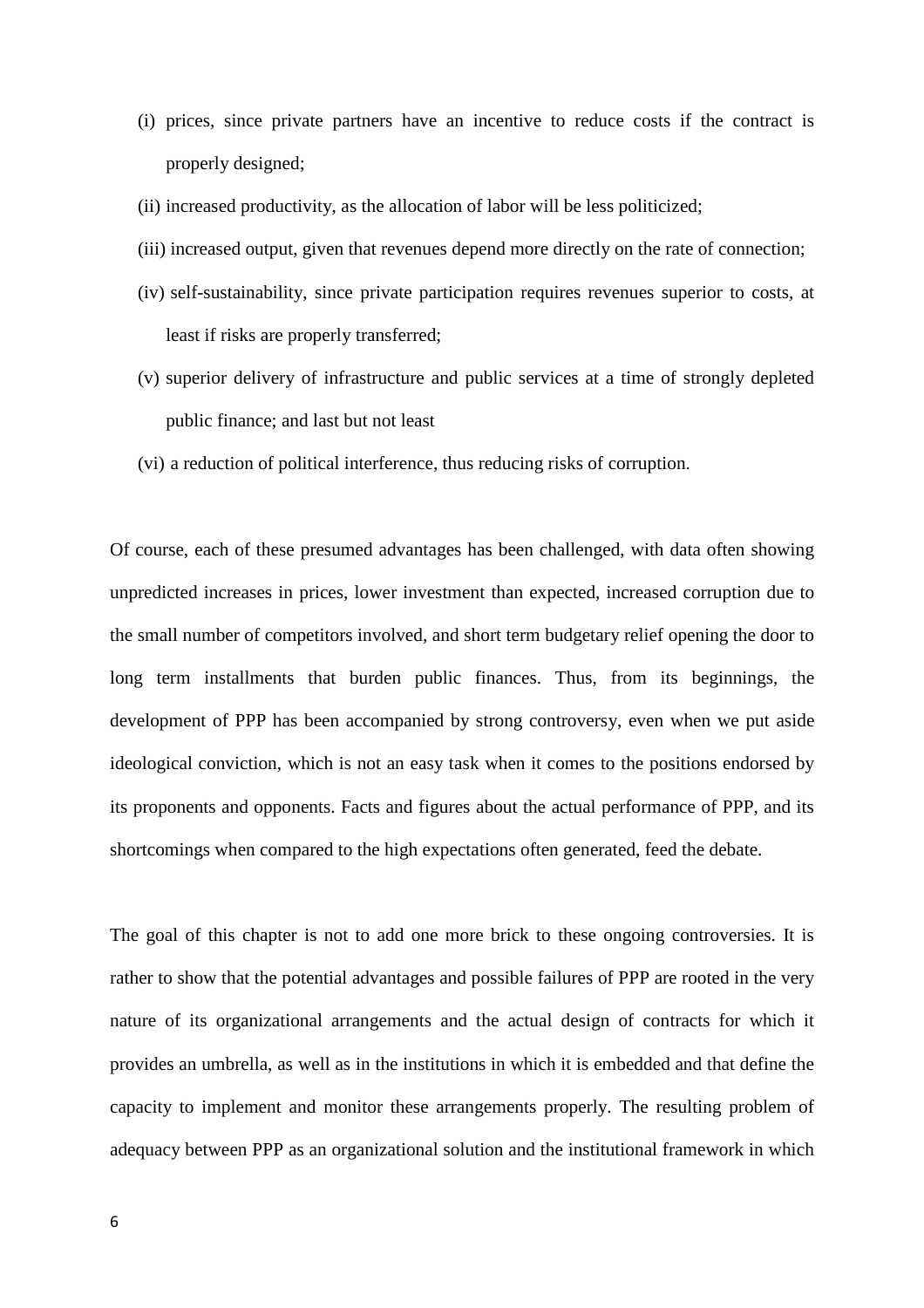- (i) prices, since private partners have an incentive to reduce costs if the contract is properly designed;
- (ii) increased productivity, as the allocation of labor will be less politicized;
- (iii) increased output, given that revenues depend more directly on the rate of connection;
- (iv) self-sustainability, since private participation requires revenues superior to costs, at least if risks are properly transferred;
- (v) superior delivery of infrastructure and public services at a time of strongly depleted public finance; and last but not least
- (vi) a reduction of political interference, thus reducing risks of corruption.

Of course, each of these presumed advantages has been challenged, with data often showing unpredicted increases in prices, lower investment than expected, increased corruption due to the small number of competitors involved, and short term budgetary relief opening the door to long term installments that burden public finances. Thus, from its beginnings, the development of PPP has been accompanied by strong controversy, even when we put aside ideological conviction, which is not an easy task when it comes to the positions endorsed by its proponents and opponents. Facts and figures about the actual performance of PPP, and its shortcomings when compared to the high expectations often generated, feed the debate.

The goal of this chapter is not to add one more brick to these ongoing controversies. It is rather to show that the potential advantages and possible failures of PPP are rooted in the very nature of its organizational arrangements and the actual design of contracts for which it provides an umbrella, as well as in the institutions in which it is embedded and that define the capacity to implement and monitor these arrangements properly. The resulting problem of adequacy between PPP as an organizational solution and the institutional framework in which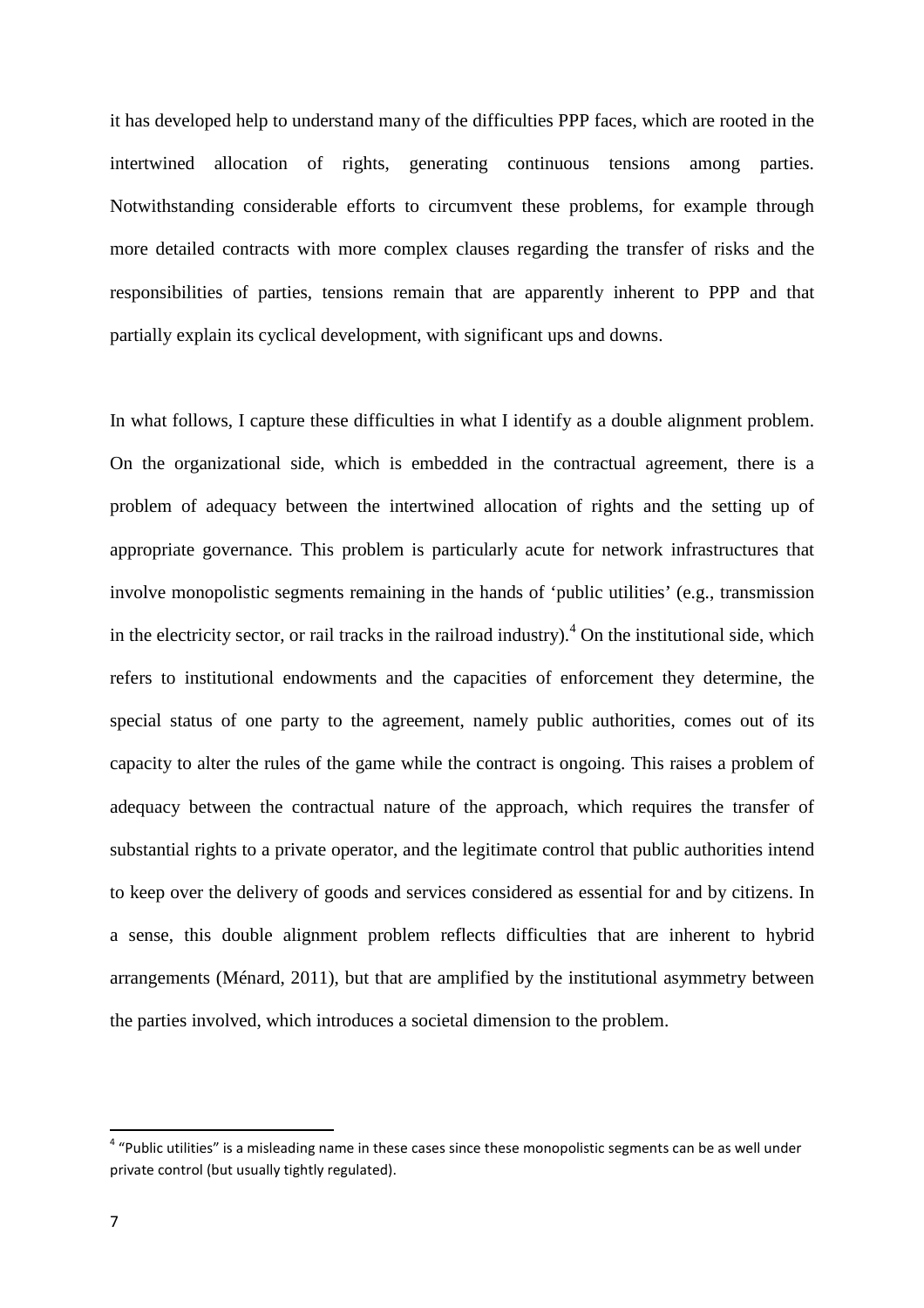it has developed help to understand many of the difficulties PPP faces, which are rooted in the intertwined allocation of rights, generating continuous tensions among parties. Notwithstanding considerable efforts to circumvent these problems, for example through more detailed contracts with more complex clauses regarding the transfer of risks and the responsibilities of parties, tensions remain that are apparently inherent to PPP and that partially explain its cyclical development, with significant ups and downs.

In what follows, I capture these difficulties in what I identify as a double alignment problem. On the organizational side, which is embedded in the contractual agreement, there is a problem of adequacy between the intertwined allocation of rights and the setting up of appropriate governance. This problem is particularly acute for network infrastructures that involve monopolistic segments remaining in the hands of 'public utilities' (e.g., transmission in the electricity sector, or rail tracks in the railroad industry). $^{4}$  On the institutional side, which refers to institutional endowments and the capacities of enforcement they determine, the special status of one party to the agreement, namely public authorities, comes out of its capacity to alter the rules of the game while the contract is ongoing. This raises a problem of adequacy between the contractual nature of the approach, which requires the transfer of substantial rights to a private operator, and the legitimate control that public authorities intend to keep over the delivery of goods and services considered as essential for and by citizens. In a sense, this double alignment problem reflects difficulties that are inherent to hybrid arrangements (Ménard, 2011), but that are amplified by the institutional asymmetry between the parties involved, which introduces a societal dimension to the problem.

<sup>&</sup>lt;sup>4</sup> "Public utilities" is a misleading name in these cases since these monopolistic segments can be as well under private control (but usually tightly regulated).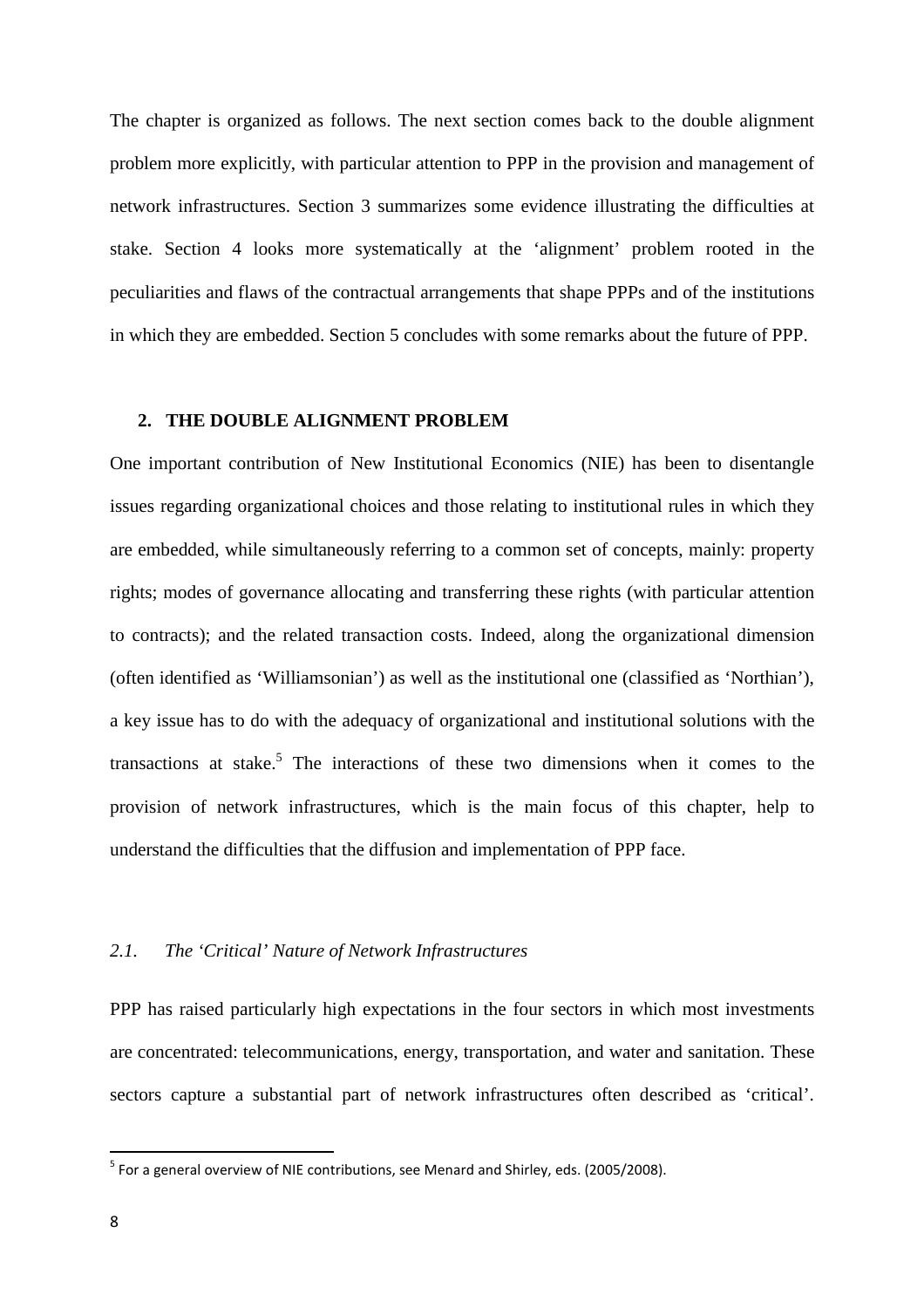The chapter is organized as follows. The next section comes back to the double alignment problem more explicitly, with particular attention to PPP in the provision and management of network infrastructures. Section 3 summarizes some evidence illustrating the difficulties at stake. Section 4 looks more systematically at the 'alignment' problem rooted in the peculiarities and flaws of the contractual arrangements that shape PPPs and of the institutions in which they are embedded. Section 5 concludes with some remarks about the future of PPP.

#### **2. THE DOUBLE ALIGNMENT PROBLEM**

One important contribution of New Institutional Economics (NIE) has been to disentangle issues regarding organizational choices and those relating to institutional rules in which they are embedded, while simultaneously referring to a common set of concepts, mainly: property rights; modes of governance allocating and transferring these rights (with particular attention to contracts); and the related transaction costs. Indeed, along the organizational dimension (often identified as 'Williamsonian') as well as the institutional one (classified as 'Northian'), a key issue has to do with the adequacy of organizational and institutional solutions with the transactions at stake.<sup>5</sup> The interactions of these two dimensions when it comes to the provision of network infrastructures, which is the main focus of this chapter, help to understand the difficulties that the diffusion and implementation of PPP face.

#### *2.1. The 'Critical' Nature of Network Infrastructures*

PPP has raised particularly high expectations in the four sectors in which most investments are concentrated: telecommunications, energy, transportation, and water and sanitation. These sectors capture a substantial part of network infrastructures often described as 'critical'.

<sup>&</sup>lt;sup>5</sup> For a general overview of NIE contributions, see Menard and Shirley, eds. (2005/2008).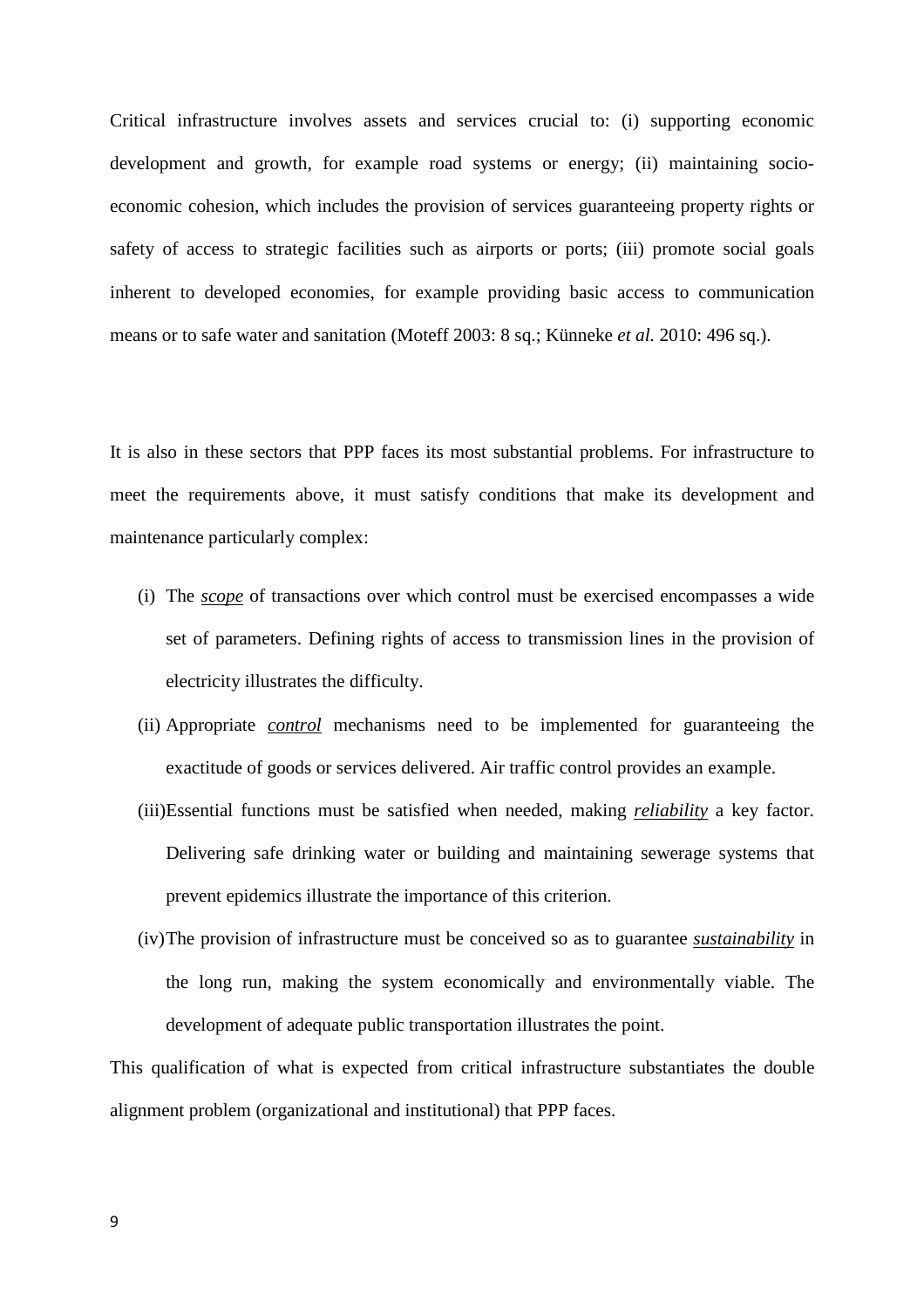Critical infrastructure involves assets and services crucial to: (i) supporting economic development and growth, for example road systems or energy; (ii) maintaining socioeconomic cohesion, which includes the provision of services guaranteeing property rights or safety of access to strategic facilities such as airports or ports; (iii) promote social goals inherent to developed economies, for example providing basic access to communication means or to safe water and sanitation (Moteff 2003: 8 sq.; Künneke *et al.* 2010: 496 sq.).

It is also in these sectors that PPP faces its most substantial problems. For infrastructure to meet the requirements above, it must satisfy conditions that make its development and maintenance particularly complex:

- (i) The *scope* of transactions over which control must be exercised encompasses a wide set of parameters. Defining rights of access to transmission lines in the provision of electricity illustrates the difficulty.
- (ii) Appropriate *control* mechanisms need to be implemented for guaranteeing the exactitude of goods or services delivered. Air traffic control provides an example.
- (iii)Essential functions must be satisfied when needed, making *reliability* a key factor. Delivering safe drinking water or building and maintaining sewerage systems that prevent epidemics illustrate the importance of this criterion.
- (iv)The provision of infrastructure must be conceived so as to guarantee *sustainability* in the long run, making the system economically and environmentally viable. The development of adequate public transportation illustrates the point.

This qualification of what is expected from critical infrastructure substantiates the double alignment problem (organizational and institutional) that PPP faces.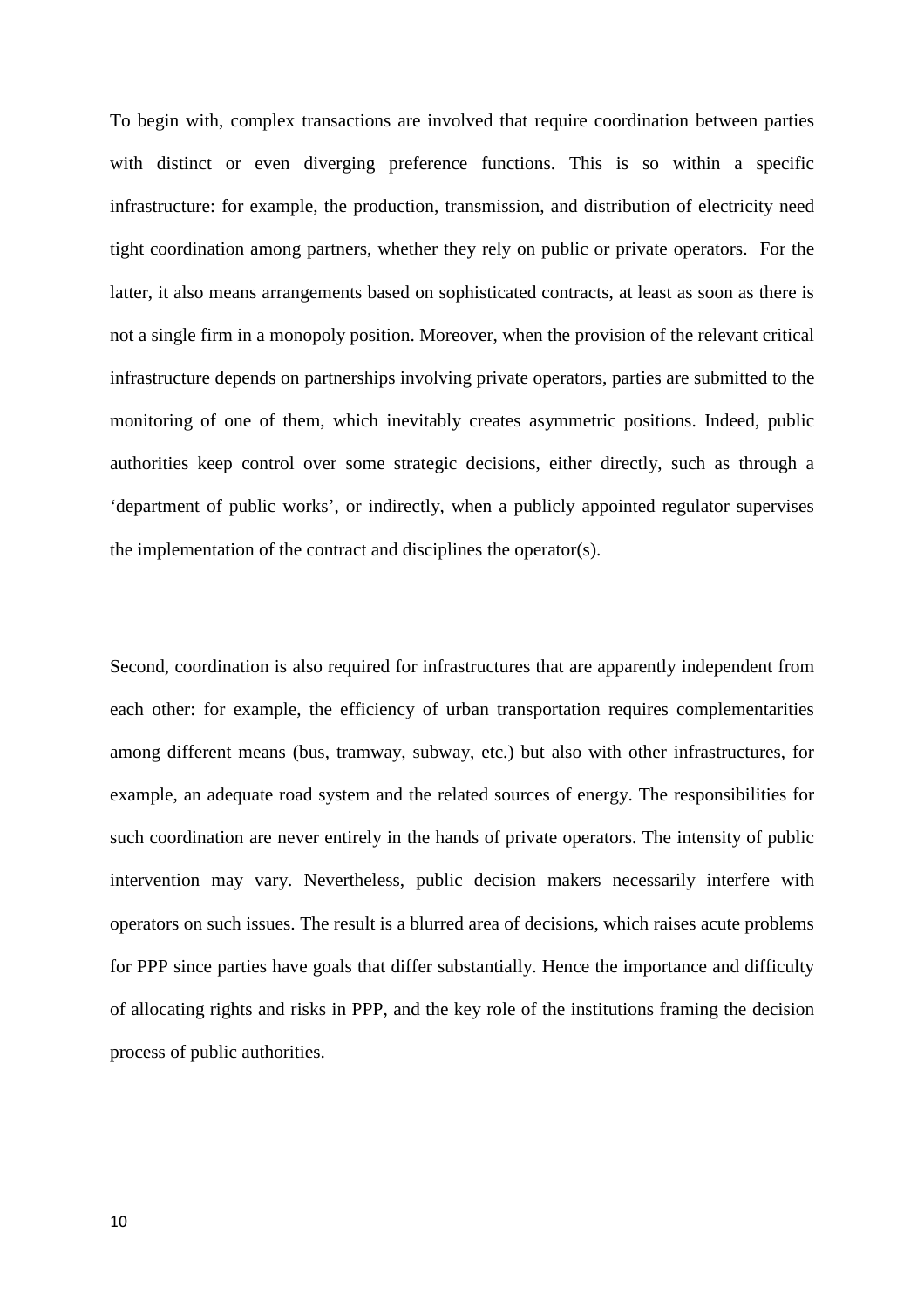To begin with, complex transactions are involved that require coordination between parties with distinct or even diverging preference functions. This is so within a specific infrastructure: for example, the production, transmission, and distribution of electricity need tight coordination among partners, whether they rely on public or private operators. For the latter, it also means arrangements based on sophisticated contracts, at least as soon as there is not a single firm in a monopoly position. Moreover, when the provision of the relevant critical infrastructure depends on partnerships involving private operators, parties are submitted to the monitoring of one of them, which inevitably creates asymmetric positions. Indeed, public authorities keep control over some strategic decisions, either directly, such as through a 'department of public works', or indirectly, when a publicly appointed regulator supervises the implementation of the contract and disciplines the operator(s).

Second, coordination is also required for infrastructures that are apparently independent from each other: for example, the efficiency of urban transportation requires complementarities among different means (bus, tramway, subway, etc.) but also with other infrastructures, for example, an adequate road system and the related sources of energy. The responsibilities for such coordination are never entirely in the hands of private operators. The intensity of public intervention may vary. Nevertheless, public decision makers necessarily interfere with operators on such issues. The result is a blurred area of decisions, which raises acute problems for PPP since parties have goals that differ substantially. Hence the importance and difficulty of allocating rights and risks in PPP, and the key role of the institutions framing the decision process of public authorities.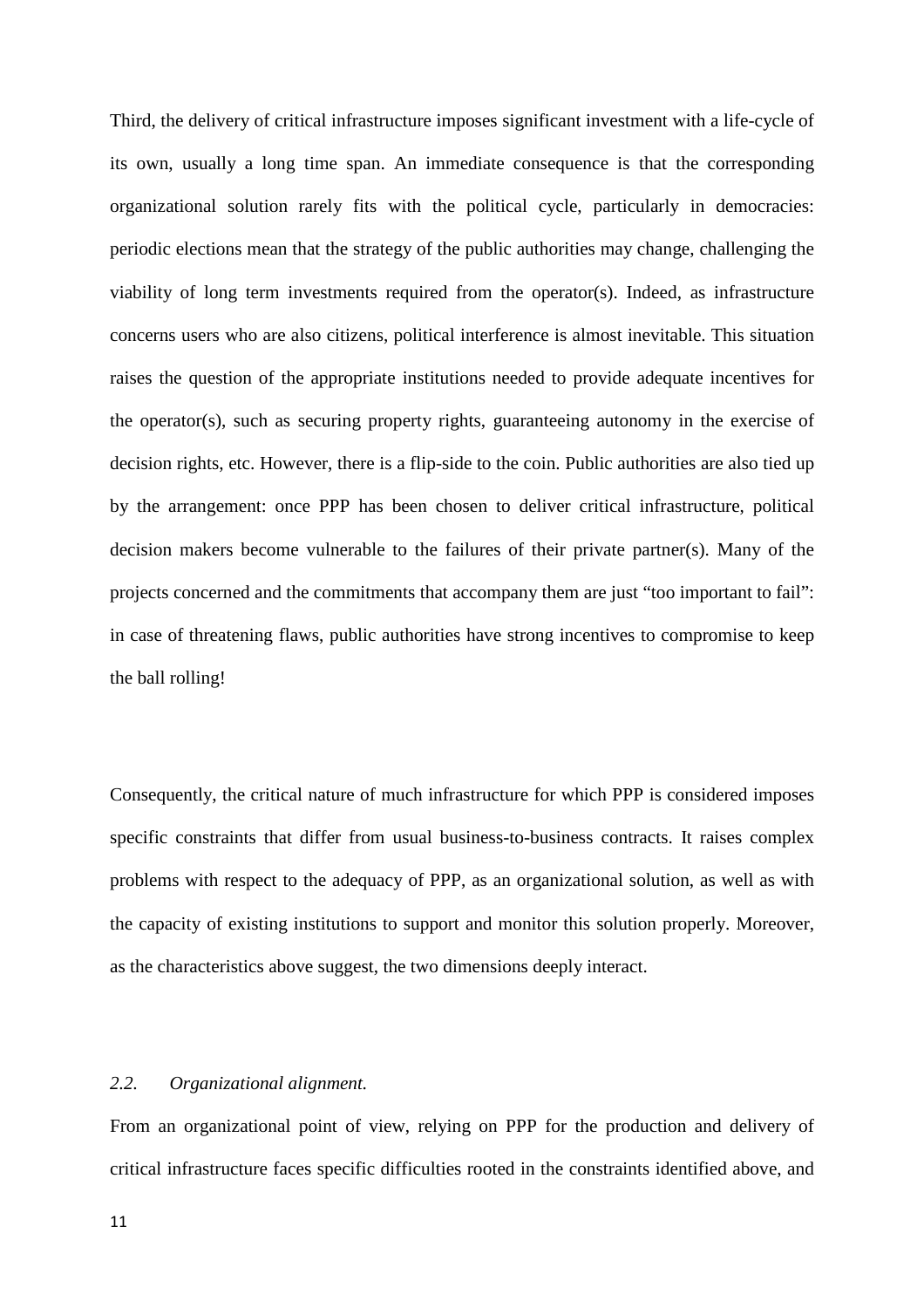Third, the delivery of critical infrastructure imposes significant investment with a life-cycle of its own, usually a long time span. An immediate consequence is that the corresponding organizational solution rarely fits with the political cycle, particularly in democracies: periodic elections mean that the strategy of the public authorities may change, challenging the viability of long term investments required from the operator(s). Indeed, as infrastructure concerns users who are also citizens, political interference is almost inevitable. This situation raises the question of the appropriate institutions needed to provide adequate incentives for the operator(s), such as securing property rights, guaranteeing autonomy in the exercise of decision rights, etc. However, there is a flip-side to the coin. Public authorities are also tied up by the arrangement: once PPP has been chosen to deliver critical infrastructure, political decision makers become vulnerable to the failures of their private partner(s). Many of the projects concerned and the commitments that accompany them are just "too important to fail": in case of threatening flaws, public authorities have strong incentives to compromise to keep the ball rolling!

Consequently, the critical nature of much infrastructure for which PPP is considered imposes specific constraints that differ from usual business-to-business contracts. It raises complex problems with respect to the adequacy of PPP, as an organizational solution, as well as with the capacity of existing institutions to support and monitor this solution properly. Moreover, as the characteristics above suggest, the two dimensions deeply interact.

#### *2.2. Organizational alignment.*

From an organizational point of view, relying on PPP for the production and delivery of critical infrastructure faces specific difficulties rooted in the constraints identified above, and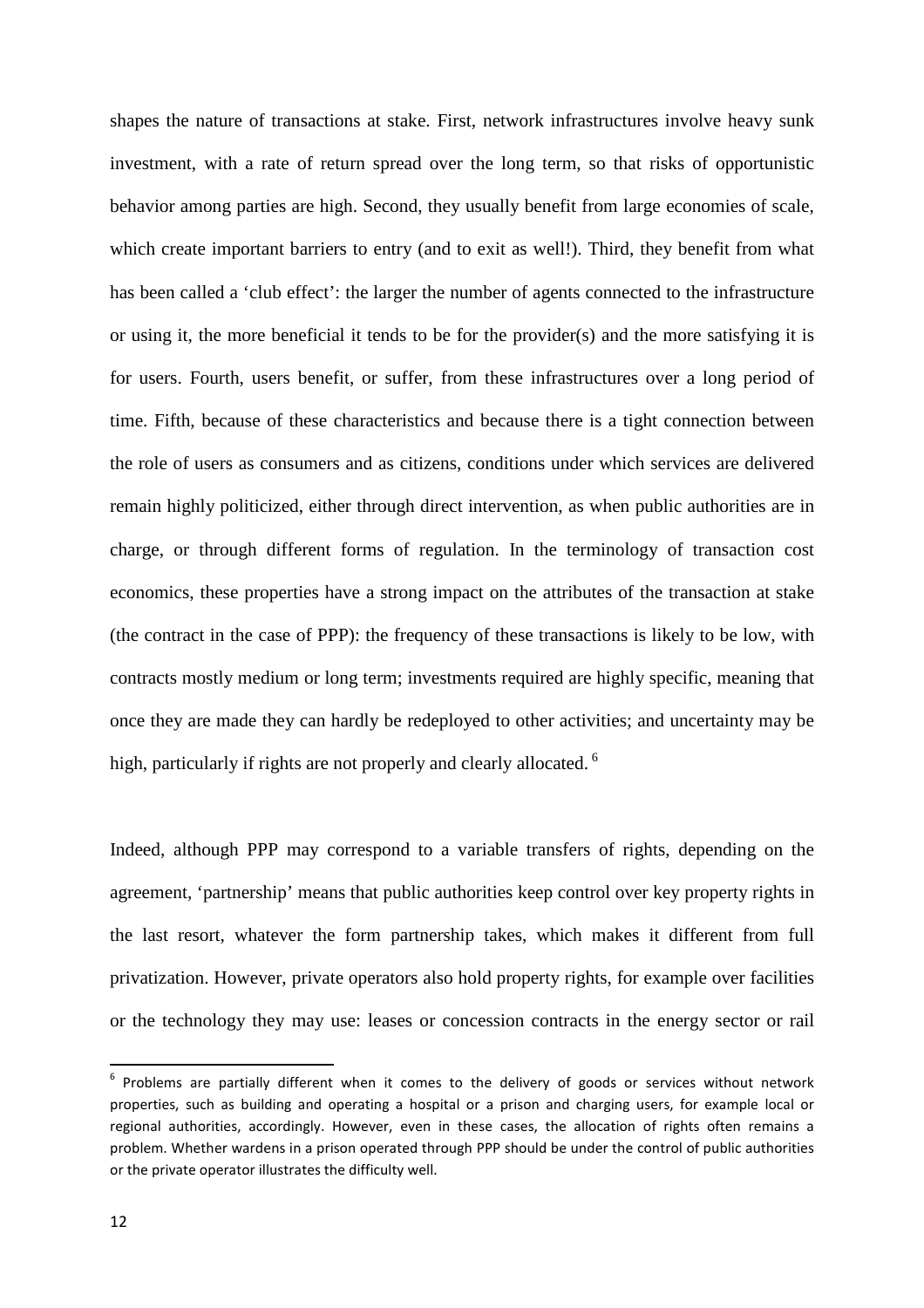shapes the nature of transactions at stake. First, network infrastructures involve heavy sunk investment, with a rate of return spread over the long term, so that risks of opportunistic behavior among parties are high. Second, they usually benefit from large economies of scale, which create important barriers to entry (and to exit as well!). Third, they benefit from what has been called a 'club effect': the larger the number of agents connected to the infrastructure or using it, the more beneficial it tends to be for the provider(s) and the more satisfying it is for users. Fourth, users benefit, or suffer, from these infrastructures over a long period of time. Fifth, because of these characteristics and because there is a tight connection between the role of users as consumers and as citizens, conditions under which services are delivered remain highly politicized, either through direct intervention, as when public authorities are in charge, or through different forms of regulation. In the terminology of transaction cost economics, these properties have a strong impact on the attributes of the transaction at stake (the contract in the case of PPP): the frequency of these transactions is likely to be low, with contracts mostly medium or long term; investments required are highly specific, meaning that once they are made they can hardly be redeployed to other activities; and uncertainty may be high, particularly if rights are not properly and clearly allocated.  $6$ 

Indeed, although PPP may correspond to a variable transfers of rights, depending on the agreement, 'partnership' means that public authorities keep control over key property rights in the last resort, whatever the form partnership takes, which makes it different from full privatization. However, private operators also hold property rights, for example over facilities or the technology they may use: leases or concession contracts in the energy sector or rail

 $6$  Problems are partially different when it comes to the delivery of goods or services without network properties, such as building and operating a hospital or a prison and charging users, for example local or regional authorities, accordingly. However, even in these cases, the allocation of rights often remains a problem. Whether wardens in a prison operated through PPP should be under the control of public authorities or the private operator illustrates the difficulty well.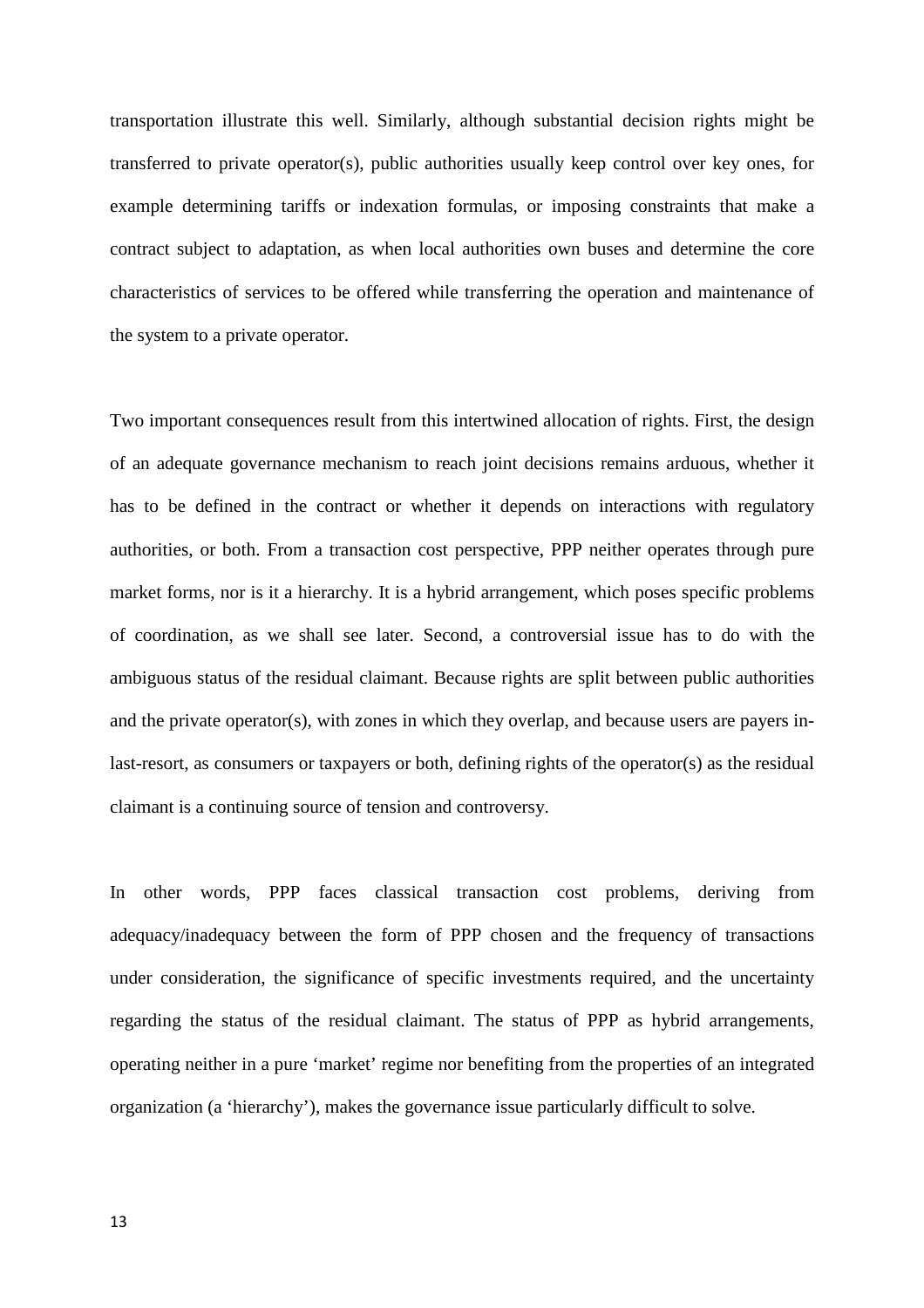transportation illustrate this well. Similarly, although substantial decision rights might be transferred to private operator(s), public authorities usually keep control over key ones, for example determining tariffs or indexation formulas, or imposing constraints that make a contract subject to adaptation, as when local authorities own buses and determine the core characteristics of services to be offered while transferring the operation and maintenance of the system to a private operator.

Two important consequences result from this intertwined allocation of rights. First, the design of an adequate governance mechanism to reach joint decisions remains arduous, whether it has to be defined in the contract or whether it depends on interactions with regulatory authorities, or both. From a transaction cost perspective, PPP neither operates through pure market forms, nor is it a hierarchy. It is a hybrid arrangement, which poses specific problems of coordination, as we shall see later. Second, a controversial issue has to do with the ambiguous status of the residual claimant. Because rights are split between public authorities and the private operator(s), with zones in which they overlap, and because users are payers inlast-resort, as consumers or taxpayers or both, defining rights of the operator(s) as the residual claimant is a continuing source of tension and controversy.

In other words, PPP faces classical transaction cost problems, deriving from adequacy/inadequacy between the form of PPP chosen and the frequency of transactions under consideration, the significance of specific investments required, and the uncertainty regarding the status of the residual claimant. The status of PPP as hybrid arrangements, operating neither in a pure 'market' regime nor benefiting from the properties of an integrated organization (a 'hierarchy'), makes the governance issue particularly difficult to solve.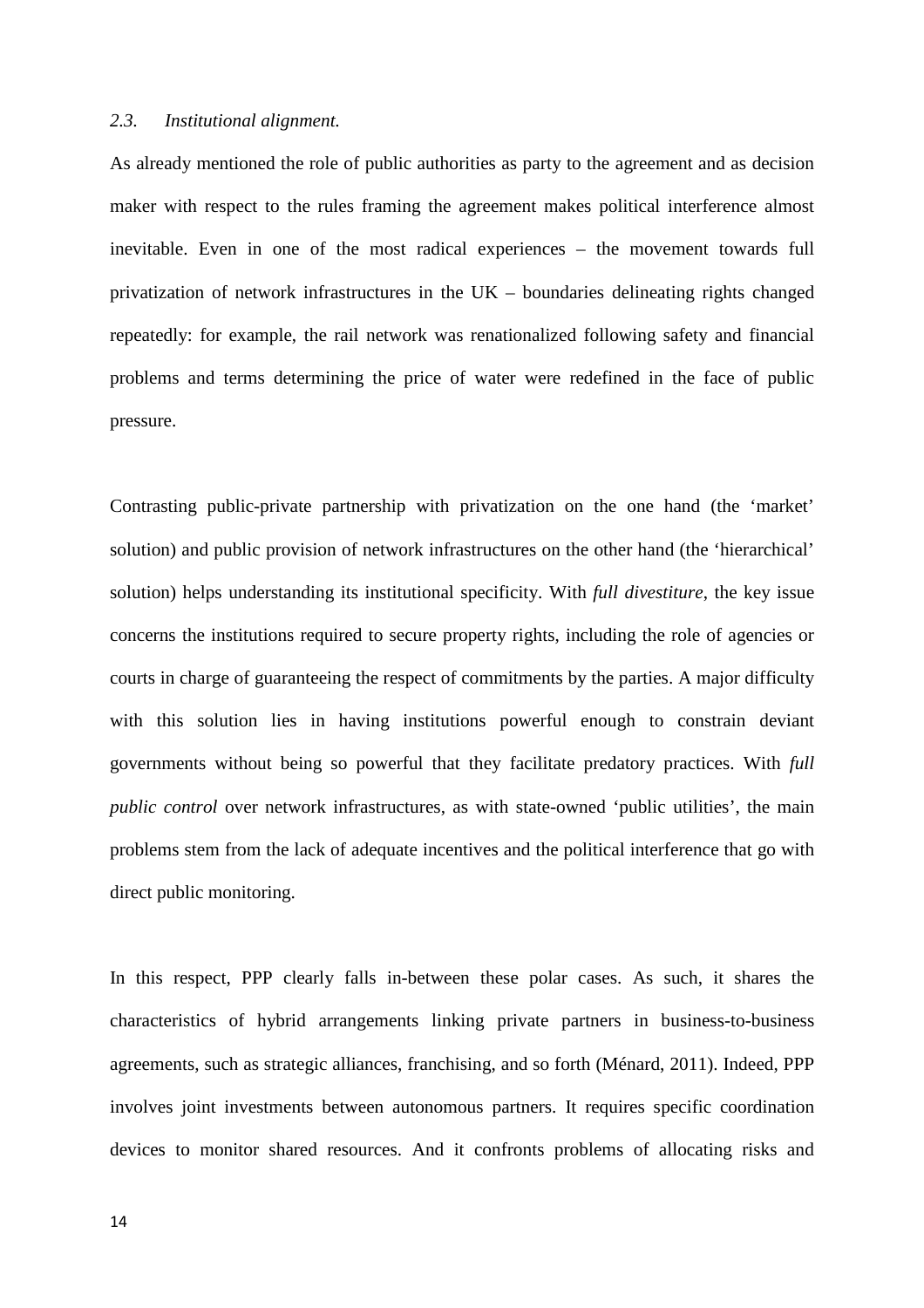### *2.3. Institutional alignment.*

As already mentioned the role of public authorities as party to the agreement and as decision maker with respect to the rules framing the agreement makes political interference almost inevitable. Even in one of the most radical experiences – the movement towards full privatization of network infrastructures in the UK – boundaries delineating rights changed repeatedly: for example, the rail network was renationalized following safety and financial problems and terms determining the price of water were redefined in the face of public pressure.

Contrasting public-private partnership with privatization on the one hand (the 'market' solution) and public provision of network infrastructures on the other hand (the 'hierarchical' solution) helps understanding its institutional specificity. With *full divestiture*, the key issue concerns the institutions required to secure property rights, including the role of agencies or courts in charge of guaranteeing the respect of commitments by the parties. A major difficulty with this solution lies in having institutions powerful enough to constrain deviant governments without being so powerful that they facilitate predatory practices. With *full public control* over network infrastructures, as with state-owned 'public utilities', the main problems stem from the lack of adequate incentives and the political interference that go with direct public monitoring.

In this respect, PPP clearly falls in-between these polar cases. As such, it shares the characteristics of hybrid arrangements linking private partners in business-to-business agreements, such as strategic alliances, franchising, and so forth (Ménard, 2011). Indeed, PPP involves joint investments between autonomous partners. It requires specific coordination devices to monitor shared resources. And it confronts problems of allocating risks and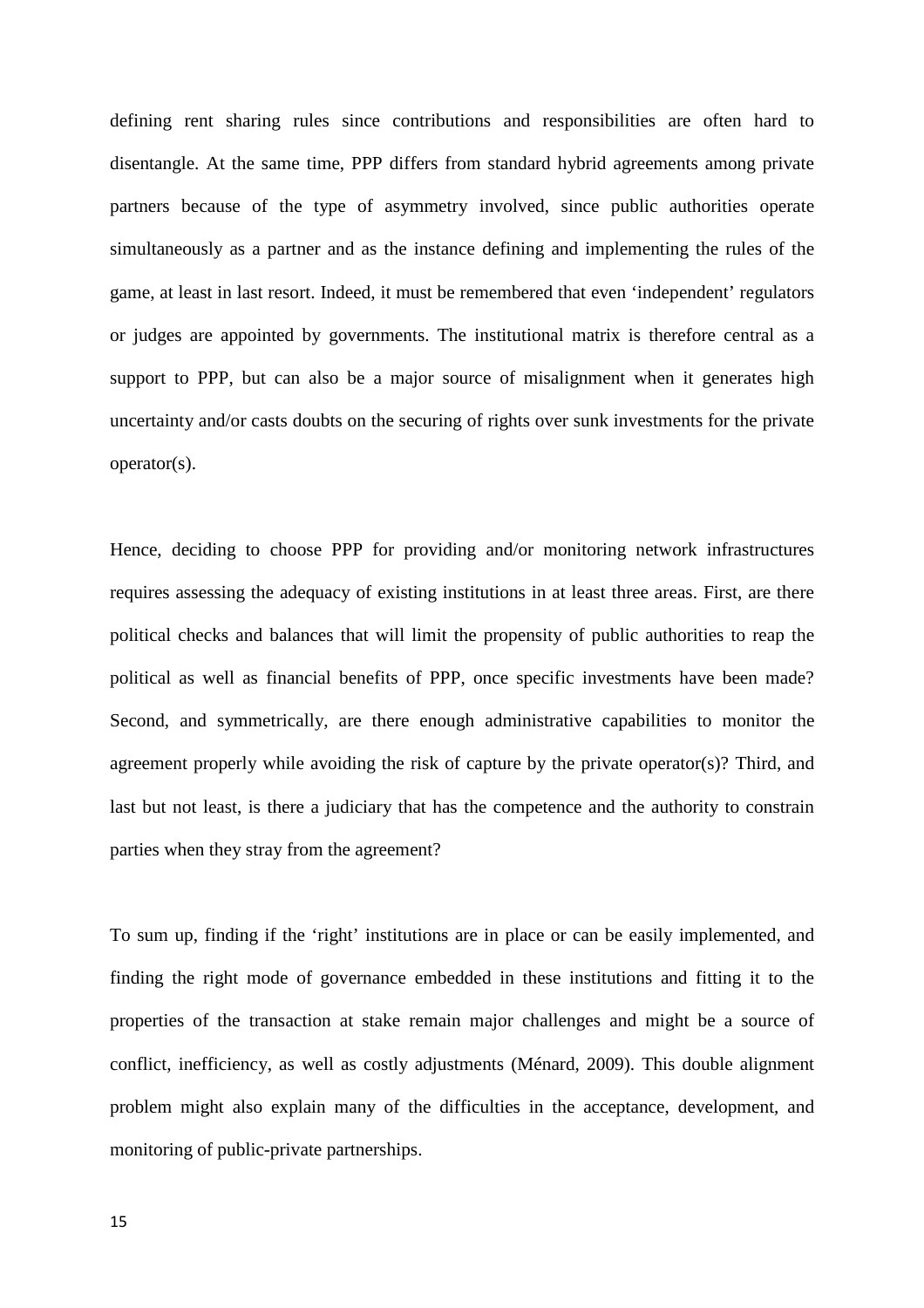defining rent sharing rules since contributions and responsibilities are often hard to disentangle. At the same time, PPP differs from standard hybrid agreements among private partners because of the type of asymmetry involved, since public authorities operate simultaneously as a partner and as the instance defining and implementing the rules of the game, at least in last resort. Indeed, it must be remembered that even 'independent' regulators or judges are appointed by governments. The institutional matrix is therefore central as a support to PPP, but can also be a major source of misalignment when it generates high uncertainty and/or casts doubts on the securing of rights over sunk investments for the private operator(s).

Hence, deciding to choose PPP for providing and/or monitoring network infrastructures requires assessing the adequacy of existing institutions in at least three areas. First, are there political checks and balances that will limit the propensity of public authorities to reap the political as well as financial benefits of PPP, once specific investments have been made? Second, and symmetrically, are there enough administrative capabilities to monitor the agreement properly while avoiding the risk of capture by the private operator(s)? Third, and last but not least, is there a judiciary that has the competence and the authority to constrain parties when they stray from the agreement?

To sum up, finding if the 'right' institutions are in place or can be easily implemented, and finding the right mode of governance embedded in these institutions and fitting it to the properties of the transaction at stake remain major challenges and might be a source of conflict, inefficiency, as well as costly adjustments (Ménard, 2009). This double alignment problem might also explain many of the difficulties in the acceptance, development, and monitoring of public-private partnerships.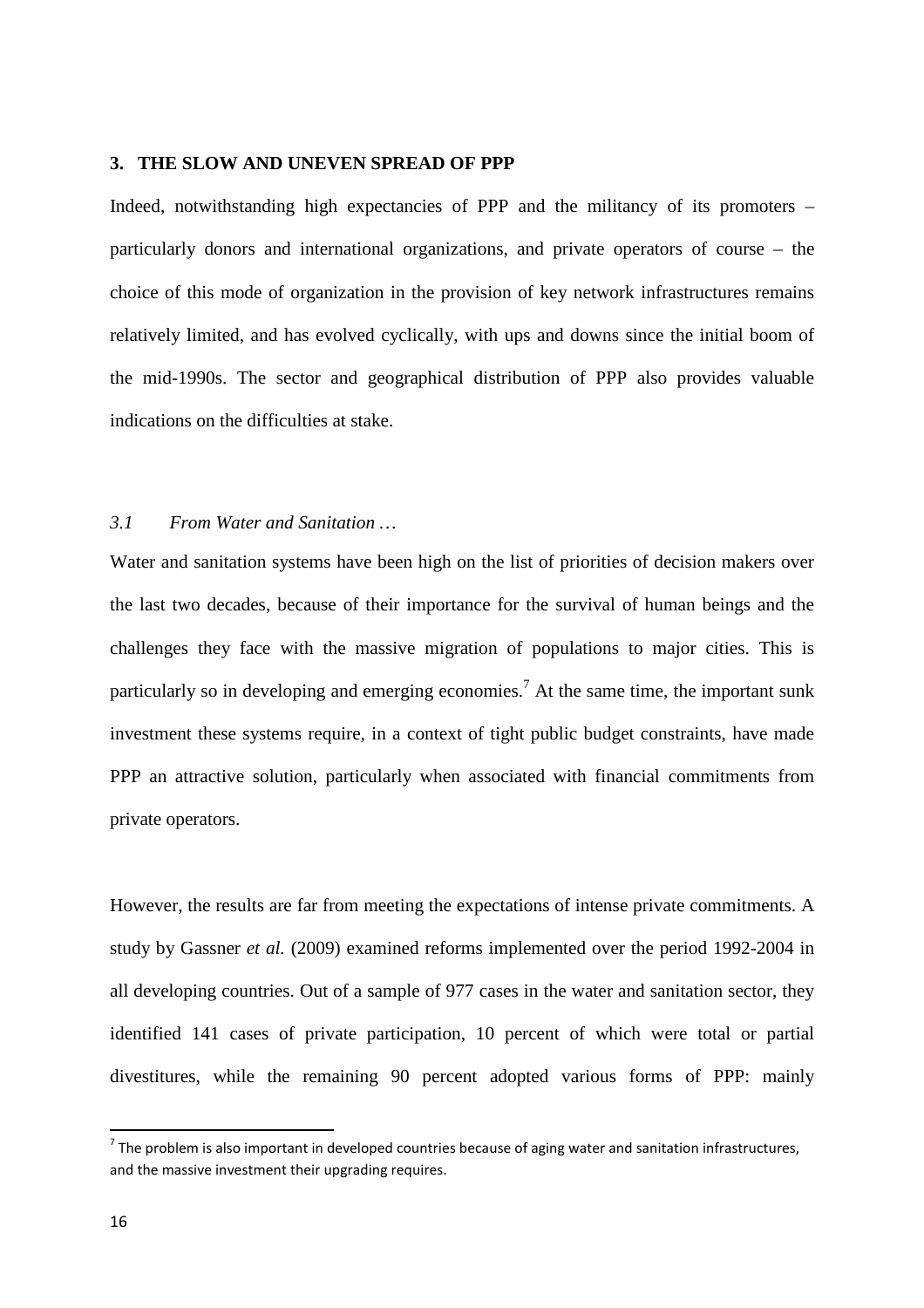### **3. THE SLOW AND UNEVEN SPREAD OF PPP**

Indeed, notwithstanding high expectancies of PPP and the militancy of its promoters – particularly donors and international organizations, and private operators of course – the choice of this mode of organization in the provision of key network infrastructures remains relatively limited, and has evolved cyclically, with ups and downs since the initial boom of the mid-1990s. The sector and geographical distribution of PPP also provides valuable indications on the difficulties at stake.

### *3.1 From Water and Sanitation …*

Water and sanitation systems have been high on the list of priorities of decision makers over the last two decades, because of their importance for the survival of human beings and the challenges they face with the massive migration of populations to major cities. This is particularly so in developing and emerging economies.<sup>7</sup> At the same time, the important sunk investment these systems require, in a context of tight public budget constraints, have made PPP an attractive solution, particularly when associated with financial commitments from private operators.

However, the results are far from meeting the expectations of intense private commitments. A study by Gassner *et al.* (2009) examined reforms implemented over the period 1992-2004 in all developing countries. Out of a sample of 977 cases in the water and sanitation sector, they identified 141 cases of private participation, 10 percent of which were total or partial divestitures, while the remaining 90 percent adopted various forms of PPP: mainly

 $<sup>7</sup>$  The problem is also important in developed countries because of aging water and sanitation infrastructures,</sup> and the massive investment their upgrading requires.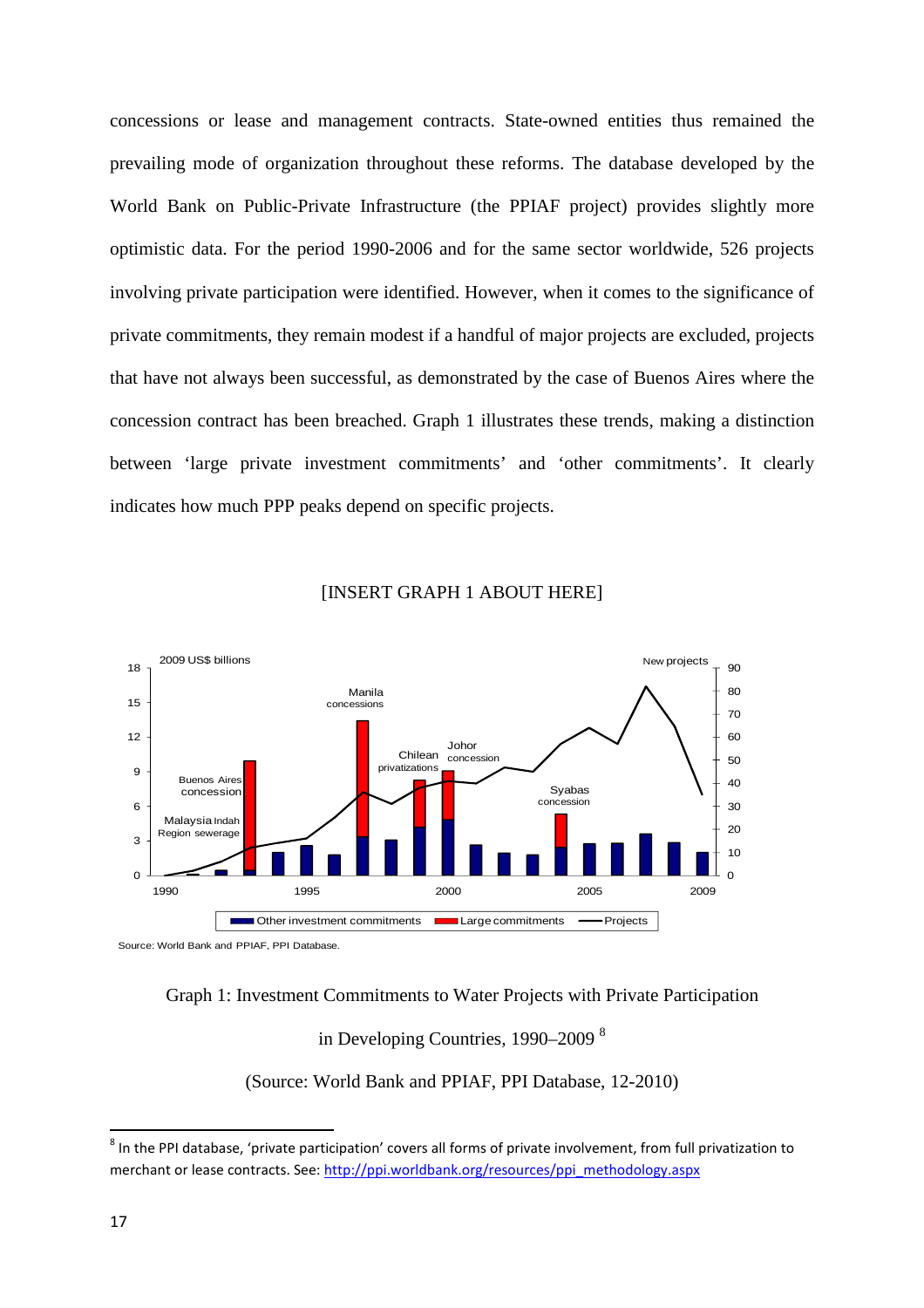concessions or lease and management contracts. State-owned entities thus remained the prevailing mode of organization throughout these reforms. The database developed by the World Bank on Public-Private Infrastructure (the PPIAF project) provides slightly more optimistic data. For the period 1990-2006 and for the same sector worldwide, 526 projects involving private participation were identified. However, when it comes to the significance of private commitments, they remain modest if a handful of major projects are excluded, projects that have not always been successful, as demonstrated by the case of Buenos Aires where the concession contract has been breached. Graph 1 illustrates these trends, making a distinction between 'large private investment commitments' and 'other commitments'. It clearly indicates how much PPP peaks depend on specific projects.



#### [INSERT GRAPH 1 ABOUT HERE]

Source: World Bank and PPIAF, PPI Database.

#### Graph 1: Investment Commitments to Water Projects with Private Participation

in Developing Countries, 1990–2009 <sup>8</sup>

(Source: World Bank and PPIAF, PPI Database, 12-2010)

 $^8$  In the PPI database, 'private participation' covers all forms of private involvement, from full privatization to merchant or lease contracts. See: http://ppi.worldbank.org/resources/ppi\_methodology.aspx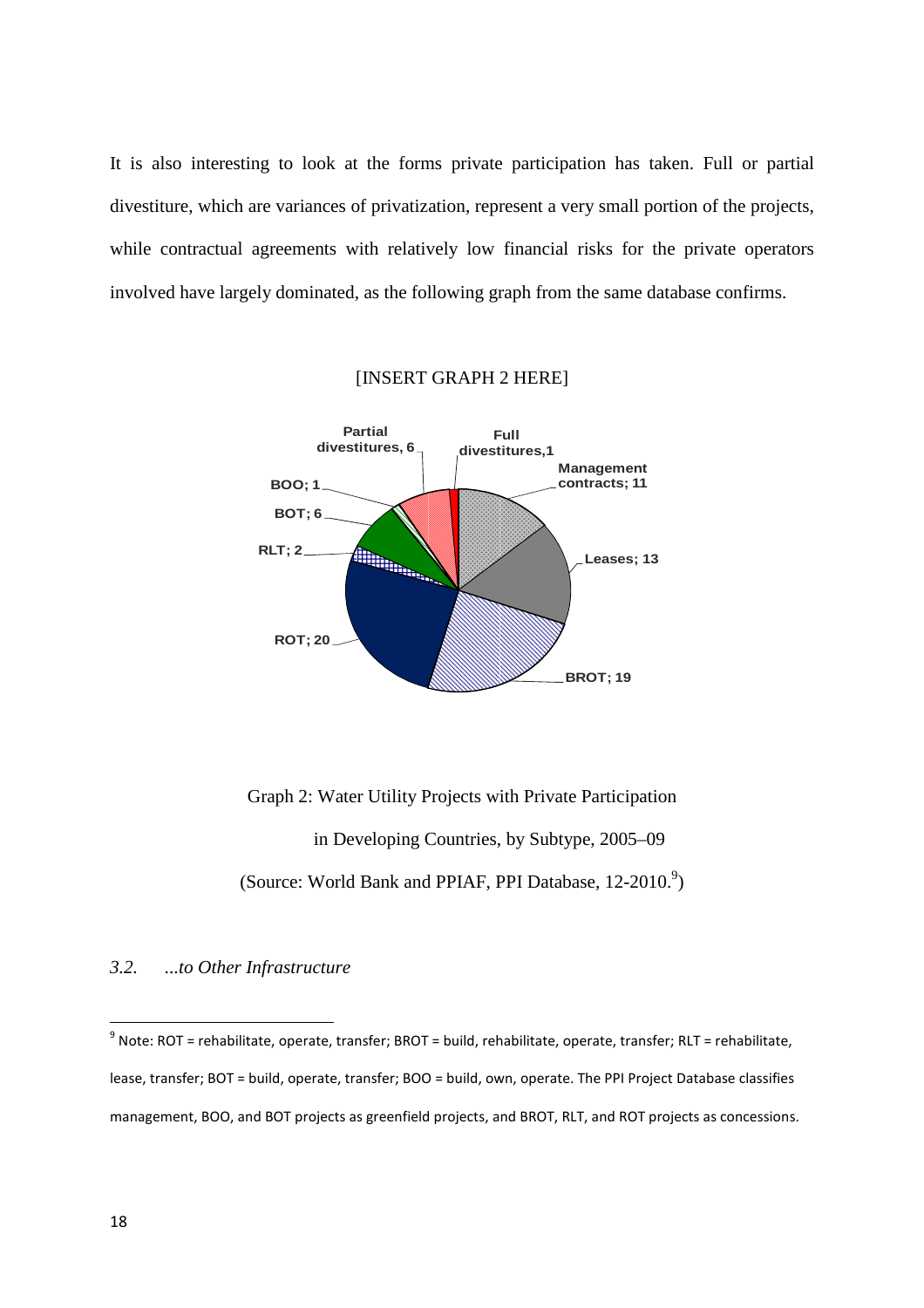It is also interesting to look at the forms private participation has taken. Full or partial divestiture, which are variances of privatization, represent a very small portion of the projects, while contractual agreements with relatively low financial risks for the private operators involved have largely dominated, as the following graph from the same database confirms.



#### [INSERT GRAPH 2 HERE]

Graph 2: Water Utility Projects with Private Participation in Developing Countries, by Subtype, 2005–09 (Source: World Bank and PPIAF, PPI Database, 12-2010.<sup>9</sup>)

#### *3.2. ...to Other Infrastructure*

 $^9$  Note: ROT = rehabilitate, operate, transfer; BROT = build, rehabilitate, operate, transfer; RLT = rehabilitate, lease, transfer; BOT = build, operate, transfer; BOO = build, own, operate. The PPI Project Database classifies management, BOO, and BOT projects as greenfield projects, and BROT, RLT, and ROT projects as concessions.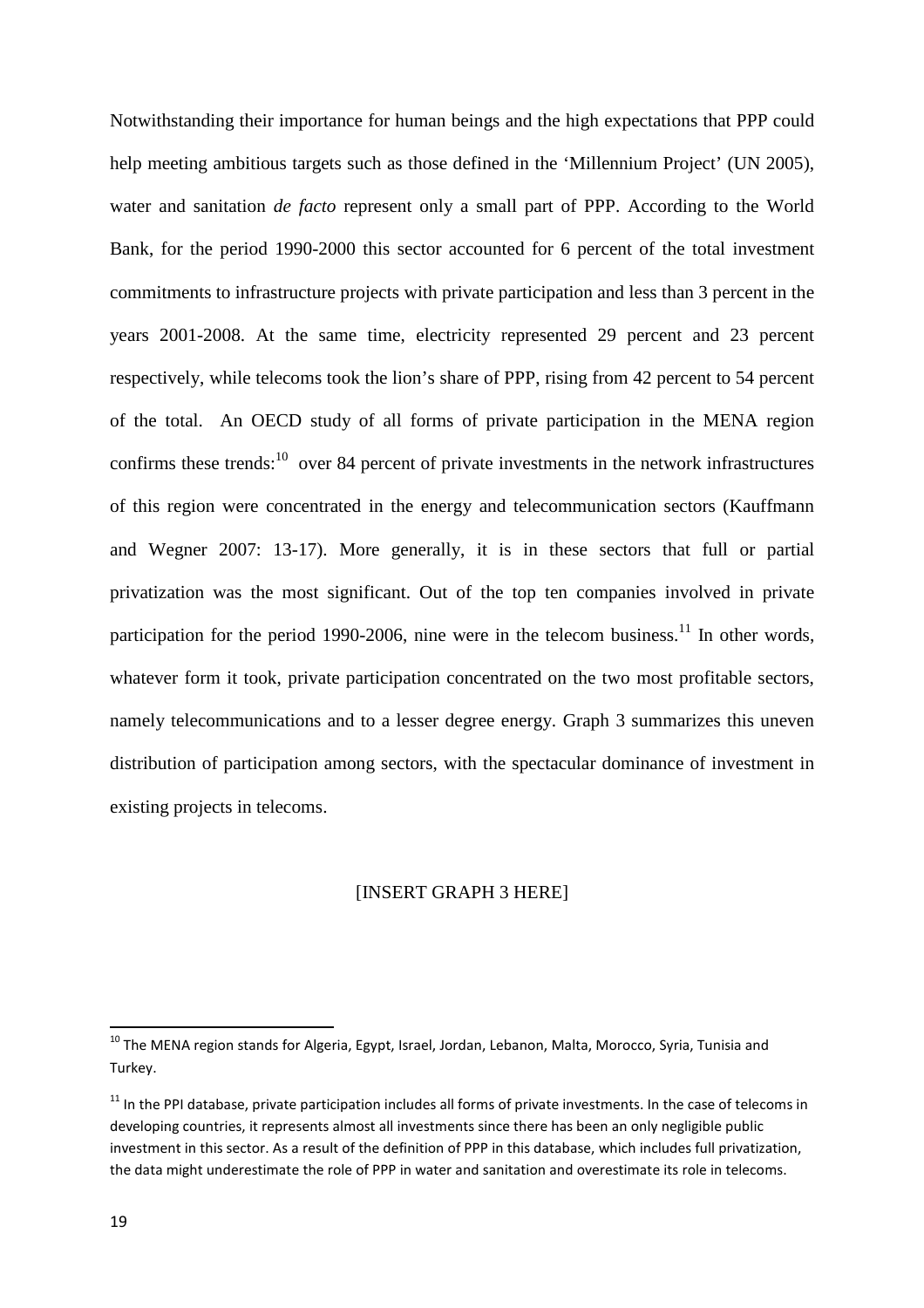Notwithstanding their importance for human beings and the high expectations that PPP could help meeting ambitious targets such as those defined in the 'Millennium Project' (UN 2005), water and sanitation *de facto* represent only a small part of PPP. According to the World Bank, for the period 1990-2000 this sector accounted for 6 percent of the total investment commitments to infrastructure projects with private participation and less than 3 percent in the years 2001-2008. At the same time, electricity represented 29 percent and 23 percent respectively, while telecoms took the lion's share of PPP, rising from 42 percent to 54 percent of the total. An OECD study of all forms of private participation in the MENA region confirms these trends: $^{10}$  over 84 percent of private investments in the network infrastructures of this region were concentrated in the energy and telecommunication sectors (Kauffmann and Wegner 2007: 13-17). More generally, it is in these sectors that full or partial privatization was the most significant. Out of the top ten companies involved in private participation for the period 1990-2006, nine were in the telecom business.<sup>11</sup> In other words, whatever form it took, private participation concentrated on the two most profitable sectors, namely telecommunications and to a lesser degree energy. Graph 3 summarizes this uneven distribution of participation among sectors, with the spectacular dominance of investment in existing projects in telecoms.

#### [INSERT GRAPH 3 HERE]

<sup>&</sup>lt;sup>10</sup> The MENA region stands for Algeria, Egypt, Israel, Jordan, Lebanon, Malta, Morocco, Syria, Tunisia and Turkey.

 $11$  In the PPI database, private participation includes all forms of private investments. In the case of telecoms in developing countries, it represents almost all investments since there has been an only negligible public investment in this sector. As a result of the definition of PPP in this database, which includes full privatization, the data might underestimate the role of PPP in water and sanitation and overestimate its role in telecoms.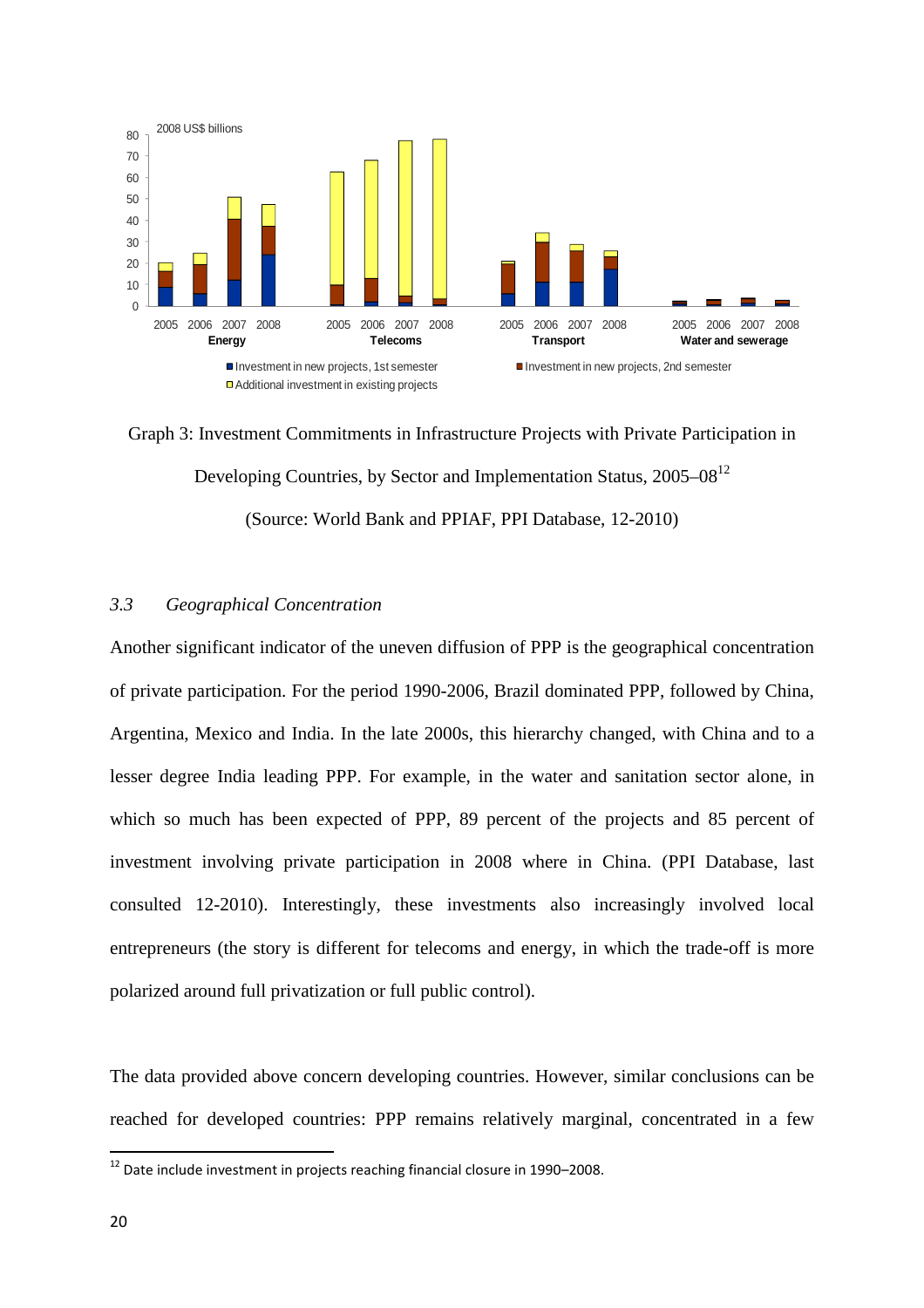

Graph 3: Investment Commitments in Infrastructure Projects with Private Participation in Developing Countries, by Sector and Implementation Status, 2005–08<sup>12</sup> (Source: World Bank and PPIAF, PPI Database, 12-2010)

## *3.3 Geographical Concentration*

Another significant indicator of the uneven diffusion of PPP is the geographical concentration of private participation. For the period 1990-2006, Brazil dominated PPP, followed by China, Argentina, Mexico and India. In the late 2000s, this hierarchy changed, with China and to a lesser degree India leading PPP. For example, in the water and sanitation sector alone, in which so much has been expected of PPP, 89 percent of the projects and 85 percent of investment involving private participation in 2008 where in China. (PPI Database, last consulted 12-2010). Interestingly, these investments also increasingly involved local entrepreneurs (the story is different for telecoms and energy, in which the trade-off is more polarized around full privatization or full public control).

The data provided above concern developing countries. However, similar conclusions can be reached for developed countries: PPP remains relatively marginal, concentrated in a few

<sup>&</sup>lt;sup>12</sup> Date include investment in projects reaching financial closure in 1990–2008.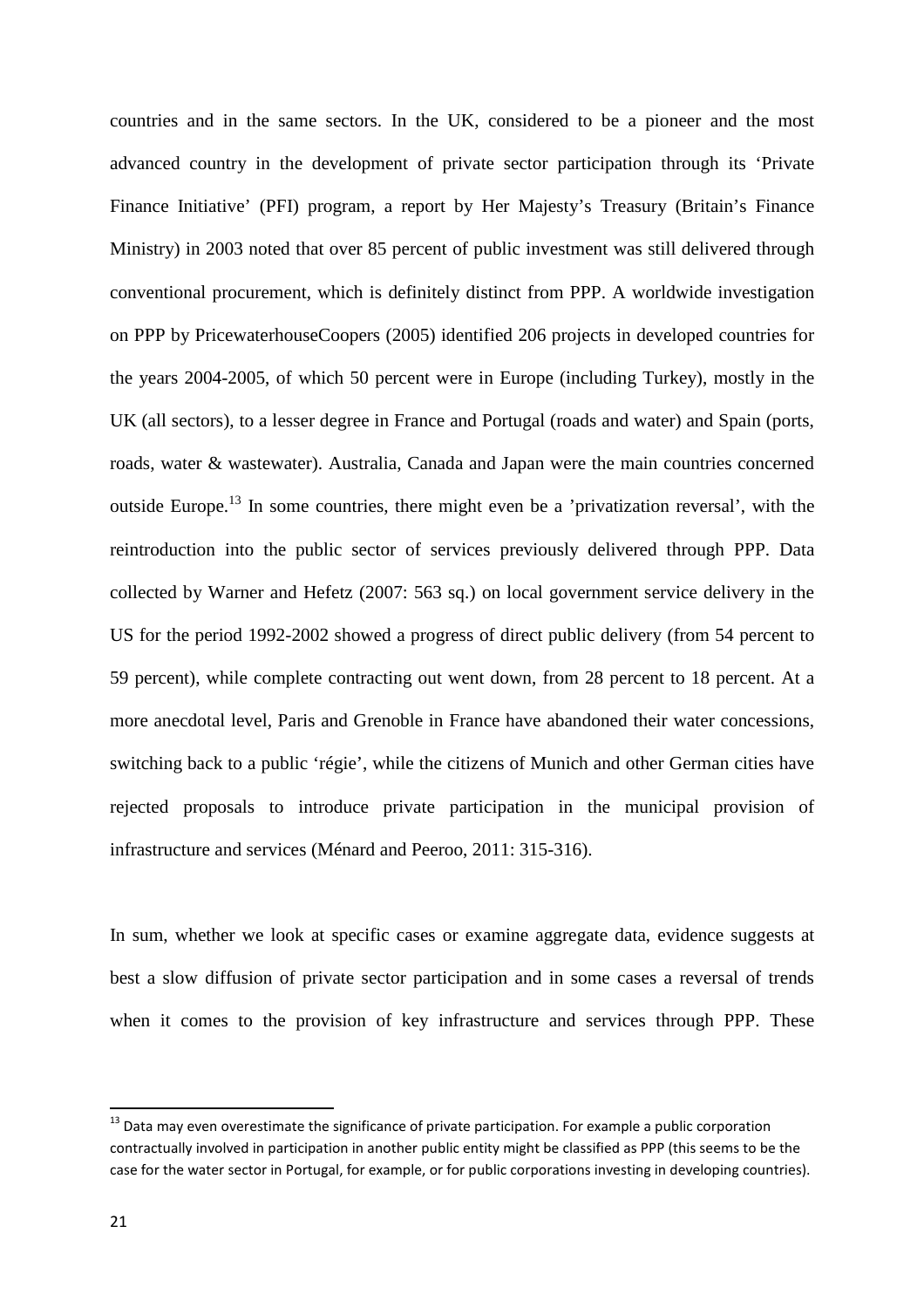countries and in the same sectors. In the UK, considered to be a pioneer and the most advanced country in the development of private sector participation through its 'Private Finance Initiative' (PFI) program, a report by Her Majesty's Treasury (Britain's Finance Ministry) in 2003 noted that over 85 percent of public investment was still delivered through conventional procurement, which is definitely distinct from PPP. A worldwide investigation on PPP by PricewaterhouseCoopers (2005) identified 206 projects in developed countries for the years 2004-2005, of which 50 percent were in Europe (including Turkey), mostly in the UK (all sectors), to a lesser degree in France and Portugal (roads and water) and Spain (ports, roads, water & wastewater). Australia, Canada and Japan were the main countries concerned outside Europe.<sup>13</sup> In some countries, there might even be a 'privatization reversal', with the reintroduction into the public sector of services previously delivered through PPP. Data collected by Warner and Hefetz (2007: 563 sq.) on local government service delivery in the US for the period 1992-2002 showed a progress of direct public delivery (from 54 percent to 59 percent), while complete contracting out went down, from 28 percent to 18 percent. At a more anecdotal level, Paris and Grenoble in France have abandoned their water concessions, switching back to a public 'régie', while the citizens of Munich and other German cities have rejected proposals to introduce private participation in the municipal provision of infrastructure and services (Ménard and Peeroo, 2011: 315-316).

In sum, whether we look at specific cases or examine aggregate data, evidence suggests at best a slow diffusion of private sector participation and in some cases a reversal of trends when it comes to the provision of key infrastructure and services through PPP. These

<sup>&</sup>lt;sup>13</sup> Data may even overestimate the significance of private participation. For example a public corporation contractually involved in participation in another public entity might be classified as PPP (this seems to be the case for the water sector in Portugal, for example, or for public corporations investing in developing countries).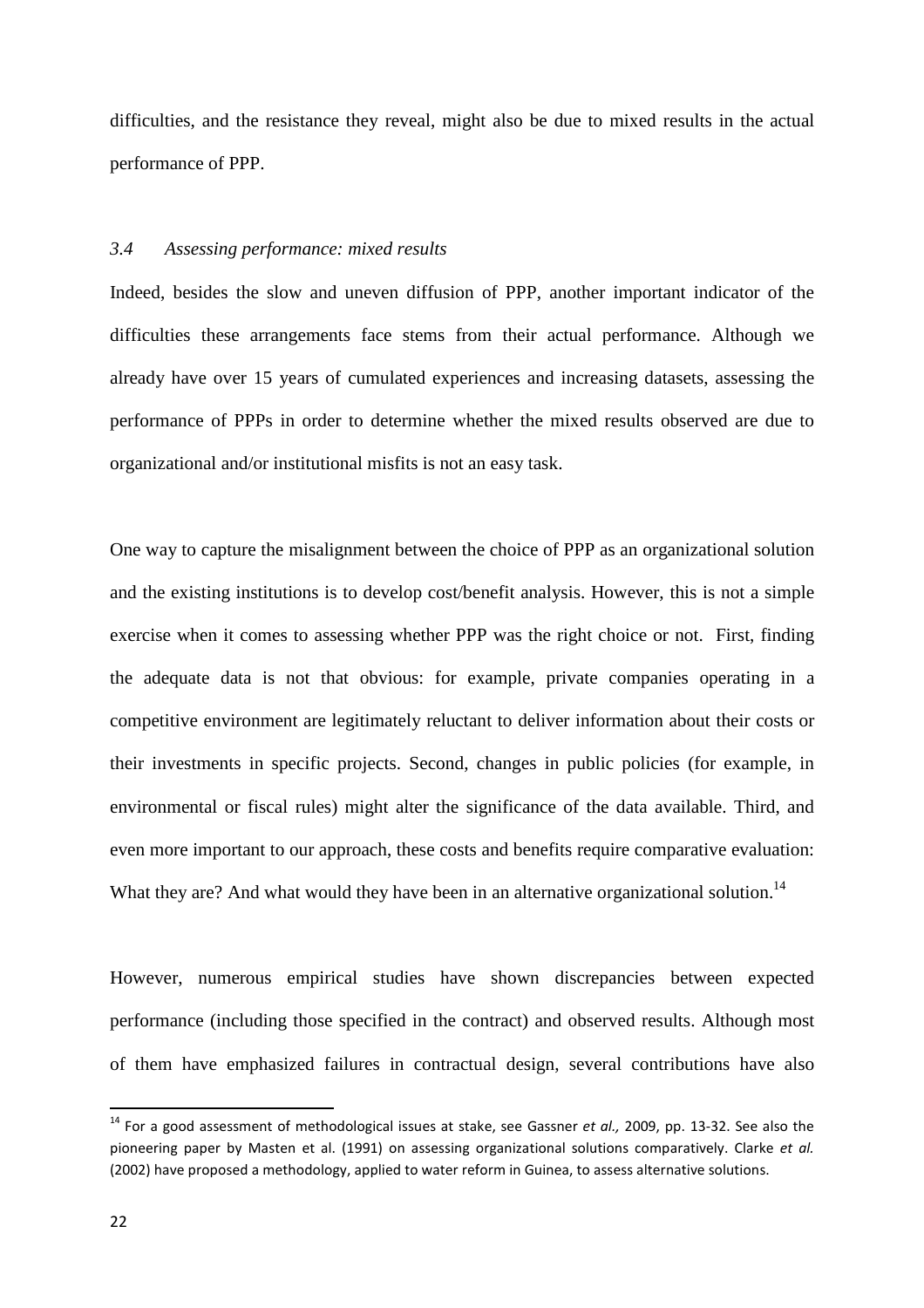difficulties, and the resistance they reveal, might also be due to mixed results in the actual performance of PPP.

#### *3.4 Assessing performance: mixed results*

Indeed, besides the slow and uneven diffusion of PPP, another important indicator of the difficulties these arrangements face stems from their actual performance. Although we already have over 15 years of cumulated experiences and increasing datasets, assessing the performance of PPPs in order to determine whether the mixed results observed are due to organizational and/or institutional misfits is not an easy task.

One way to capture the misalignment between the choice of PPP as an organizational solution and the existing institutions is to develop cost/benefit analysis. However, this is not a simple exercise when it comes to assessing whether PPP was the right choice or not. First, finding the adequate data is not that obvious: for example, private companies operating in a competitive environment are legitimately reluctant to deliver information about their costs or their investments in specific projects. Second, changes in public policies (for example, in environmental or fiscal rules) might alter the significance of the data available. Third, and even more important to our approach, these costs and benefits require comparative evaluation: What they are? And what would they have been in an alternative organizational solution.<sup>14</sup>

However, numerous empirical studies have shown discrepancies between expected performance (including those specified in the contract) and observed results. Although most of them have emphasized failures in contractual design, several contributions have also

<sup>14</sup> For a good assessment of methodological issues at stake, see Gassner *et al.,* 2009, pp. 13-32. See also the pioneering paper by Masten et al. (1991) on assessing organizational solutions comparatively. Clarke *et al.* (2002) have proposed a methodology, applied to water reform in Guinea, to assess alternative solutions.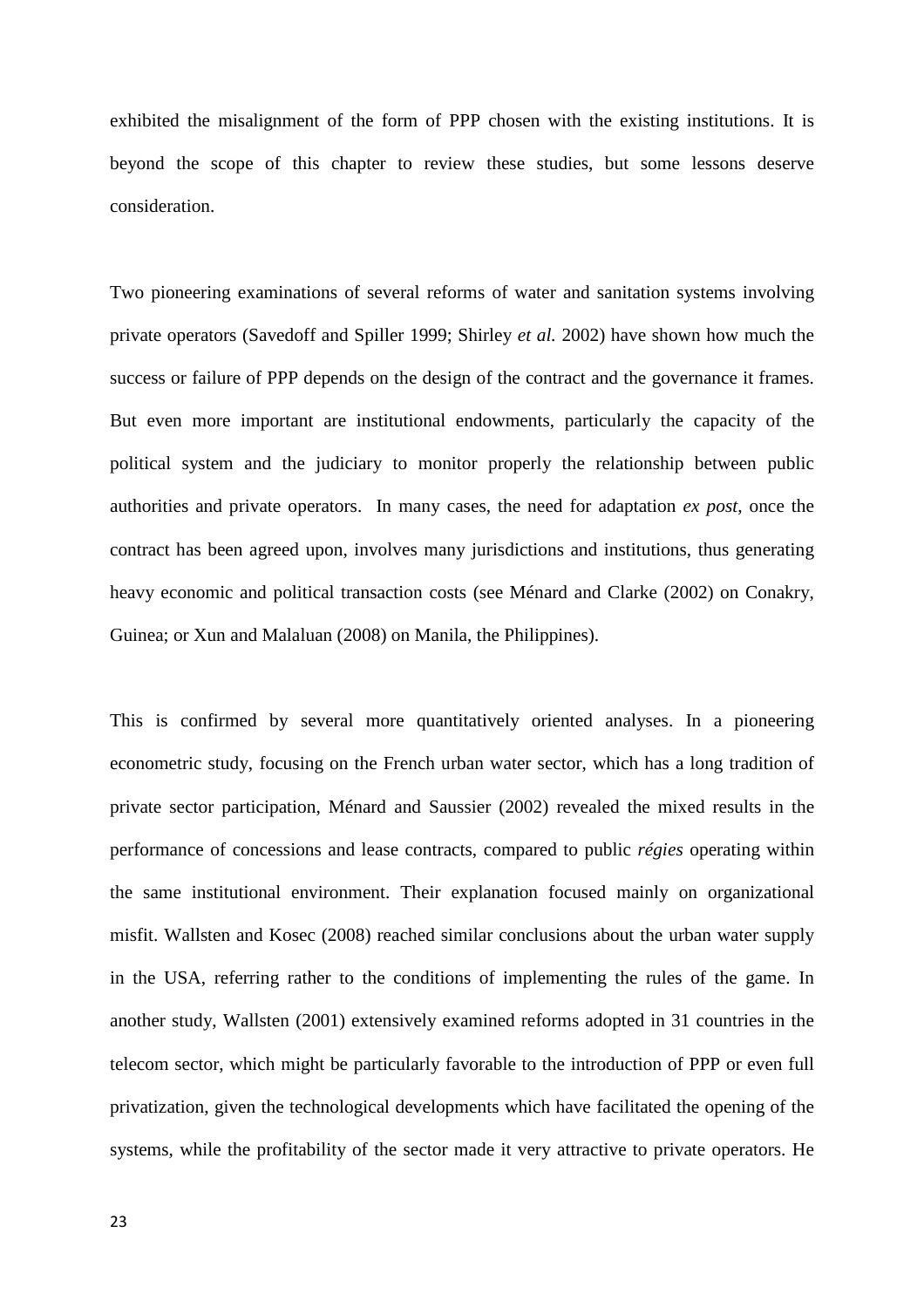exhibited the misalignment of the form of PPP chosen with the existing institutions. It is beyond the scope of this chapter to review these studies, but some lessons deserve consideration.

Two pioneering examinations of several reforms of water and sanitation systems involving private operators (Savedoff and Spiller 1999; Shirley *et al.* 2002) have shown how much the success or failure of PPP depends on the design of the contract and the governance it frames. But even more important are institutional endowments, particularly the capacity of the political system and the judiciary to monitor properly the relationship between public authorities and private operators. In many cases, the need for adaptation *ex post*, once the contract has been agreed upon, involves many jurisdictions and institutions, thus generating heavy economic and political transaction costs (see Ménard and Clarke (2002) on Conakry, Guinea; or Xun and Malaluan (2008) on Manila, the Philippines).

This is confirmed by several more quantitatively oriented analyses. In a pioneering econometric study, focusing on the French urban water sector, which has a long tradition of private sector participation, Ménard and Saussier (2002) revealed the mixed results in the performance of concessions and lease contracts, compared to public *régies* operating within the same institutional environment. Their explanation focused mainly on organizational misfit. Wallsten and Kosec (2008) reached similar conclusions about the urban water supply in the USA, referring rather to the conditions of implementing the rules of the game. In another study, Wallsten (2001) extensively examined reforms adopted in 31 countries in the telecom sector, which might be particularly favorable to the introduction of PPP or even full privatization, given the technological developments which have facilitated the opening of the systems, while the profitability of the sector made it very attractive to private operators. He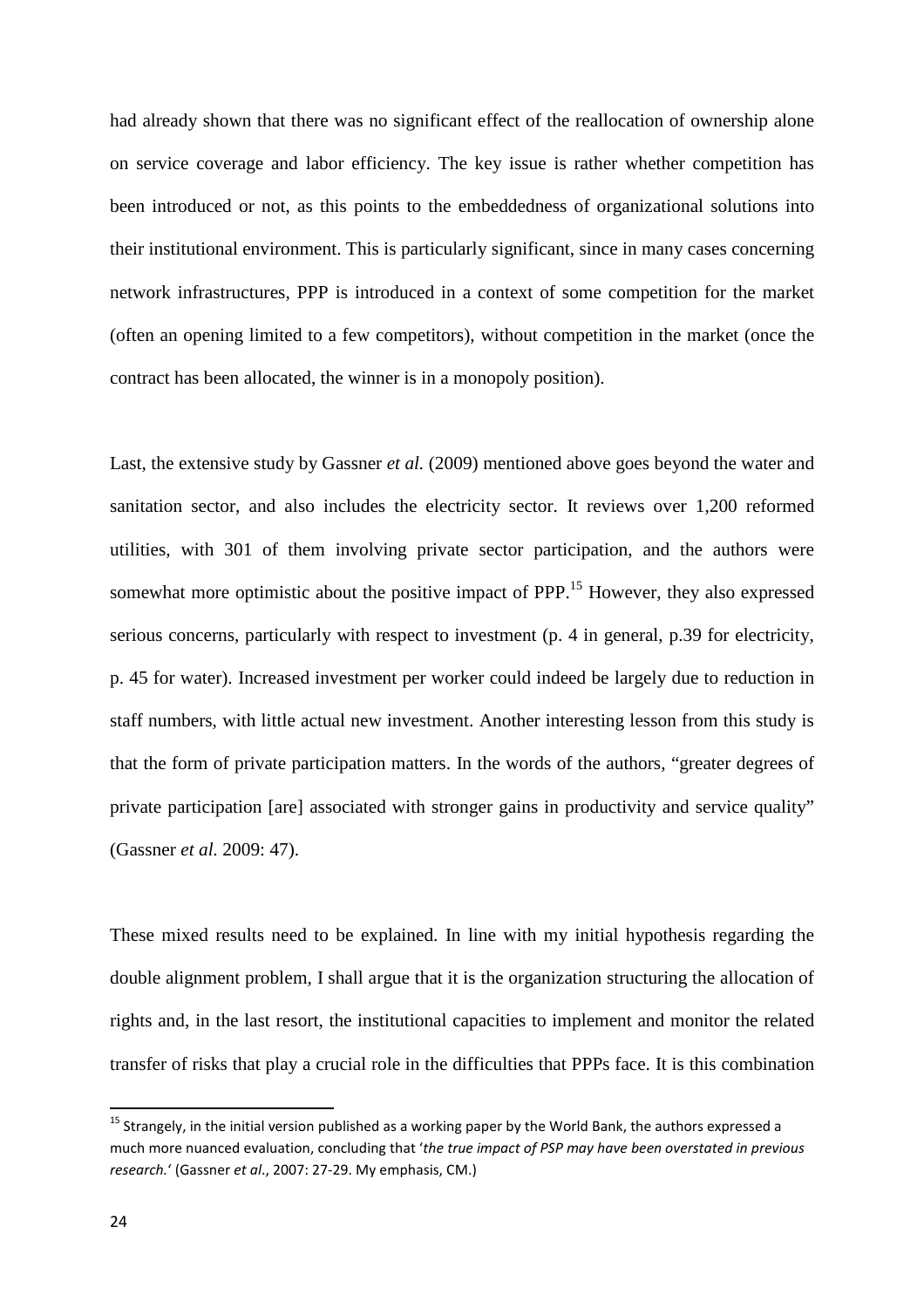had already shown that there was no significant effect of the reallocation of ownership alone on service coverage and labor efficiency. The key issue is rather whether competition has been introduced or not, as this points to the embeddedness of organizational solutions into their institutional environment. This is particularly significant, since in many cases concerning network infrastructures, PPP is introduced in a context of some competition for the market (often an opening limited to a few competitors), without competition in the market (once the contract has been allocated, the winner is in a monopoly position).

Last, the extensive study by Gassner *et al.* (2009) mentioned above goes beyond the water and sanitation sector, and also includes the electricity sector. It reviews over 1,200 reformed utilities, with 301 of them involving private sector participation, and the authors were somewhat more optimistic about the positive impact of PPP.<sup>15</sup> However, they also expressed serious concerns, particularly with respect to investment (p. 4 in general, p.39 for electricity, p. 45 for water). Increased investment per worker could indeed be largely due to reduction in staff numbers, with little actual new investment. Another interesting lesson from this study is that the form of private participation matters. In the words of the authors, "greater degrees of private participation [are] associated with stronger gains in productivity and service quality" (Gassner *et al.* 2009: 47).

These mixed results need to be explained. In line with my initial hypothesis regarding the double alignment problem, I shall argue that it is the organization structuring the allocation of rights and, in the last resort, the institutional capacities to implement and monitor the related transfer of risks that play a crucial role in the difficulties that PPPs face. It is this combination

<sup>&</sup>lt;sup>15</sup> Strangely, in the initial version published as a working paper by the World Bank, the authors expressed a much more nuanced evaluation, concluding that '*the true impact of PSP may have been overstated in previous research.*' (Gassner *et al*., 2007: 27-29. My emphasis, CM.)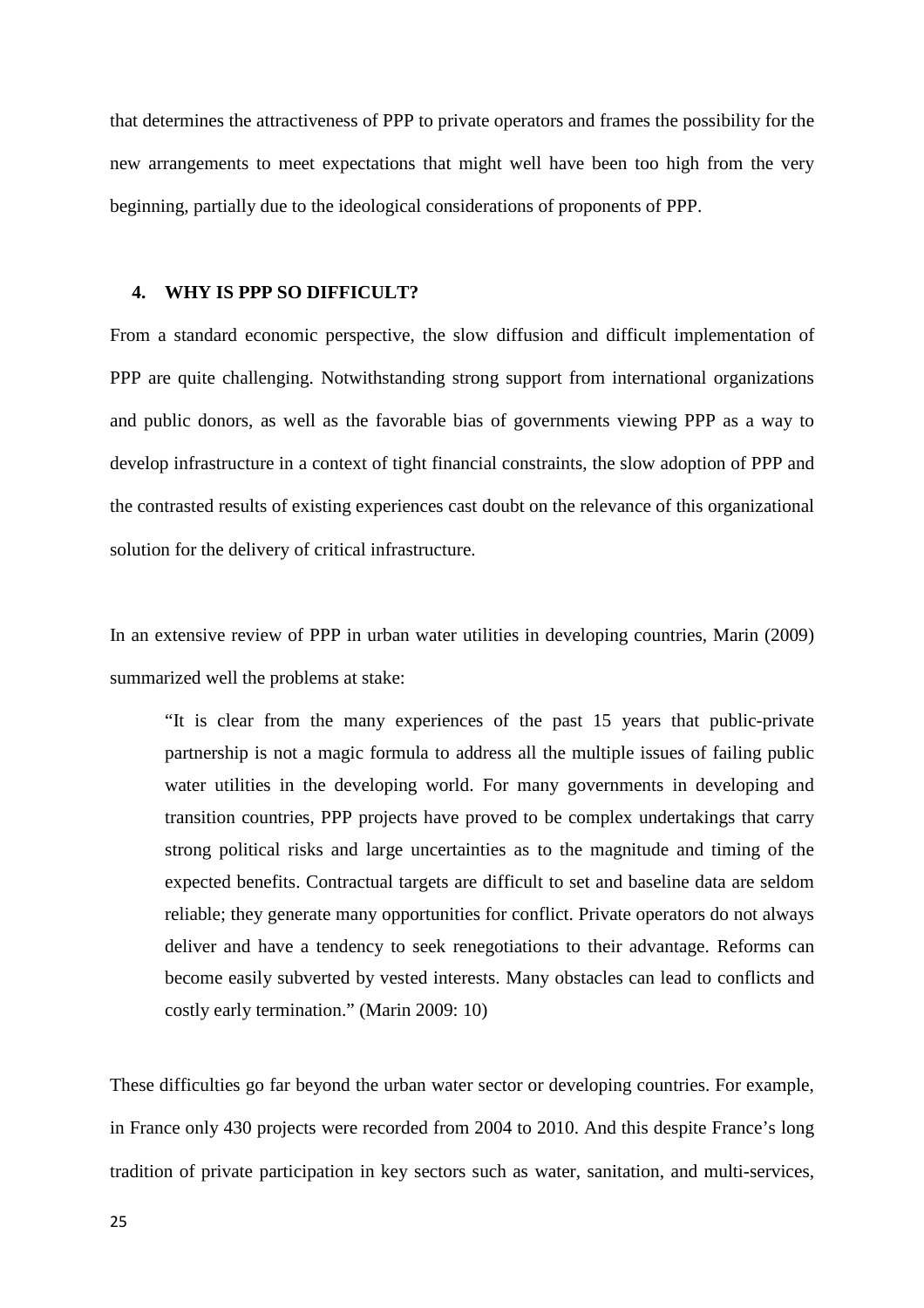that determines the attractiveness of PPP to private operators and frames the possibility for the new arrangements to meet expectations that might well have been too high from the very beginning, partially due to the ideological considerations of proponents of PPP.

#### **4. WHY IS PPP SO DIFFICULT?**

From a standard economic perspective, the slow diffusion and difficult implementation of PPP are quite challenging. Notwithstanding strong support from international organizations and public donors, as well as the favorable bias of governments viewing PPP as a way to develop infrastructure in a context of tight financial constraints, the slow adoption of PPP and the contrasted results of existing experiences cast doubt on the relevance of this organizational solution for the delivery of critical infrastructure.

In an extensive review of PPP in urban water utilities in developing countries, Marin (2009) summarized well the problems at stake:

"It is clear from the many experiences of the past 15 years that public-private partnership is not a magic formula to address all the multiple issues of failing public water utilities in the developing world. For many governments in developing and transition countries, PPP projects have proved to be complex undertakings that carry strong political risks and large uncertainties as to the magnitude and timing of the expected benefits. Contractual targets are difficult to set and baseline data are seldom reliable; they generate many opportunities for conflict. Private operators do not always deliver and have a tendency to seek renegotiations to their advantage. Reforms can become easily subverted by vested interests. Many obstacles can lead to conflicts and costly early termination." (Marin 2009: 10)

These difficulties go far beyond the urban water sector or developing countries. For example, in France only 430 projects were recorded from 2004 to 2010. And this despite France's long tradition of private participation in key sectors such as water, sanitation, and multi-services,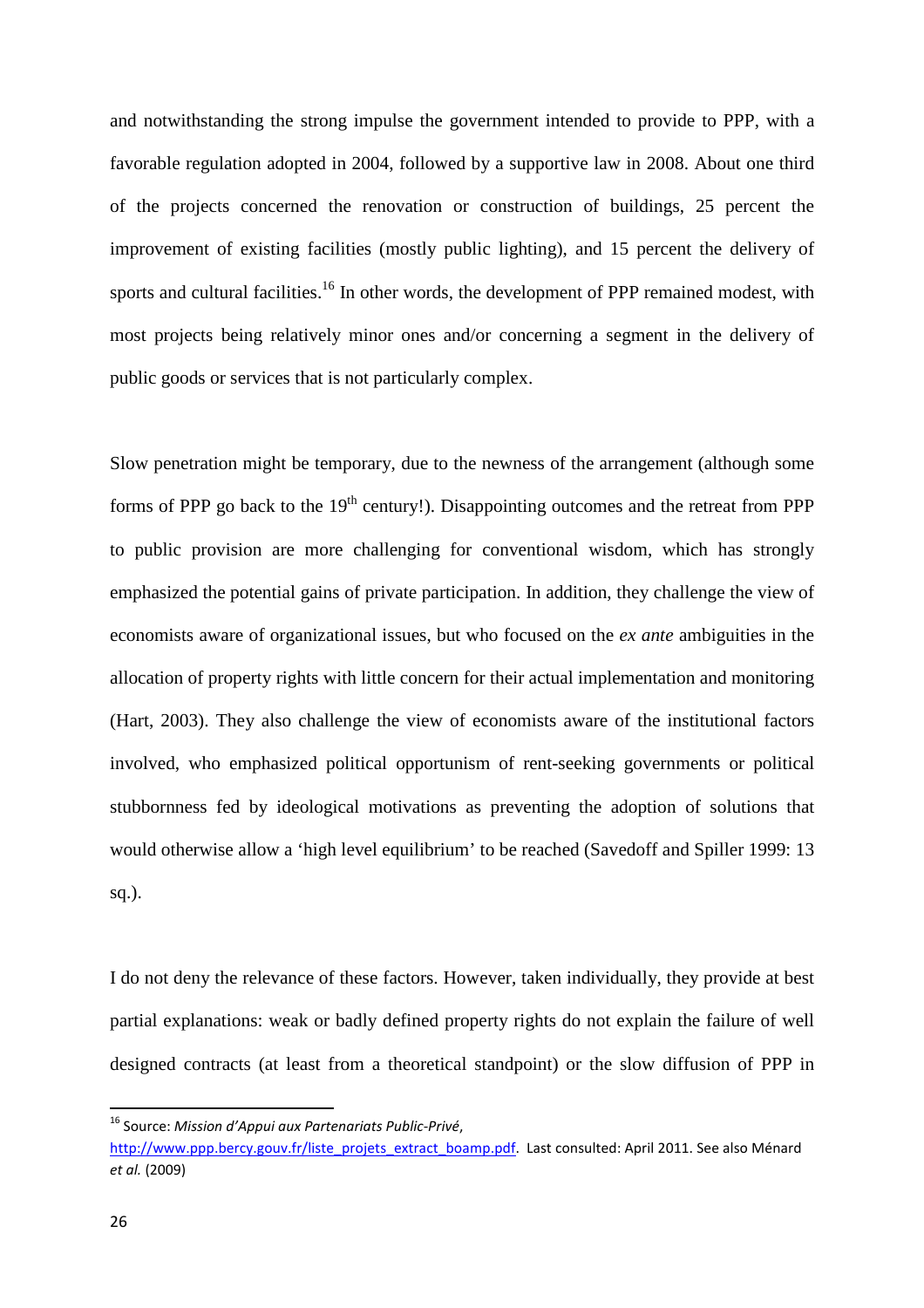and notwithstanding the strong impulse the government intended to provide to PPP, with a favorable regulation adopted in 2004, followed by a supportive law in 2008. About one third of the projects concerned the renovation or construction of buildings, 25 percent the improvement of existing facilities (mostly public lighting), and 15 percent the delivery of sports and cultural facilities.<sup>16</sup> In other words, the development of PPP remained modest, with most projects being relatively minor ones and/or concerning a segment in the delivery of public goods or services that is not particularly complex.

Slow penetration might be temporary, due to the newness of the arrangement (although some forms of PPP go back to the  $19<sup>th</sup>$  century!). Disappointing outcomes and the retreat from PPP to public provision are more challenging for conventional wisdom, which has strongly emphasized the potential gains of private participation. In addition, they challenge the view of economists aware of organizational issues, but who focused on the *ex ante* ambiguities in the allocation of property rights with little concern for their actual implementation and monitoring (Hart, 2003). They also challenge the view of economists aware of the institutional factors involved, who emphasized political opportunism of rent-seeking governments or political stubbornness fed by ideological motivations as preventing the adoption of solutions that would otherwise allow a 'high level equilibrium' to be reached (Savedoff and Spiller 1999: 13 sq.).

I do not deny the relevance of these factors. However, taken individually, they provide at best partial explanations: weak or badly defined property rights do not explain the failure of well designed contracts (at least from a theoretical standpoint) or the slow diffusion of PPP in

<sup>16</sup> Source: *Mission d'Appui aux Partenariats Public-Privé*,

http://www.ppp.bercy.gouv.fr/liste\_projets\_extract\_boamp.pdf.\_Last consulted: April 2011. See also Ménard *et al.* (2009)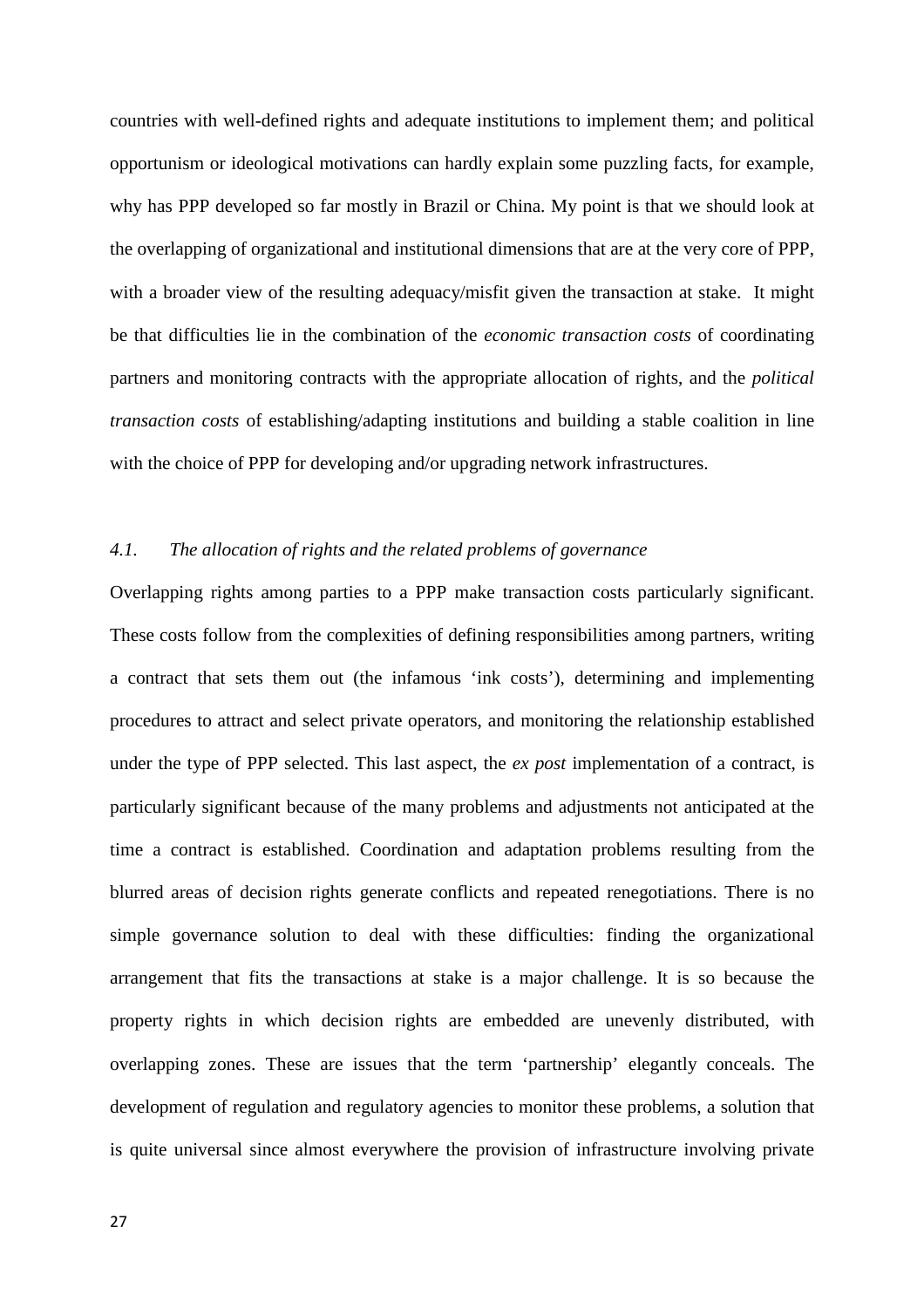countries with well-defined rights and adequate institutions to implement them; and political opportunism or ideological motivations can hardly explain some puzzling facts, for example, why has PPP developed so far mostly in Brazil or China. My point is that we should look at the overlapping of organizational and institutional dimensions that are at the very core of PPP, with a broader view of the resulting adequacy/misfit given the transaction at stake. It might be that difficulties lie in the combination of the *economic transaction costs* of coordinating partners and monitoring contracts with the appropriate allocation of rights, and the *political transaction costs* of establishing/adapting institutions and building a stable coalition in line with the choice of PPP for developing and/or upgrading network infrastructures.

#### *4.1. The allocation of rights and the related problems of governance*

Overlapping rights among parties to a PPP make transaction costs particularly significant. These costs follow from the complexities of defining responsibilities among partners, writing a contract that sets them out (the infamous 'ink costs'), determining and implementing procedures to attract and select private operators, and monitoring the relationship established under the type of PPP selected. This last aspect, the *ex post* implementation of a contract, is particularly significant because of the many problems and adjustments not anticipated at the time a contract is established. Coordination and adaptation problems resulting from the blurred areas of decision rights generate conflicts and repeated renegotiations. There is no simple governance solution to deal with these difficulties: finding the organizational arrangement that fits the transactions at stake is a major challenge. It is so because the property rights in which decision rights are embedded are unevenly distributed, with overlapping zones. These are issues that the term 'partnership' elegantly conceals. The development of regulation and regulatory agencies to monitor these problems, a solution that is quite universal since almost everywhere the provision of infrastructure involving private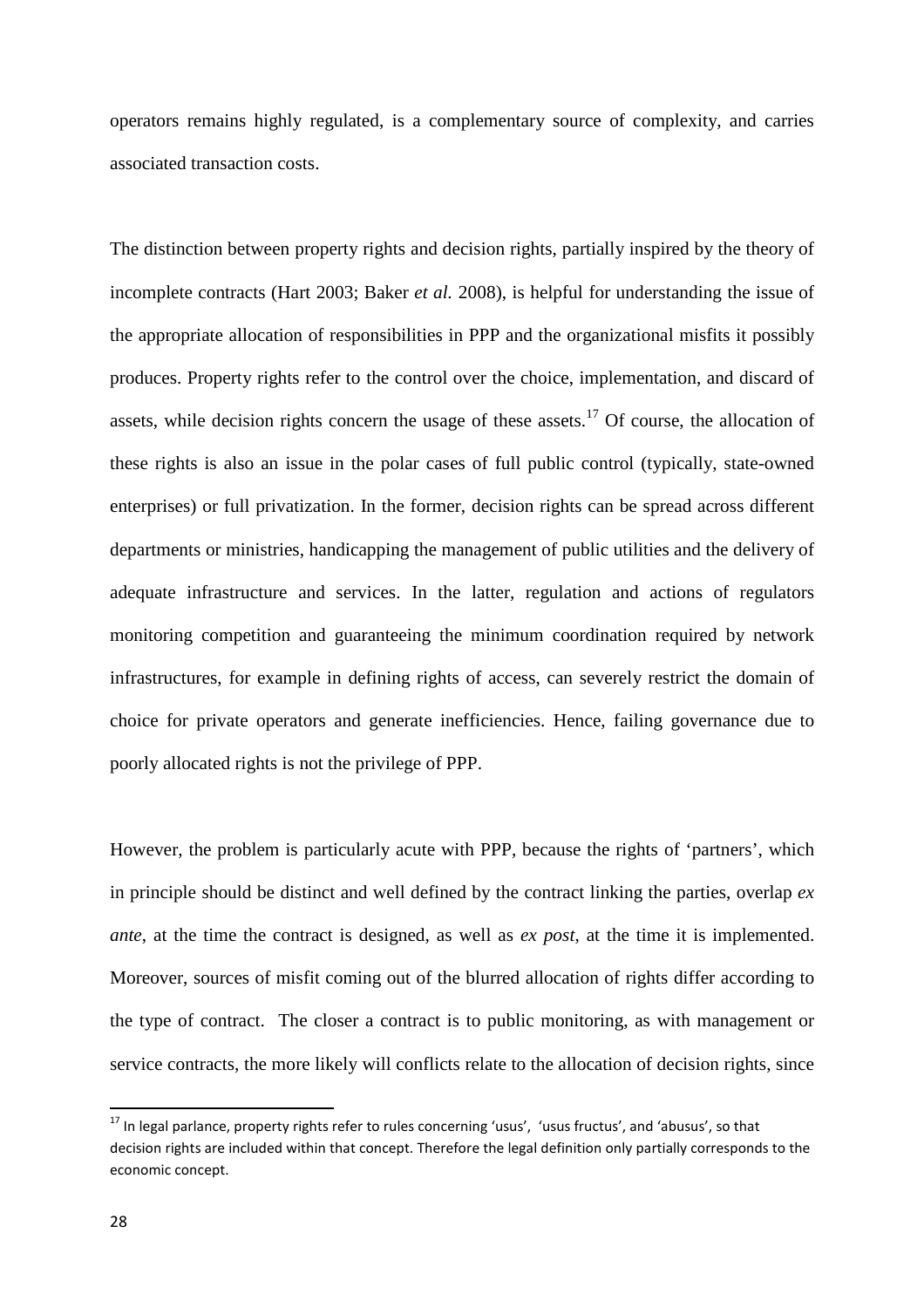operators remains highly regulated, is a complementary source of complexity, and carries associated transaction costs.

The distinction between property rights and decision rights, partially inspired by the theory of incomplete contracts (Hart 2003; Baker *et al.* 2008), is helpful for understanding the issue of the appropriate allocation of responsibilities in PPP and the organizational misfits it possibly produces. Property rights refer to the control over the choice, implementation, and discard of assets, while decision rights concern the usage of these assets.<sup>17</sup> Of course, the allocation of these rights is also an issue in the polar cases of full public control (typically, state-owned enterprises) or full privatization. In the former, decision rights can be spread across different departments or ministries, handicapping the management of public utilities and the delivery of adequate infrastructure and services. In the latter, regulation and actions of regulators monitoring competition and guaranteeing the minimum coordination required by network infrastructures, for example in defining rights of access, can severely restrict the domain of choice for private operators and generate inefficiencies. Hence, failing governance due to poorly allocated rights is not the privilege of PPP.

However, the problem is particularly acute with PPP, because the rights of 'partners', which in principle should be distinct and well defined by the contract linking the parties, overlap *ex ante*, at the time the contract is designed, as well as *ex post*, at the time it is implemented. Moreover, sources of misfit coming out of the blurred allocation of rights differ according to the type of contract. The closer a contract is to public monitoring, as with management or service contracts, the more likely will conflicts relate to the allocation of decision rights, since

<sup>&</sup>lt;sup>17</sup> In legal parlance, property rights refer to rules concerning 'usus', 'usus fructus', and 'abusus', so that decision rights are included within that concept. Therefore the legal definition only partially corresponds to the economic concept.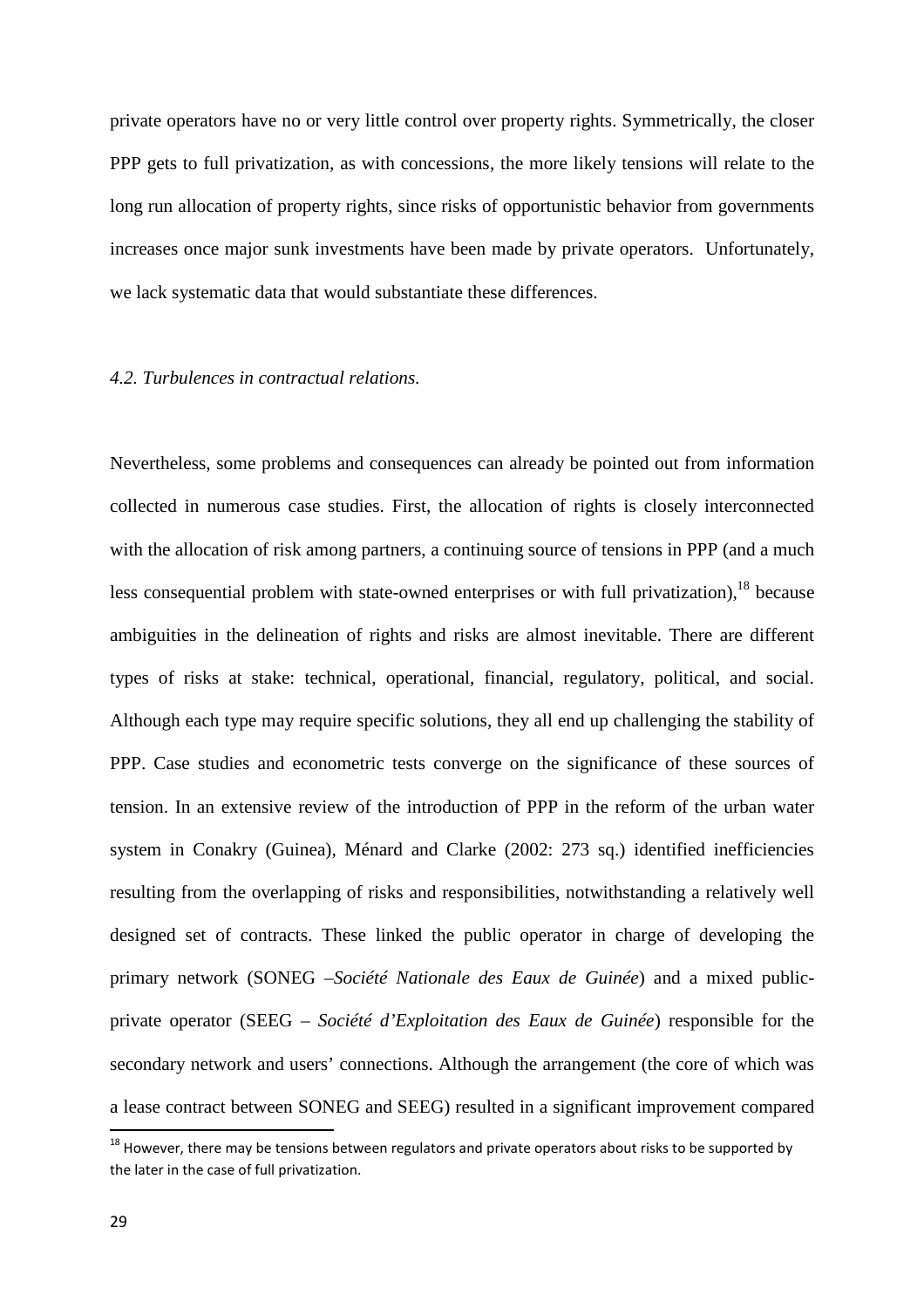private operators have no or very little control over property rights. Symmetrically, the closer PPP gets to full privatization, as with concessions, the more likely tensions will relate to the long run allocation of property rights, since risks of opportunistic behavior from governments increases once major sunk investments have been made by private operators. Unfortunately, we lack systematic data that would substantiate these differences.

#### *4.2. Turbulences in contractual relations.*

Nevertheless, some problems and consequences can already be pointed out from information collected in numerous case studies. First, the allocation of rights is closely interconnected with the allocation of risk among partners, a continuing source of tensions in PPP (and a much less consequential problem with state-owned enterprises or with full privatization),  $^{18}$  because ambiguities in the delineation of rights and risks are almost inevitable. There are different types of risks at stake: technical, operational, financial, regulatory, political, and social. Although each type may require specific solutions, they all end up challenging the stability of PPP. Case studies and econometric tests converge on the significance of these sources of tension. In an extensive review of the introduction of PPP in the reform of the urban water system in Conakry (Guinea), Ménard and Clarke (2002: 273 sq.) identified inefficiencies resulting from the overlapping of risks and responsibilities, notwithstanding a relatively well designed set of contracts. These linked the public operator in charge of developing the primary network (SONEG –*Société Nationale des Eaux de Guinée*) and a mixed publicprivate operator (SEEG – *Société d'Exploitation des Eaux de Guinée*) responsible for the secondary network and users' connections. Although the arrangement (the core of which was a lease contract between SONEG and SEEG) resulted in a significant improvement compared

 $^{18}$  However, there may be tensions between regulators and private operators about risks to be supported by the later in the case of full privatization.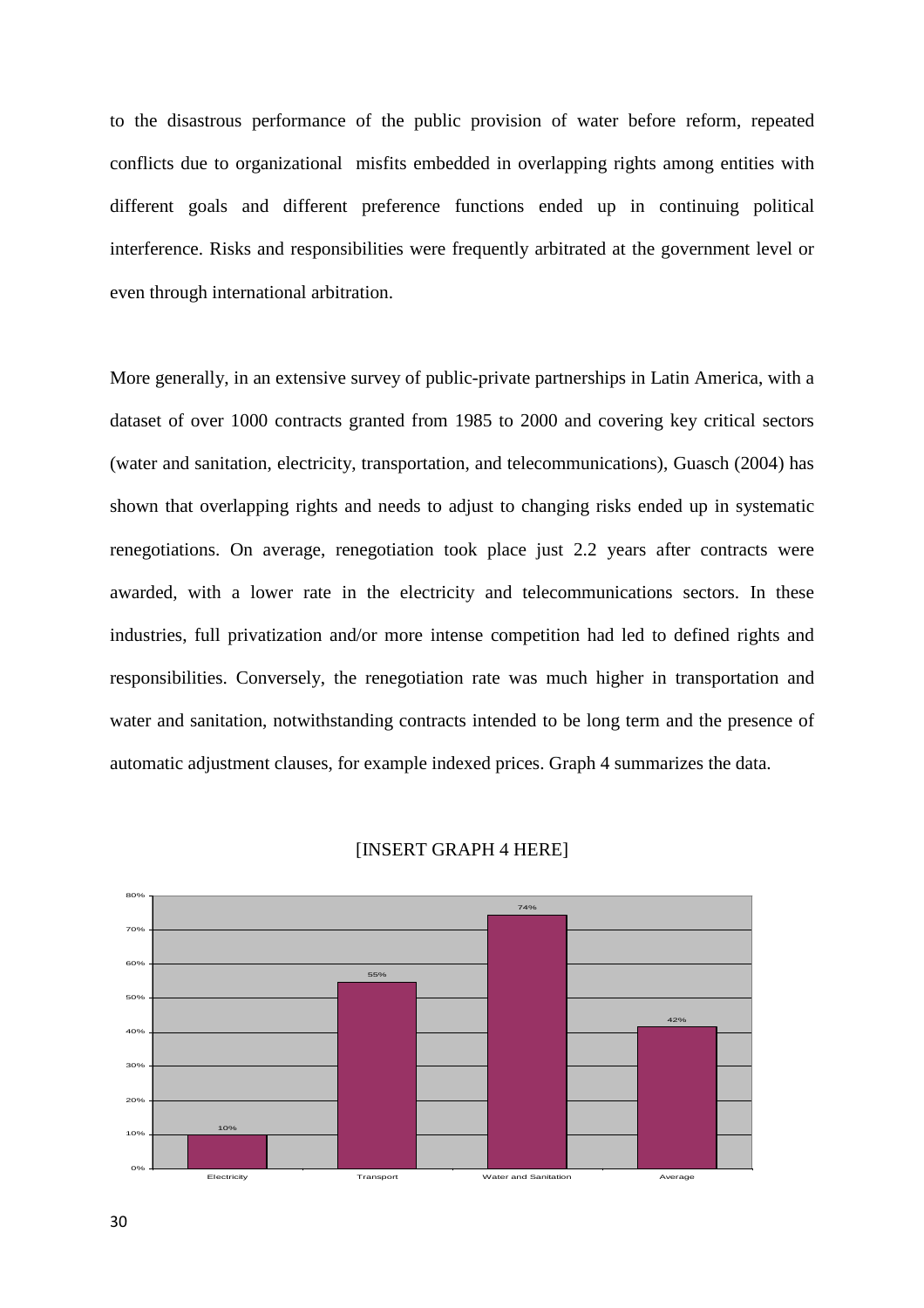to the disastrous performance of the public provision of water before reform, repeated conflicts due to organizational misfits embedded in overlapping rights among entities with different goals and different preference functions ended up in continuing political interference. Risks and responsibilities were frequently arbitrated at the government level or even through international arbitration.

More generally, in an extensive survey of public-private partnerships in Latin America, with a dataset of over 1000 contracts granted from 1985 to 2000 and covering key critical sectors (water and sanitation, electricity, transportation, and telecommunications), Guasch (2004) has shown that overlapping rights and needs to adjust to changing risks ended up in systematic renegotiations. On average, renegotiation took place just 2.2 years after contracts were awarded, with a lower rate in the electricity and telecommunications sectors. In these industries, full privatization and/or more intense competition had led to defined rights and responsibilities. Conversely, the renegotiation rate was much higher in transportation and water and sanitation, notwithstanding contracts intended to be long term and the presence of automatic adjustment clauses, for example indexed prices. Graph 4 summarizes the data.



[INSERT GRAPH 4 HERE]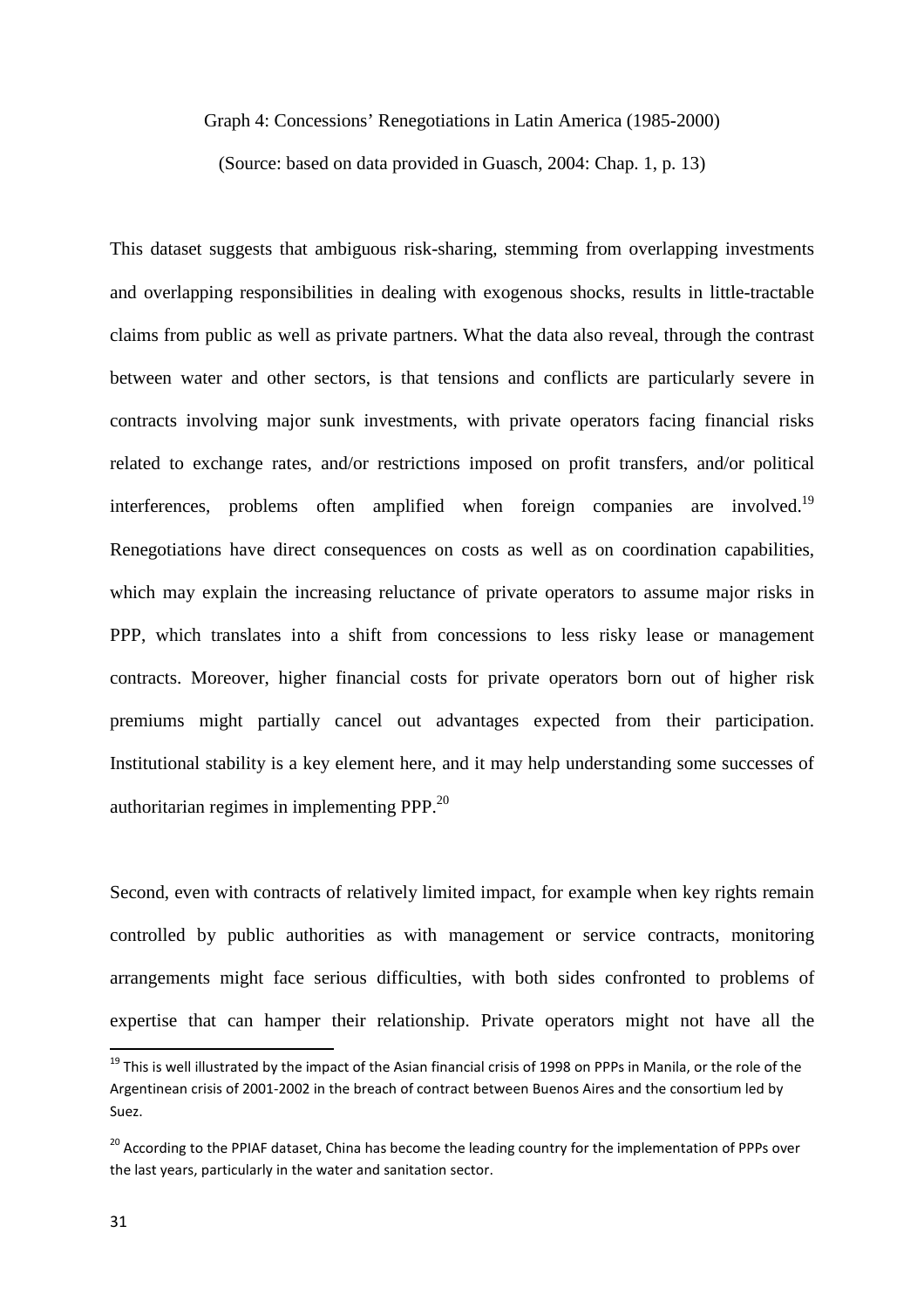Graph 4: Concessions' Renegotiations in Latin America (1985-2000)

(Source: based on data provided in Guasch, 2004: Chap. 1, p. 13)

This dataset suggests that ambiguous risk-sharing, stemming from overlapping investments and overlapping responsibilities in dealing with exogenous shocks, results in little-tractable claims from public as well as private partners. What the data also reveal, through the contrast between water and other sectors, is that tensions and conflicts are particularly severe in contracts involving major sunk investments, with private operators facing financial risks related to exchange rates, and/or restrictions imposed on profit transfers, and/or political interferences, problems often amplified when foreign companies are involved.<sup>19</sup> Renegotiations have direct consequences on costs as well as on coordination capabilities, which may explain the increasing reluctance of private operators to assume major risks in PPP, which translates into a shift from concessions to less risky lease or management contracts. Moreover, higher financial costs for private operators born out of higher risk premiums might partially cancel out advantages expected from their participation. Institutional stability is a key element here, and it may help understanding some successes of authoritarian regimes in implementing PPP. $^{20}$ 

Second, even with contracts of relatively limited impact, for example when key rights remain controlled by public authorities as with management or service contracts, monitoring arrangements might face serious difficulties, with both sides confronted to problems of expertise that can hamper their relationship. Private operators might not have all the

<sup>&</sup>lt;sup>19</sup> This is well illustrated by the impact of the Asian financial crisis of 1998 on PPPs in Manila, or the role of the Argentinean crisis of 2001-2002 in the breach of contract between Buenos Aires and the consortium led by Suez.

<sup>&</sup>lt;sup>20</sup> According to the PPIAF dataset, China has become the leading country for the implementation of PPPs over the last years, particularly in the water and sanitation sector.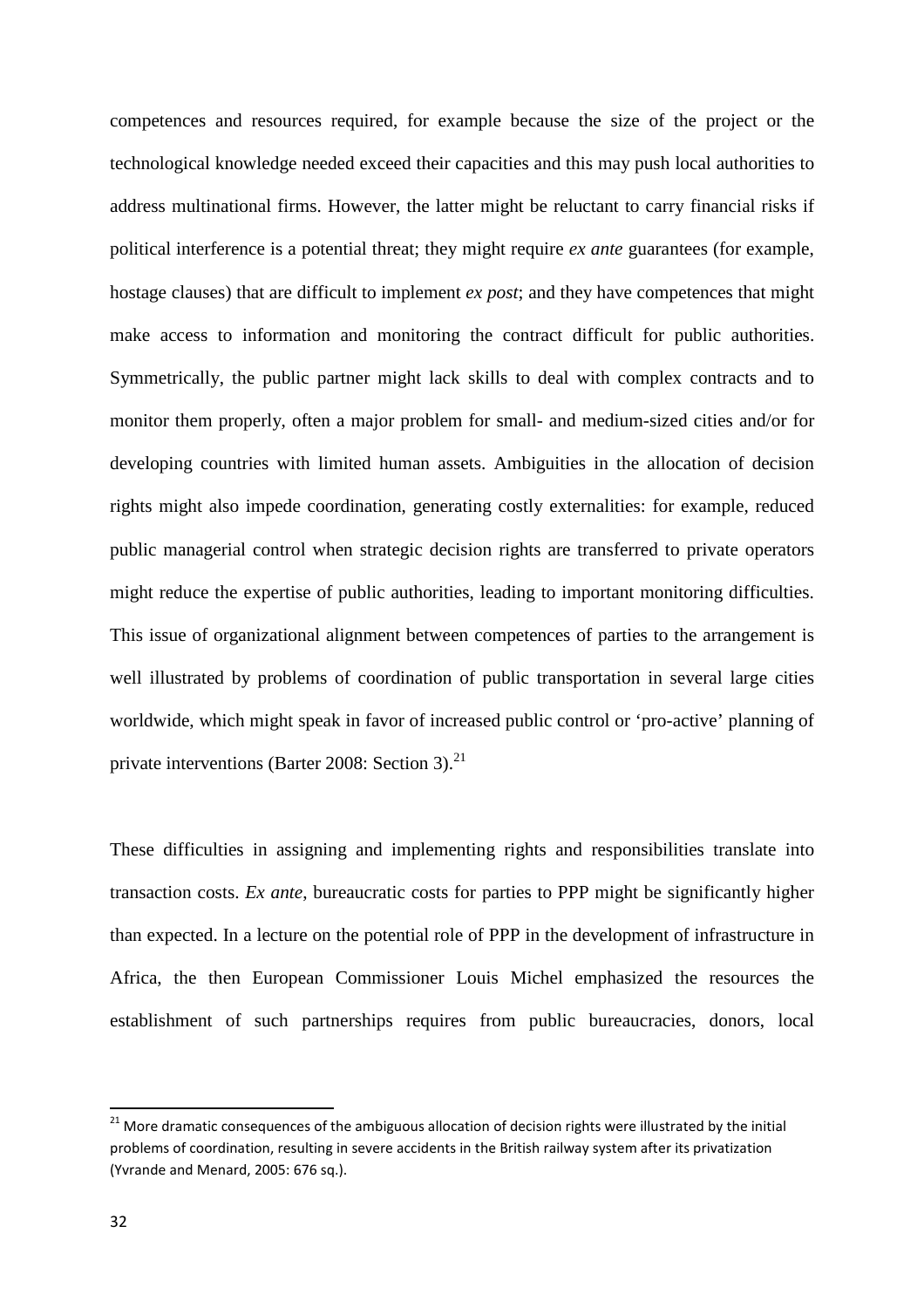competences and resources required, for example because the size of the project or the technological knowledge needed exceed their capacities and this may push local authorities to address multinational firms. However, the latter might be reluctant to carry financial risks if political interference is a potential threat; they might require *ex ante* guarantees (for example, hostage clauses) that are difficult to implement *ex post*; and they have competences that might make access to information and monitoring the contract difficult for public authorities. Symmetrically, the public partner might lack skills to deal with complex contracts and to monitor them properly, often a major problem for small- and medium-sized cities and/or for developing countries with limited human assets. Ambiguities in the allocation of decision rights might also impede coordination, generating costly externalities: for example, reduced public managerial control when strategic decision rights are transferred to private operators might reduce the expertise of public authorities, leading to important monitoring difficulties. This issue of organizational alignment between competences of parties to the arrangement is well illustrated by problems of coordination of public transportation in several large cities worldwide, which might speak in favor of increased public control or 'pro-active' planning of private interventions (Barter 2008: Section 3). $^{21}$ 

These difficulties in assigning and implementing rights and responsibilities translate into transaction costs. *Ex ante*, bureaucratic costs for parties to PPP might be significantly higher than expected. In a lecture on the potential role of PPP in the development of infrastructure in Africa, the then European Commissioner Louis Michel emphasized the resources the establishment of such partnerships requires from public bureaucracies, donors, local

<sup>&</sup>lt;sup>21</sup> More dramatic consequences of the ambiguous allocation of decision rights were illustrated by the initial problems of coordination, resulting in severe accidents in the British railway system after its privatization (Yvrande and Menard, 2005: 676 sq.).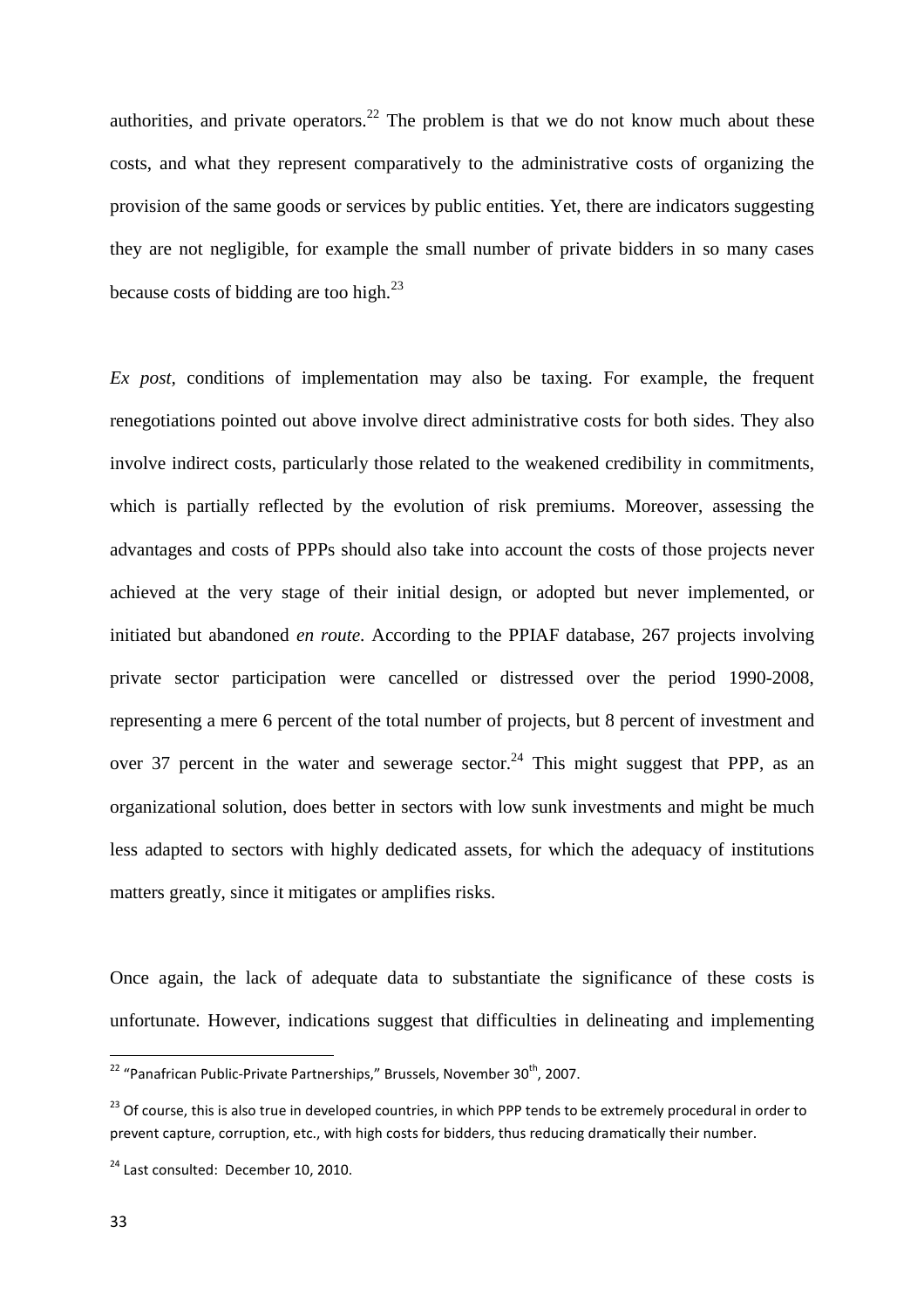authorities, and private operators.<sup>22</sup> The problem is that we do not know much about these costs, and what they represent comparatively to the administrative costs of organizing the provision of the same goods or services by public entities. Yet, there are indicators suggesting they are not negligible, for example the small number of private bidders in so many cases because costs of bidding are too high. $^{23}$ 

*Ex post,* conditions of implementation may also be taxing. For example, the frequent renegotiations pointed out above involve direct administrative costs for both sides. They also involve indirect costs, particularly those related to the weakened credibility in commitments, which is partially reflected by the evolution of risk premiums. Moreover, assessing the advantages and costs of PPPs should also take into account the costs of those projects never achieved at the very stage of their initial design, or adopted but never implemented, or initiated but abandoned *en route*. According to the PPIAF database, 267 projects involving private sector participation were cancelled or distressed over the period 1990-2008, representing a mere 6 percent of the total number of projects, but 8 percent of investment and over 37 percent in the water and sewerage sector.<sup>24</sup> This might suggest that PPP, as an organizational solution, does better in sectors with low sunk investments and might be much less adapted to sectors with highly dedicated assets, for which the adequacy of institutions matters greatly, since it mitigates or amplifies risks.

Once again, the lack of adequate data to substantiate the significance of these costs is unfortunate. However, indications suggest that difficulties in delineating and implementing

<sup>&</sup>lt;sup>22</sup> "Panafrican Public-Private Partnerships," Brussels, November 30<sup>th</sup>, 2007.

<sup>&</sup>lt;sup>23</sup> Of course, this is also true in developed countries, in which PPP tends to be extremely procedural in order to prevent capture, corruption, etc., with high costs for bidders, thus reducing dramatically their number.

<sup>&</sup>lt;sup>24</sup> Last consulted: December 10, 2010.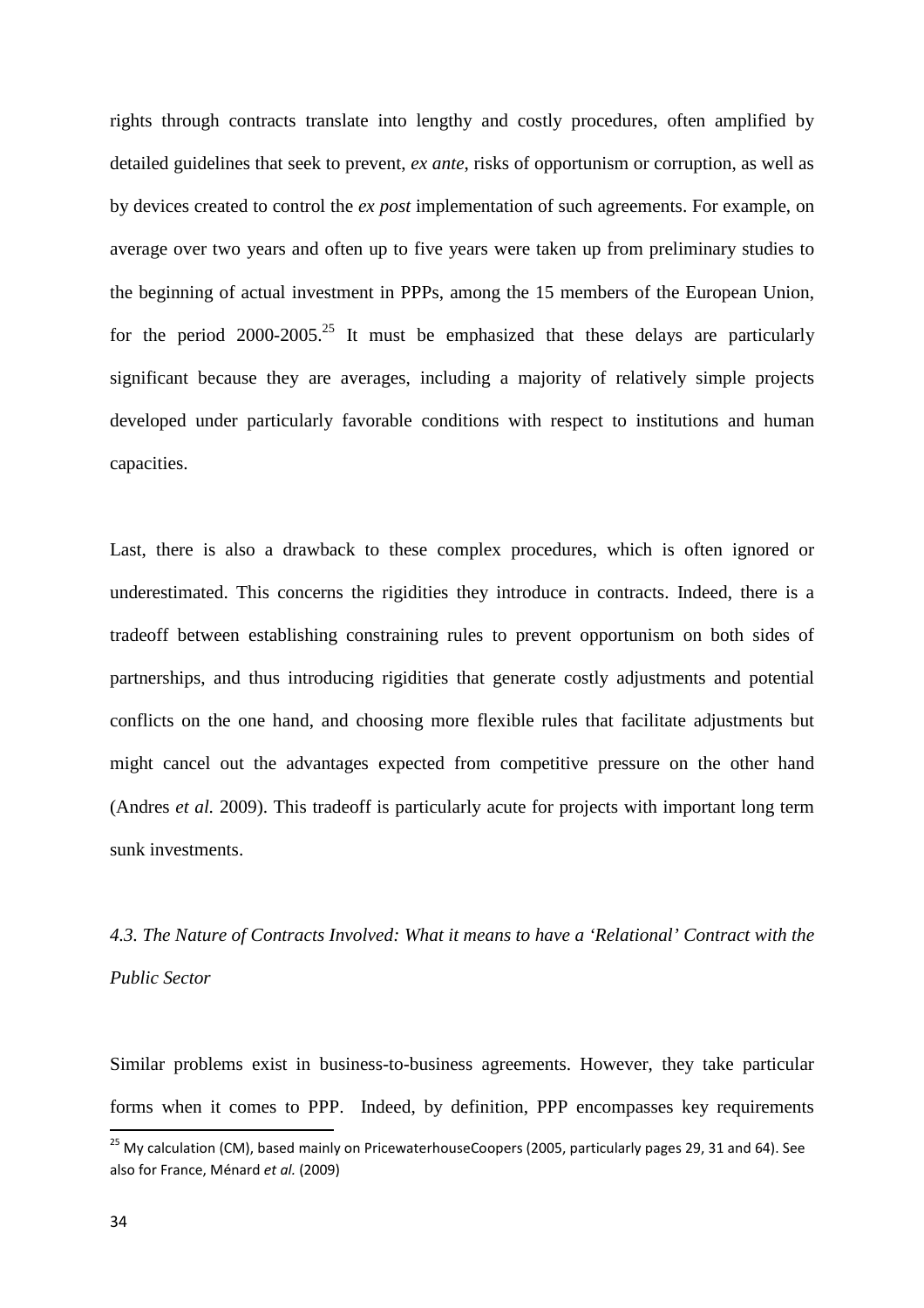rights through contracts translate into lengthy and costly procedures, often amplified by detailed guidelines that seek to prevent, *ex ante*, risks of opportunism or corruption, as well as by devices created to control the *ex post* implementation of such agreements. For example, on average over two years and often up to five years were taken up from preliminary studies to the beginning of actual investment in PPPs, among the 15 members of the European Union, for the period 2000-2005.<sup>25</sup> It must be emphasized that these delays are particularly significant because they are averages, including a majority of relatively simple projects developed under particularly favorable conditions with respect to institutions and human capacities.

Last, there is also a drawback to these complex procedures, which is often ignored or underestimated. This concerns the rigidities they introduce in contracts. Indeed, there is a tradeoff between establishing constraining rules to prevent opportunism on both sides of partnerships, and thus introducing rigidities that generate costly adjustments and potential conflicts on the one hand, and choosing more flexible rules that facilitate adjustments but might cancel out the advantages expected from competitive pressure on the other hand (Andres *et al.* 2009). This tradeoff is particularly acute for projects with important long term sunk investments.

*4.3. The Nature of Contracts Involved: What it means to have a 'Relational' Contract with the Public Sector* 

Similar problems exist in business-to-business agreements. However, they take particular forms when it comes to PPP. Indeed, by definition, PPP encompasses key requirements

<sup>&</sup>lt;sup>25</sup> My calculation (CM), based mainly on PricewaterhouseCoopers (2005, particularly pages 29, 31 and 64). See also for France, Ménard *et al.* (2009)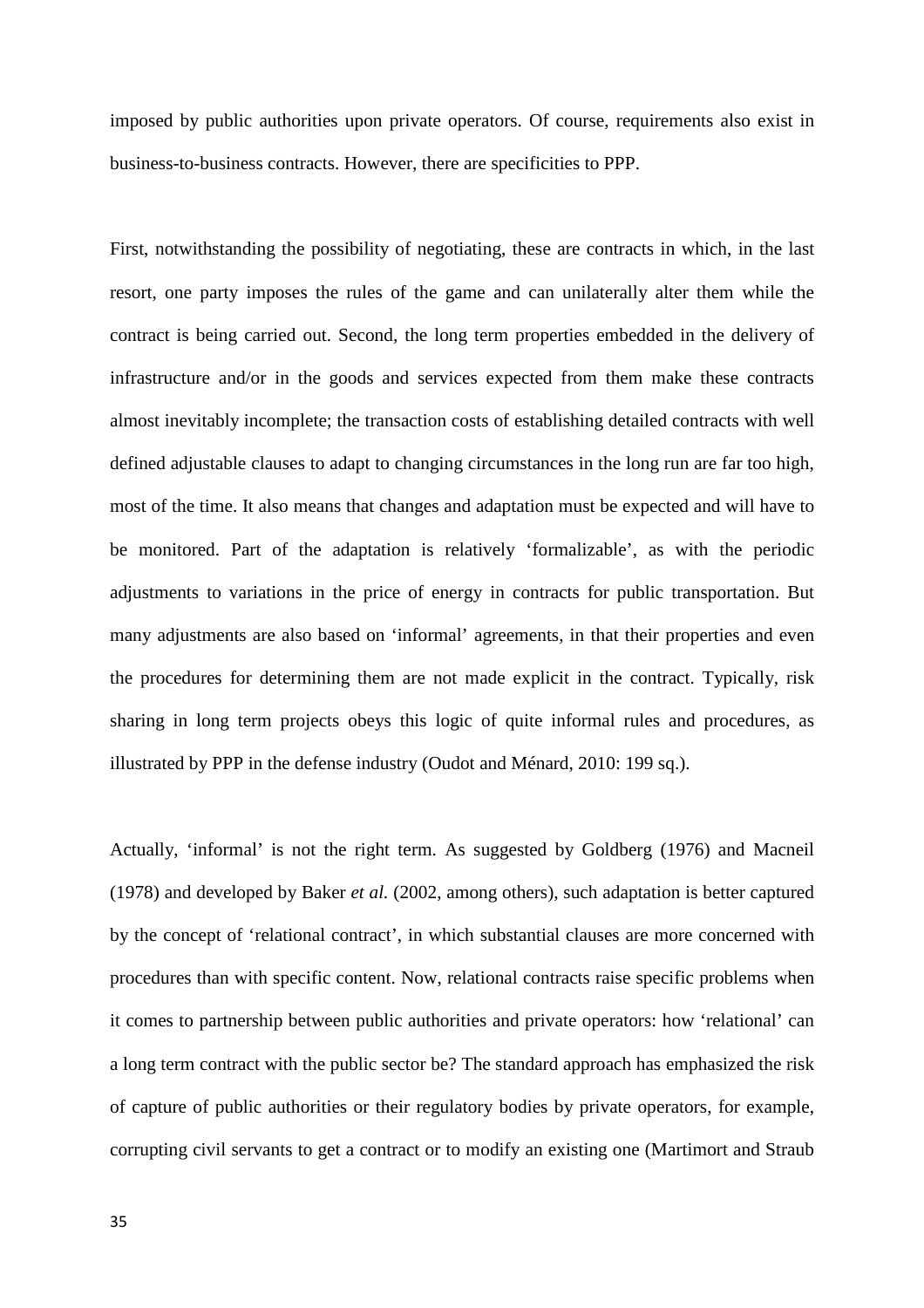imposed by public authorities upon private operators. Of course, requirements also exist in business-to-business contracts. However, there are specificities to PPP.

First, notwithstanding the possibility of negotiating, these are contracts in which, in the last resort, one party imposes the rules of the game and can unilaterally alter them while the contract is being carried out. Second, the long term properties embedded in the delivery of infrastructure and/or in the goods and services expected from them make these contracts almost inevitably incomplete; the transaction costs of establishing detailed contracts with well defined adjustable clauses to adapt to changing circumstances in the long run are far too high, most of the time. It also means that changes and adaptation must be expected and will have to be monitored. Part of the adaptation is relatively 'formalizable', as with the periodic adjustments to variations in the price of energy in contracts for public transportation. But many adjustments are also based on 'informal' agreements, in that their properties and even the procedures for determining them are not made explicit in the contract. Typically, risk sharing in long term projects obeys this logic of quite informal rules and procedures, as illustrated by PPP in the defense industry (Oudot and Ménard, 2010: 199 sq.).

Actually, 'informal' is not the right term. As suggested by Goldberg (1976) and Macneil (1978) and developed by Baker *et al.* (2002, among others), such adaptation is better captured by the concept of 'relational contract', in which substantial clauses are more concerned with procedures than with specific content. Now, relational contracts raise specific problems when it comes to partnership between public authorities and private operators: how 'relational' can a long term contract with the public sector be? The standard approach has emphasized the risk of capture of public authorities or their regulatory bodies by private operators, for example, corrupting civil servants to get a contract or to modify an existing one (Martimort and Straub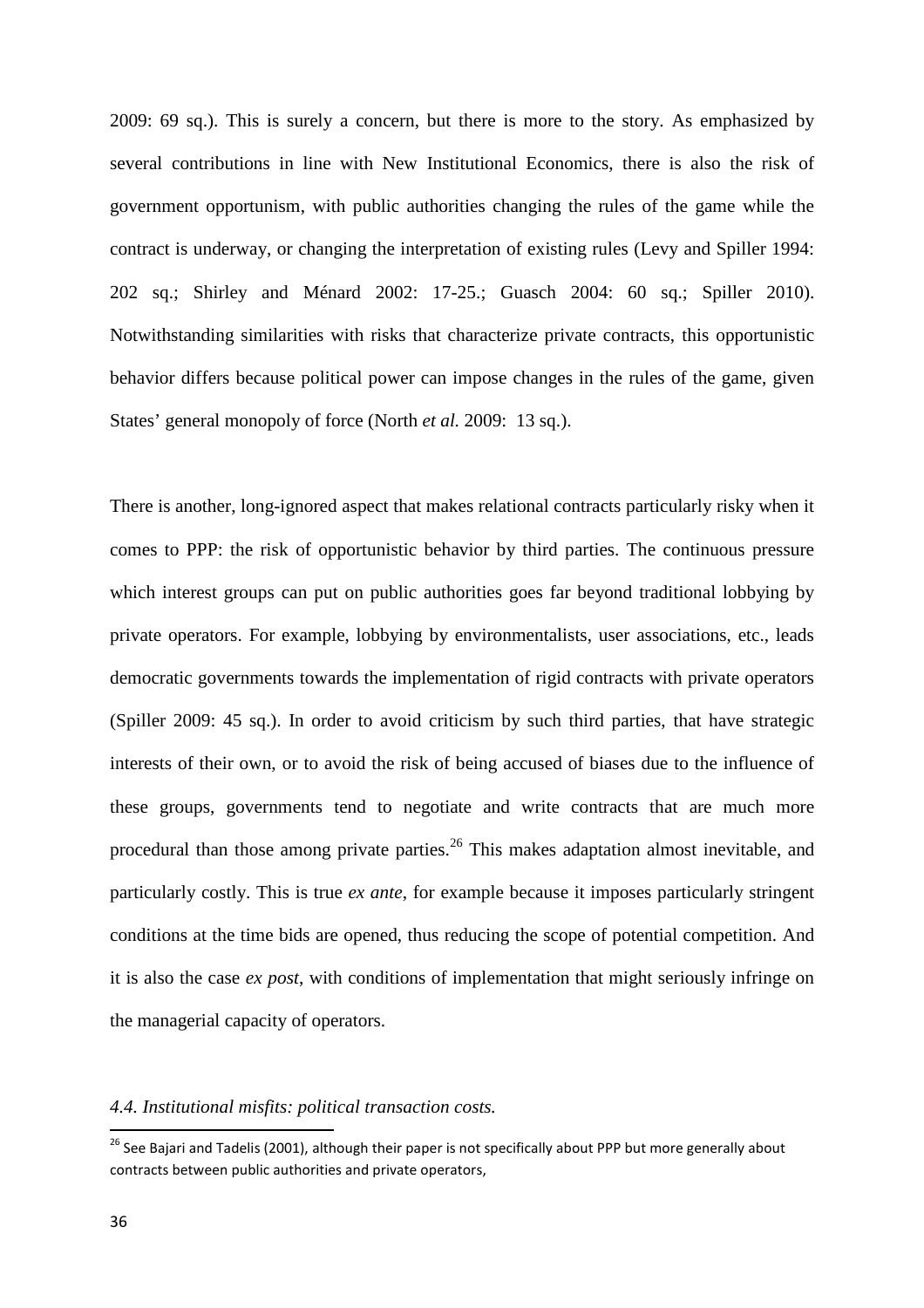2009: 69 sq.). This is surely a concern, but there is more to the story. As emphasized by several contributions in line with New Institutional Economics, there is also the risk of government opportunism, with public authorities changing the rules of the game while the contract is underway, or changing the interpretation of existing rules (Levy and Spiller 1994: 202 sq.; Shirley and Ménard 2002: 17-25.; Guasch 2004: 60 sq.; Spiller 2010). Notwithstanding similarities with risks that characterize private contracts, this opportunistic behavior differs because political power can impose changes in the rules of the game, given States' general monopoly of force (North *et al.* 2009: 13 sq.).

There is another, long-ignored aspect that makes relational contracts particularly risky when it comes to PPP: the risk of opportunistic behavior by third parties. The continuous pressure which interest groups can put on public authorities goes far beyond traditional lobbying by private operators. For example, lobbying by environmentalists, user associations, etc., leads democratic governments towards the implementation of rigid contracts with private operators (Spiller 2009: 45 sq.). In order to avoid criticism by such third parties, that have strategic interests of their own, or to avoid the risk of being accused of biases due to the influence of these groups, governments tend to negotiate and write contracts that are much more procedural than those among private parties.<sup>26</sup> This makes adaptation almost inevitable, and particularly costly. This is true *ex ante*, for example because it imposes particularly stringent conditions at the time bids are opened, thus reducing the scope of potential competition. And it is also the case *ex post*, with conditions of implementation that might seriously infringe on the managerial capacity of operators.

## *4.4. Institutional misfits: political transaction costs.*

<sup>&</sup>lt;sup>26</sup> See Bajari and Tadelis (2001), although their paper is not specifically about PPP but more generally about contracts between public authorities and private operators,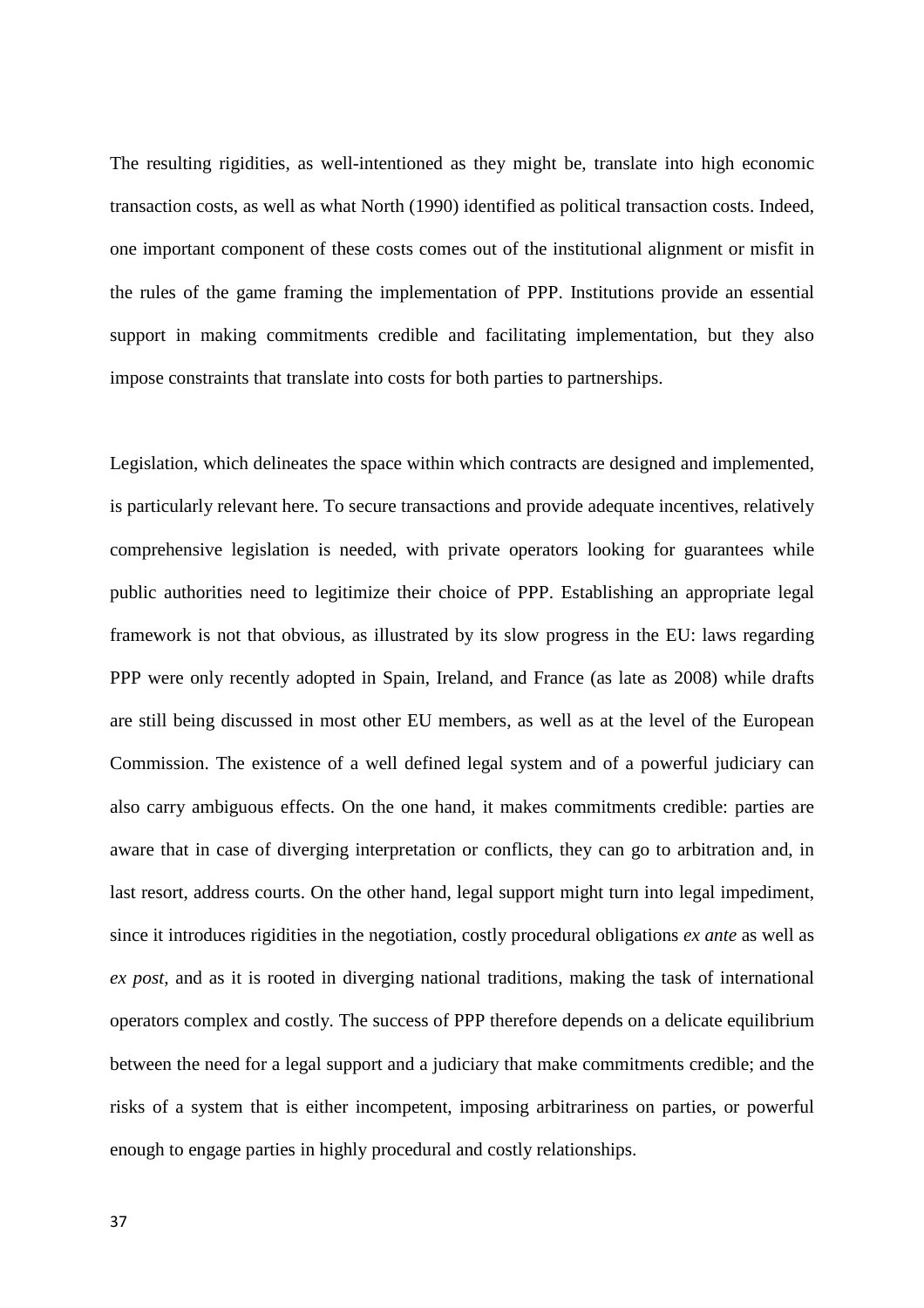The resulting rigidities, as well-intentioned as they might be, translate into high economic transaction costs, as well as what North (1990) identified as political transaction costs. Indeed, one important component of these costs comes out of the institutional alignment or misfit in the rules of the game framing the implementation of PPP. Institutions provide an essential support in making commitments credible and facilitating implementation, but they also impose constraints that translate into costs for both parties to partnerships.

Legislation, which delineates the space within which contracts are designed and implemented, is particularly relevant here. To secure transactions and provide adequate incentives, relatively comprehensive legislation is needed, with private operators looking for guarantees while public authorities need to legitimize their choice of PPP. Establishing an appropriate legal framework is not that obvious, as illustrated by its slow progress in the EU: laws regarding PPP were only recently adopted in Spain, Ireland, and France (as late as 2008) while drafts are still being discussed in most other EU members, as well as at the level of the European Commission. The existence of a well defined legal system and of a powerful judiciary can also carry ambiguous effects. On the one hand, it makes commitments credible: parties are aware that in case of diverging interpretation or conflicts, they can go to arbitration and, in last resort, address courts. On the other hand, legal support might turn into legal impediment, since it introduces rigidities in the negotiation, costly procedural obligations *ex ante* as well as *ex post*, and as it is rooted in diverging national traditions, making the task of international operators complex and costly. The success of PPP therefore depends on a delicate equilibrium between the need for a legal support and a judiciary that make commitments credible; and the risks of a system that is either incompetent, imposing arbitrariness on parties, or powerful enough to engage parties in highly procedural and costly relationships.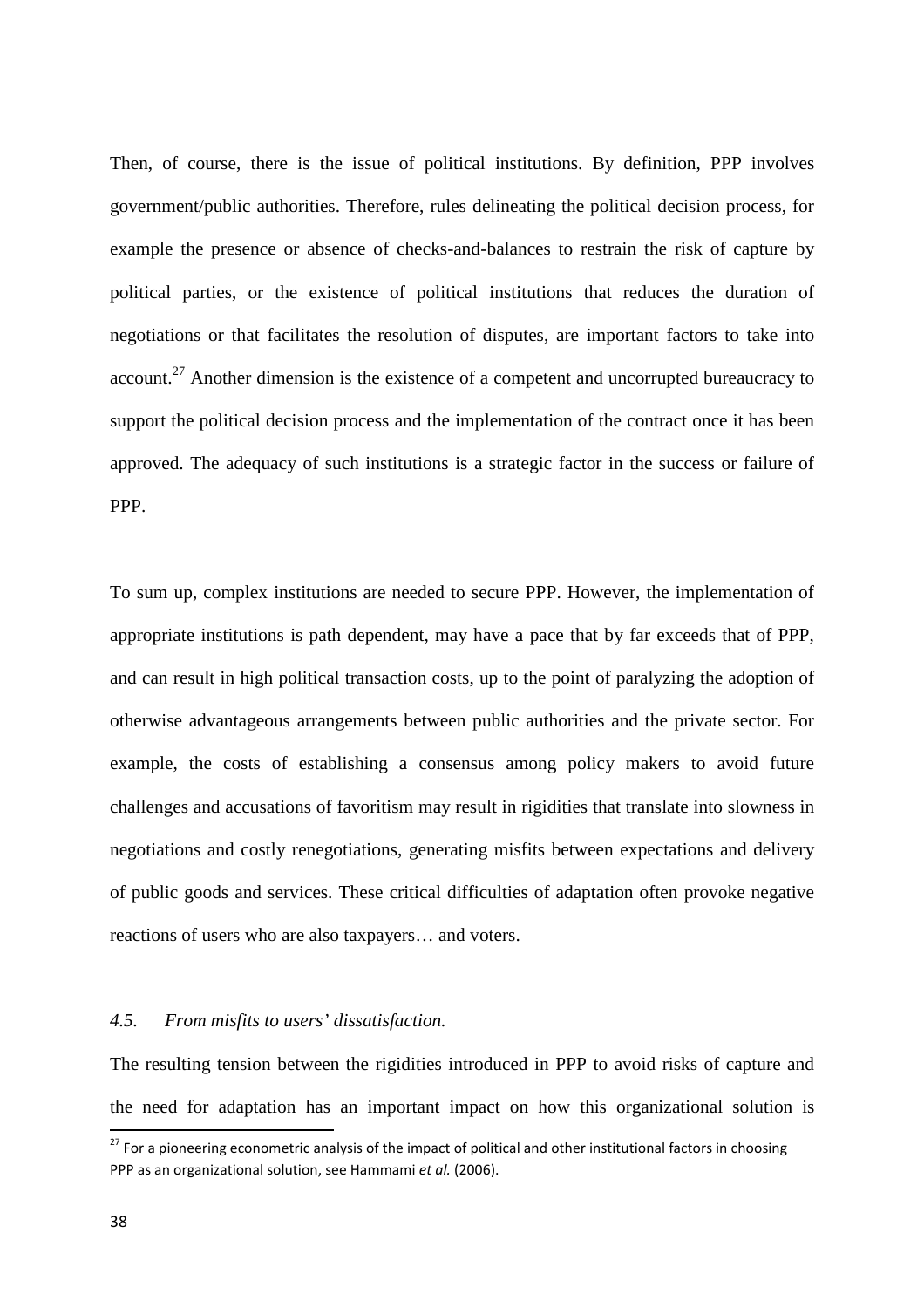Then, of course, there is the issue of political institutions. By definition, PPP involves government/public authorities. Therefore, rules delineating the political decision process, for example the presence or absence of checks-and-balances to restrain the risk of capture by political parties, or the existence of political institutions that reduces the duration of negotiations or that facilitates the resolution of disputes, are important factors to take into account.<sup>27</sup> Another dimension is the existence of a competent and uncorrupted bureaucracy to support the political decision process and the implementation of the contract once it has been approved. The adequacy of such institutions is a strategic factor in the success or failure of PPP.

To sum up, complex institutions are needed to secure PPP. However, the implementation of appropriate institutions is path dependent, may have a pace that by far exceeds that of PPP, and can result in high political transaction costs, up to the point of paralyzing the adoption of otherwise advantageous arrangements between public authorities and the private sector. For example, the costs of establishing a consensus among policy makers to avoid future challenges and accusations of favoritism may result in rigidities that translate into slowness in negotiations and costly renegotiations, generating misfits between expectations and delivery of public goods and services. These critical difficulties of adaptation often provoke negative reactions of users who are also taxpayers… and voters.

#### *4.5. From misfits to users' dissatisfaction.*

The resulting tension between the rigidities introduced in PPP to avoid risks of capture and the need for adaptation has an important impact on how this organizational solution is

<sup>&</sup>lt;sup>27</sup> For a pioneering econometric analysis of the impact of political and other institutional factors in choosing PPP as an organizational solution, see Hammami *et al.* (2006).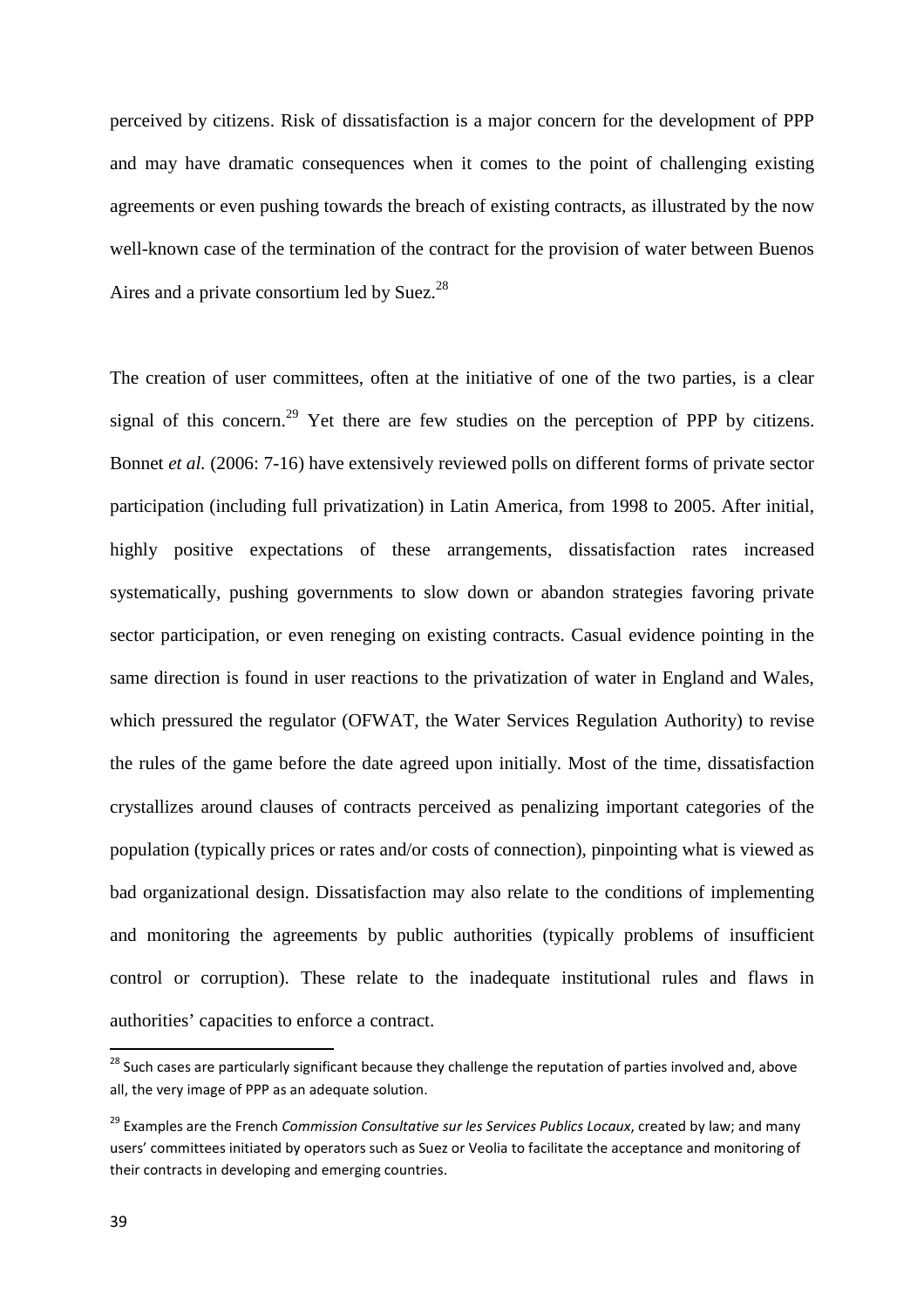perceived by citizens. Risk of dissatisfaction is a major concern for the development of PPP and may have dramatic consequences when it comes to the point of challenging existing agreements or even pushing towards the breach of existing contracts, as illustrated by the now well-known case of the termination of the contract for the provision of water between Buenos Aires and a private consortium led by Suez.<sup>28</sup>

The creation of user committees, often at the initiative of one of the two parties, is a clear signal of this concern.<sup>29</sup> Yet there are few studies on the perception of PPP by citizens. Bonnet *et al.* (2006: 7-16) have extensively reviewed polls on different forms of private sector participation (including full privatization) in Latin America, from 1998 to 2005. After initial, highly positive expectations of these arrangements, dissatisfaction rates increased systematically, pushing governments to slow down or abandon strategies favoring private sector participation, or even reneging on existing contracts. Casual evidence pointing in the same direction is found in user reactions to the privatization of water in England and Wales, which pressured the regulator (OFWAT, the Water Services Regulation Authority) to revise the rules of the game before the date agreed upon initially. Most of the time, dissatisfaction crystallizes around clauses of contracts perceived as penalizing important categories of the population (typically prices or rates and/or costs of connection), pinpointing what is viewed as bad organizational design. Dissatisfaction may also relate to the conditions of implementing and monitoring the agreements by public authorities (typically problems of insufficient control or corruption). These relate to the inadequate institutional rules and flaws in authorities' capacities to enforce a contract.

<sup>&</sup>lt;sup>28</sup> Such cases are particularly significant because they challenge the reputation of parties involved and, above all, the very image of PPP as an adequate solution.

<sup>29</sup> Examples are the French *Commission Consultative sur les Services Publics Locaux*, created by law; and many users' committees initiated by operators such as Suez or Veolia to facilitate the acceptance and monitoring of their contracts in developing and emerging countries.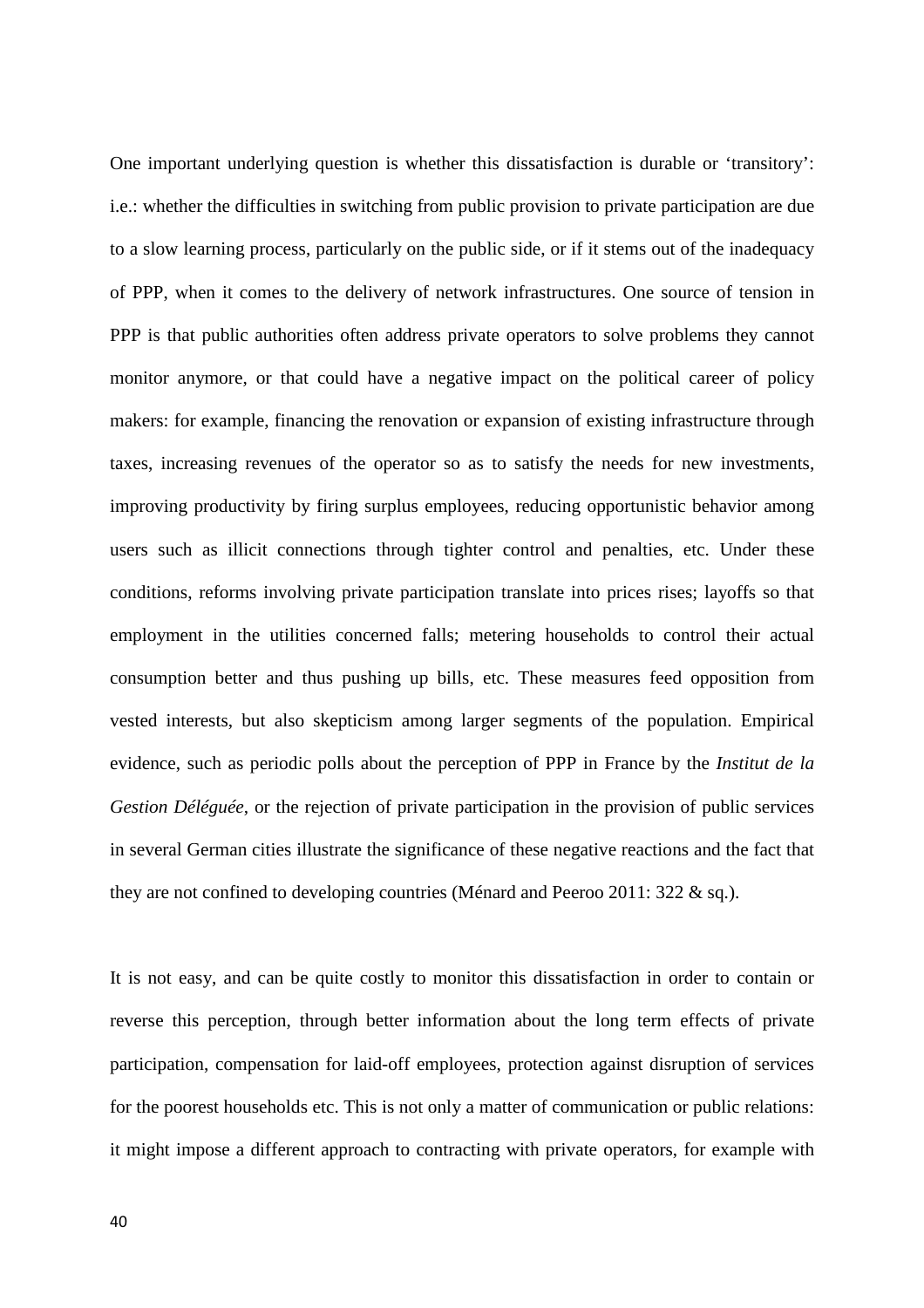One important underlying question is whether this dissatisfaction is durable or 'transitory': i.e.: whether the difficulties in switching from public provision to private participation are due to a slow learning process, particularly on the public side, or if it stems out of the inadequacy of PPP, when it comes to the delivery of network infrastructures. One source of tension in PPP is that public authorities often address private operators to solve problems they cannot monitor anymore, or that could have a negative impact on the political career of policy makers: for example, financing the renovation or expansion of existing infrastructure through taxes, increasing revenues of the operator so as to satisfy the needs for new investments, improving productivity by firing surplus employees, reducing opportunistic behavior among users such as illicit connections through tighter control and penalties, etc. Under these conditions, reforms involving private participation translate into prices rises; layoffs so that employment in the utilities concerned falls; metering households to control their actual consumption better and thus pushing up bills, etc. These measures feed opposition from vested interests, but also skepticism among larger segments of the population. Empirical evidence, such as periodic polls about the perception of PPP in France by the *Institut de la Gestion Déléguée*, or the rejection of private participation in the provision of public services in several German cities illustrate the significance of these negative reactions and the fact that they are not confined to developing countries (Ménard and Peeroo 2011: 322 & sq.).

It is not easy, and can be quite costly to monitor this dissatisfaction in order to contain or reverse this perception, through better information about the long term effects of private participation, compensation for laid-off employees, protection against disruption of services for the poorest households etc. This is not only a matter of communication or public relations: it might impose a different approach to contracting with private operators, for example with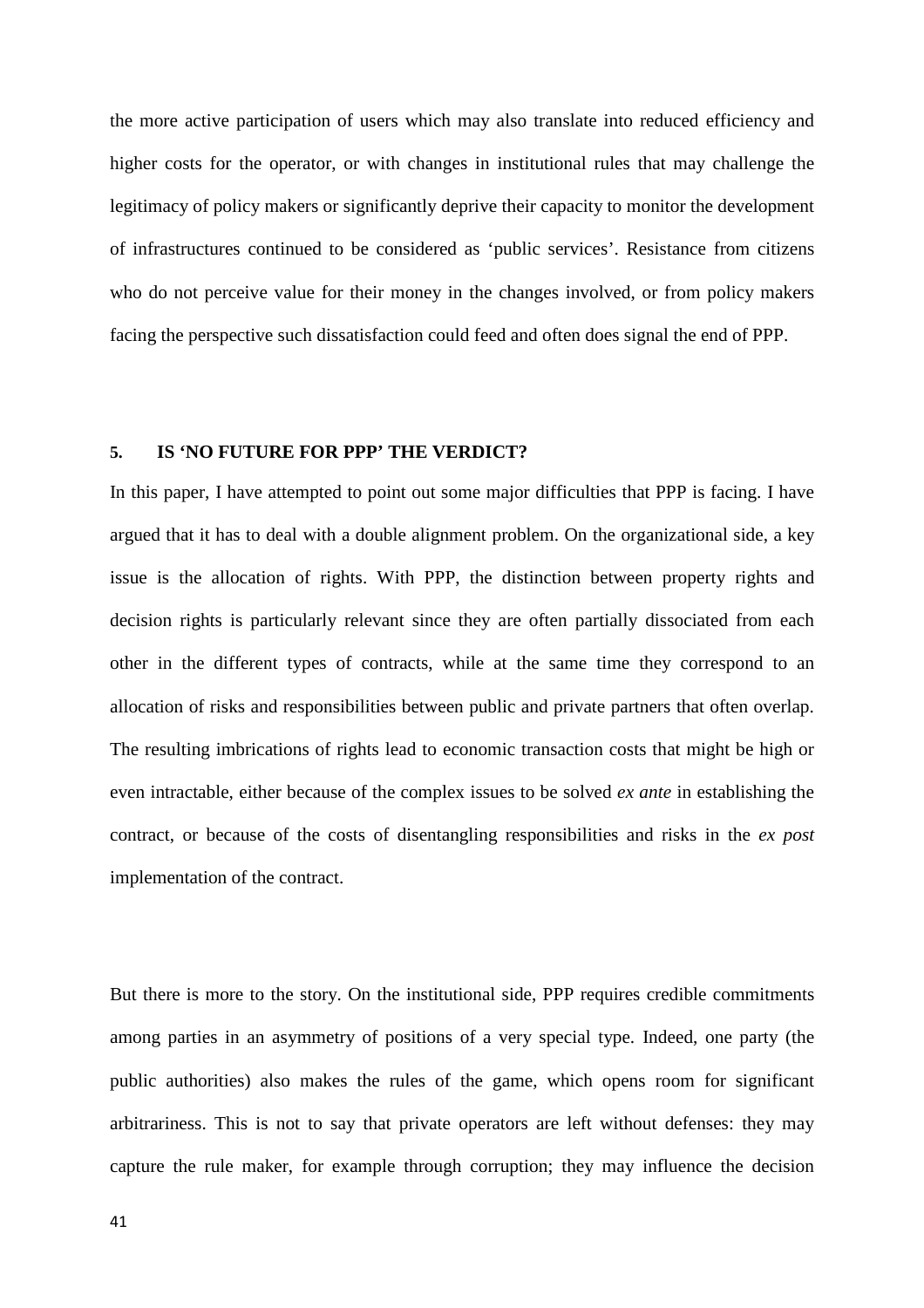the more active participation of users which may also translate into reduced efficiency and higher costs for the operator, or with changes in institutional rules that may challenge the legitimacy of policy makers or significantly deprive their capacity to monitor the development of infrastructures continued to be considered as 'public services'. Resistance from citizens who do not perceive value for their money in the changes involved, or from policy makers facing the perspective such dissatisfaction could feed and often does signal the end of PPP.

## **5. IS 'NO FUTURE FOR PPP' THE VERDICT?**

In this paper, I have attempted to point out some major difficulties that PPP is facing. I have argued that it has to deal with a double alignment problem. On the organizational side, a key issue is the allocation of rights. With PPP, the distinction between property rights and decision rights is particularly relevant since they are often partially dissociated from each other in the different types of contracts, while at the same time they correspond to an allocation of risks and responsibilities between public and private partners that often overlap. The resulting imbrications of rights lead to economic transaction costs that might be high or even intractable, either because of the complex issues to be solved *ex ante* in establishing the contract, or because of the costs of disentangling responsibilities and risks in the *ex post* implementation of the contract.

But there is more to the story. On the institutional side, PPP requires credible commitments among parties in an asymmetry of positions of a very special type. Indeed, one party (the public authorities) also makes the rules of the game, which opens room for significant arbitrariness. This is not to say that private operators are left without defenses: they may capture the rule maker, for example through corruption; they may influence the decision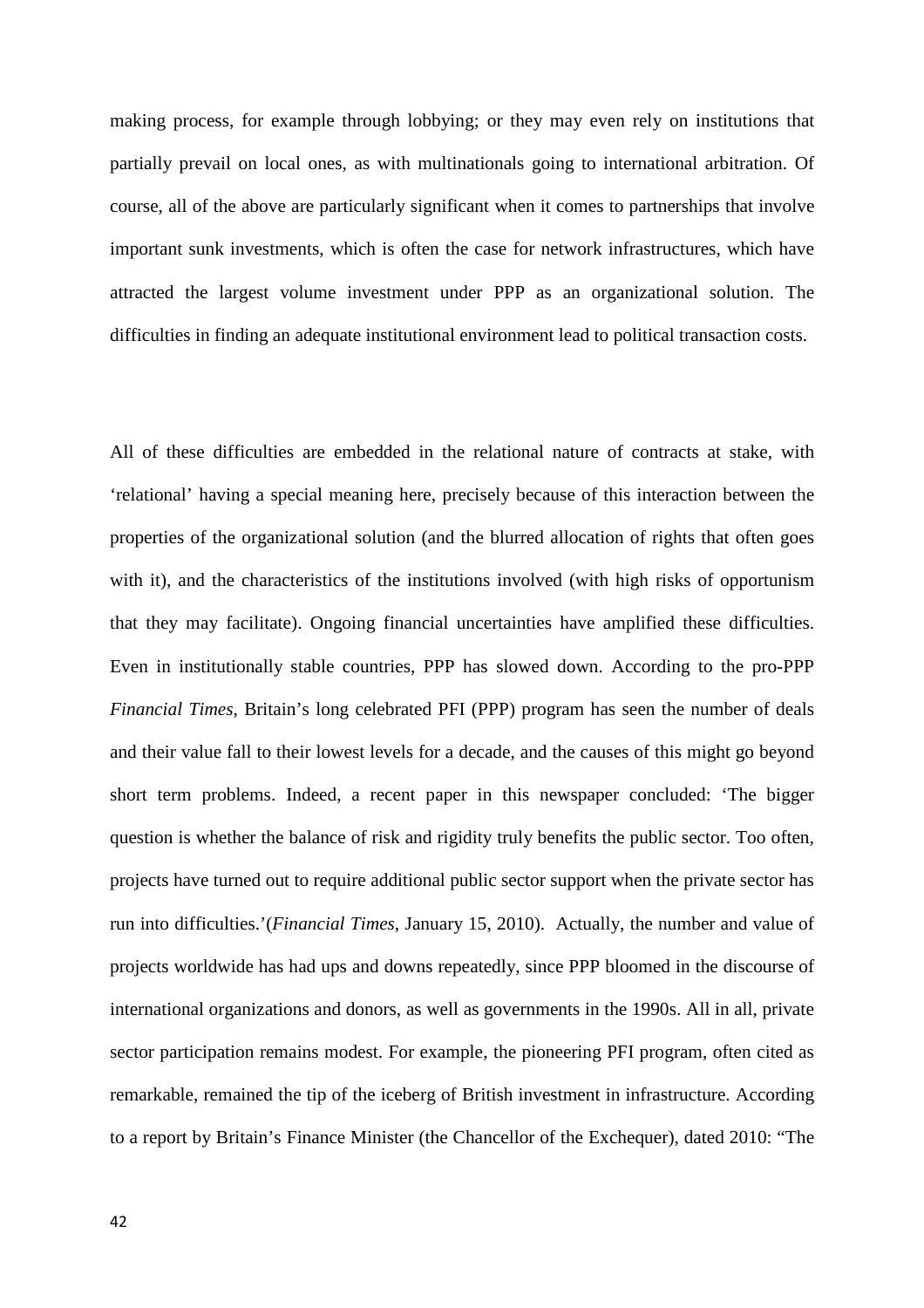making process, for example through lobbying; or they may even rely on institutions that partially prevail on local ones, as with multinationals going to international arbitration. Of course, all of the above are particularly significant when it comes to partnerships that involve important sunk investments, which is often the case for network infrastructures, which have attracted the largest volume investment under PPP as an organizational solution. The difficulties in finding an adequate institutional environment lead to political transaction costs.

All of these difficulties are embedded in the relational nature of contracts at stake, with 'relational' having a special meaning here, precisely because of this interaction between the properties of the organizational solution (and the blurred allocation of rights that often goes with it), and the characteristics of the institutions involved (with high risks of opportunism that they may facilitate). Ongoing financial uncertainties have amplified these difficulties. Even in institutionally stable countries, PPP has slowed down. According to the pro-PPP *Financial Times*, Britain's long celebrated PFI (PPP) program has seen the number of deals and their value fall to their lowest levels for a decade, and the causes of this might go beyond short term problems. Indeed, a recent paper in this newspaper concluded: 'The bigger question is whether the balance of risk and rigidity truly benefits the public sector. Too often, projects have turned out to require additional public sector support when the private sector has run into difficulties.'(*Financial Times*, January 15, 2010). Actually, the number and value of projects worldwide has had ups and downs repeatedly, since PPP bloomed in the discourse of international organizations and donors, as well as governments in the 1990s. All in all, private sector participation remains modest. For example, the pioneering PFI program, often cited as remarkable, remained the tip of the iceberg of British investment in infrastructure. According to a report by Britain's Finance Minister (the Chancellor of the Exchequer), dated 2010: "The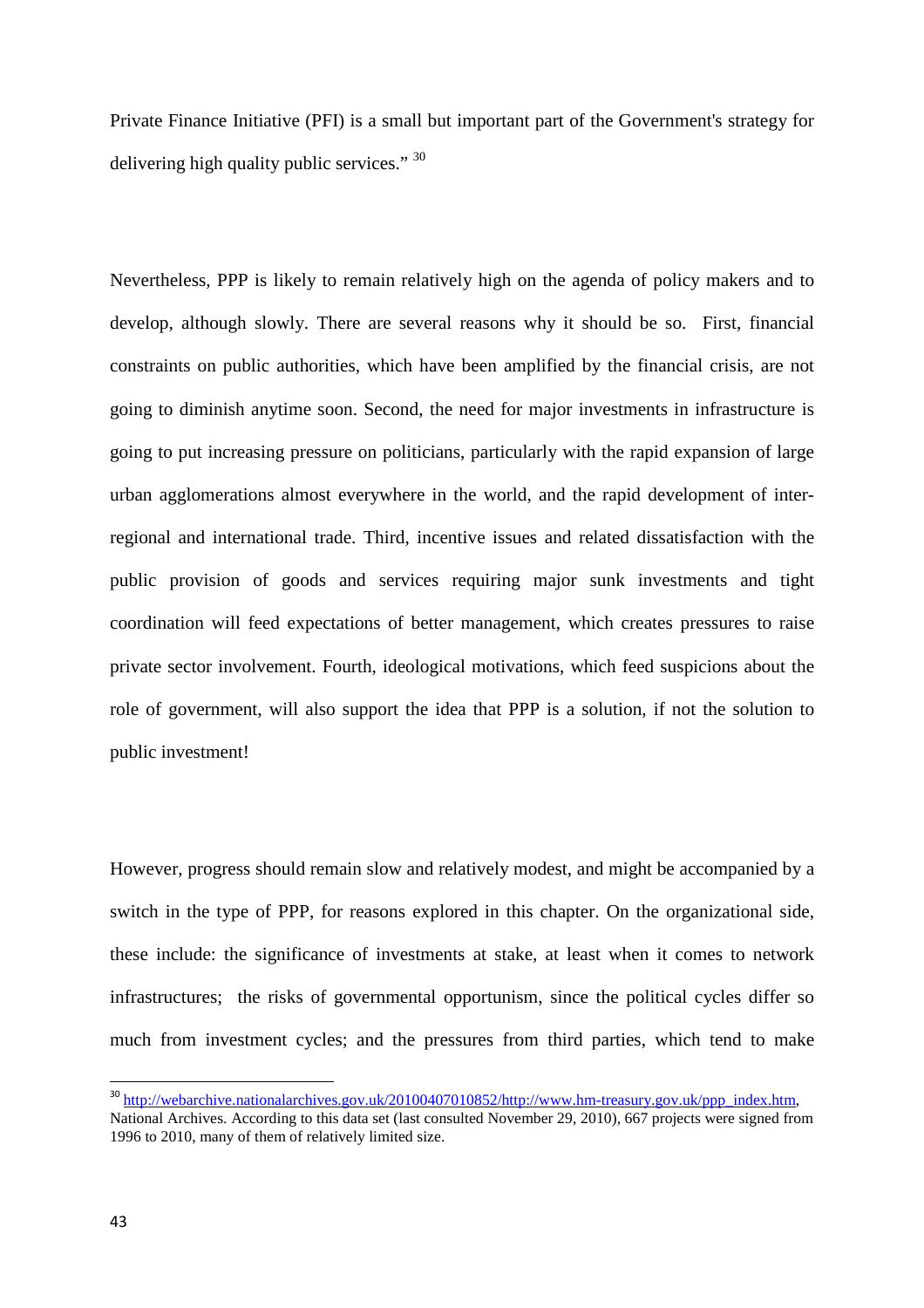Private Finance Initiative (PFI) is a small but important part of the Government's strategy for delivering high quality public services."  $30$ 

Nevertheless, PPP is likely to remain relatively high on the agenda of policy makers and to develop, although slowly. There are several reasons why it should be so. First, financial constraints on public authorities, which have been amplified by the financial crisis, are not going to diminish anytime soon. Second, the need for major investments in infrastructure is going to put increasing pressure on politicians, particularly with the rapid expansion of large urban agglomerations almost everywhere in the world, and the rapid development of interregional and international trade. Third, incentive issues and related dissatisfaction with the public provision of goods and services requiring major sunk investments and tight coordination will feed expectations of better management, which creates pressures to raise private sector involvement. Fourth, ideological motivations, which feed suspicions about the role of government, will also support the idea that PPP is a solution, if not the solution to public investment!

However, progress should remain slow and relatively modest, and might be accompanied by a switch in the type of PPP, for reasons explored in this chapter. On the organizational side, these include: the significance of investments at stake, at least when it comes to network infrastructures; the risks of governmental opportunism, since the political cycles differ so much from investment cycles; and the pressures from third parties, which tend to make

<sup>&</sup>lt;sup>30</sup> http://webarchive.nationalarchives.gov.uk/20100407010852/http://www.hm-treasury.gov.uk/ppp\_index.htm,

National Archives. According to this data set (last consulted November 29, 2010), 667 projects were signed from 1996 to 2010, many of them of relatively limited size.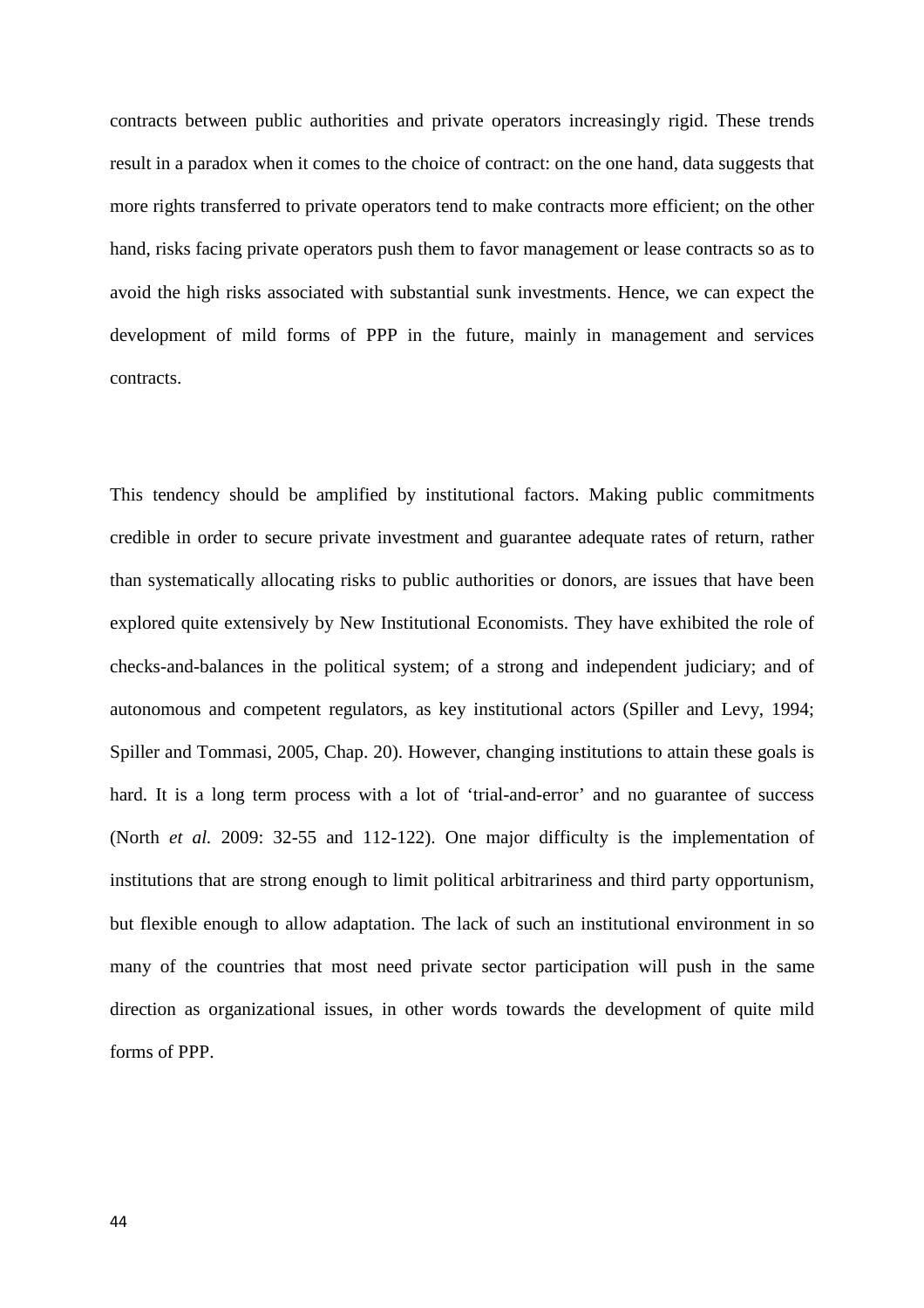contracts between public authorities and private operators increasingly rigid. These trends result in a paradox when it comes to the choice of contract: on the one hand, data suggests that more rights transferred to private operators tend to make contracts more efficient; on the other hand, risks facing private operators push them to favor management or lease contracts so as to avoid the high risks associated with substantial sunk investments. Hence, we can expect the development of mild forms of PPP in the future, mainly in management and services contracts.

This tendency should be amplified by institutional factors. Making public commitments credible in order to secure private investment and guarantee adequate rates of return, rather than systematically allocating risks to public authorities or donors, are issues that have been explored quite extensively by New Institutional Economists. They have exhibited the role of checks-and-balances in the political system; of a strong and independent judiciary; and of autonomous and competent regulators, as key institutional actors (Spiller and Levy, 1994; Spiller and Tommasi, 2005, Chap. 20). However, changing institutions to attain these goals is hard. It is a long term process with a lot of 'trial-and-error' and no guarantee of success (North *et al.* 2009: 32-55 and 112-122). One major difficulty is the implementation of institutions that are strong enough to limit political arbitrariness and third party opportunism, but flexible enough to allow adaptation. The lack of such an institutional environment in so many of the countries that most need private sector participation will push in the same direction as organizational issues, in other words towards the development of quite mild forms of PPP.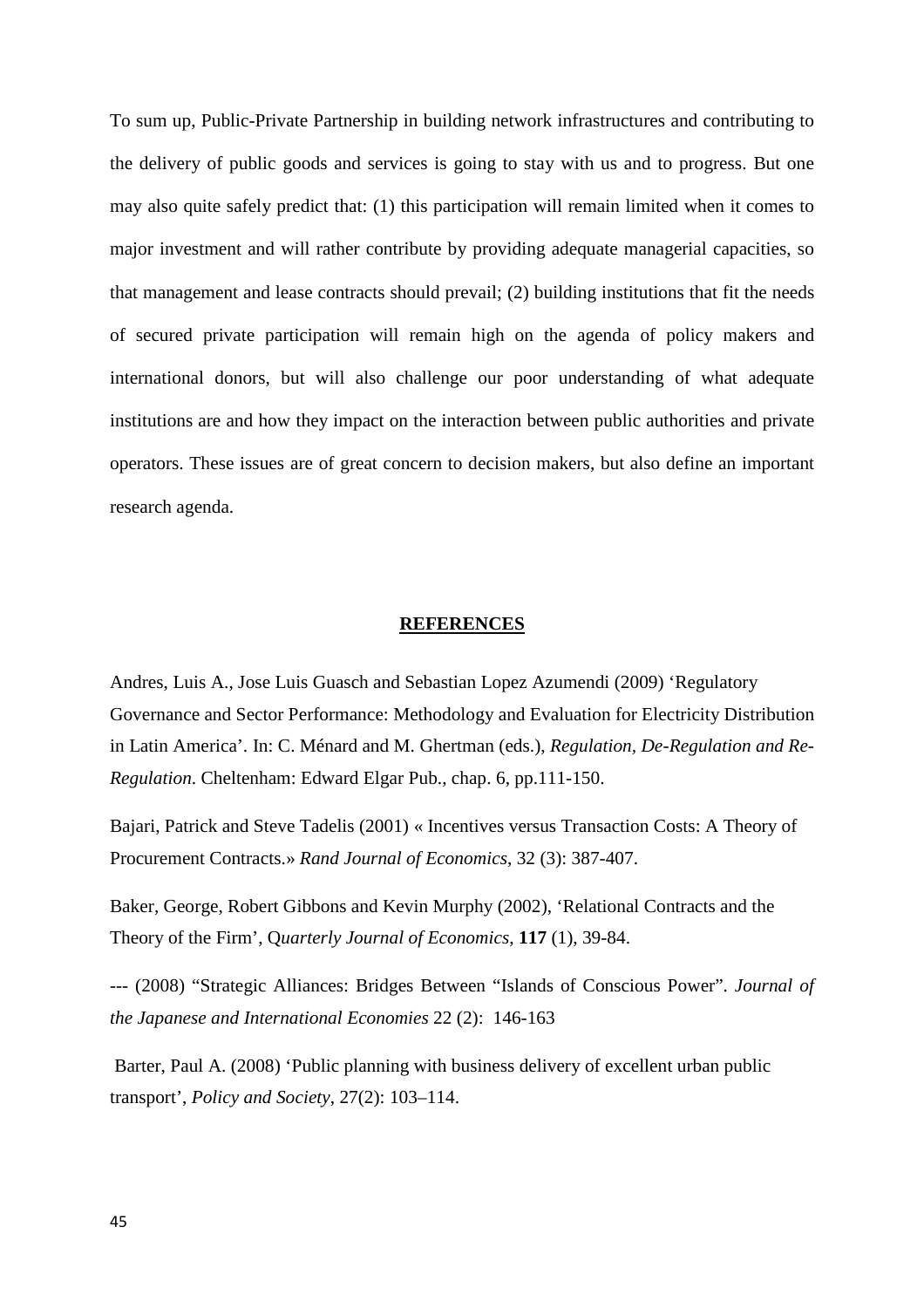To sum up, Public-Private Partnership in building network infrastructures and contributing to the delivery of public goods and services is going to stay with us and to progress. But one may also quite safely predict that: (1) this participation will remain limited when it comes to major investment and will rather contribute by providing adequate managerial capacities, so that management and lease contracts should prevail; (2) building institutions that fit the needs of secured private participation will remain high on the agenda of policy makers and international donors, but will also challenge our poor understanding of what adequate institutions are and how they impact on the interaction between public authorities and private operators. These issues are of great concern to decision makers, but also define an important research agenda.

#### **REFERENCES**

Andres, Luis A., Jose Luis Guasch and Sebastian Lopez Azumendi (2009) 'Regulatory Governance and Sector Performance: Methodology and Evaluation for Electricity Distribution in Latin America'. In: C. Ménard and M. Ghertman (eds.), *Regulation, De-Regulation and Re-Regulation*. Cheltenham: Edward Elgar Pub., chap. 6, pp.111-150.

Bajari, Patrick and Steve Tadelis (2001) « Incentives versus Transaction Costs: A Theory of Procurement Contracts.» *Rand Journal of Economics*, 32 (3): 387-407.

Baker, George, Robert Gibbons and Kevin Murphy (2002), 'Relational Contracts and the Theory of the Firm', Q*uarterly Journal of Economics*, **117** (1), 39-84.

--- (2008) "Strategic Alliances: Bridges Between "Islands of Conscious Power". *Journal of the Japanese and International Economies* 22 (2): 146-163

 Barter, Paul A. (2008) 'Public planning with business delivery of excellent urban public transport', *Policy and Society*, 27(2): 103–114.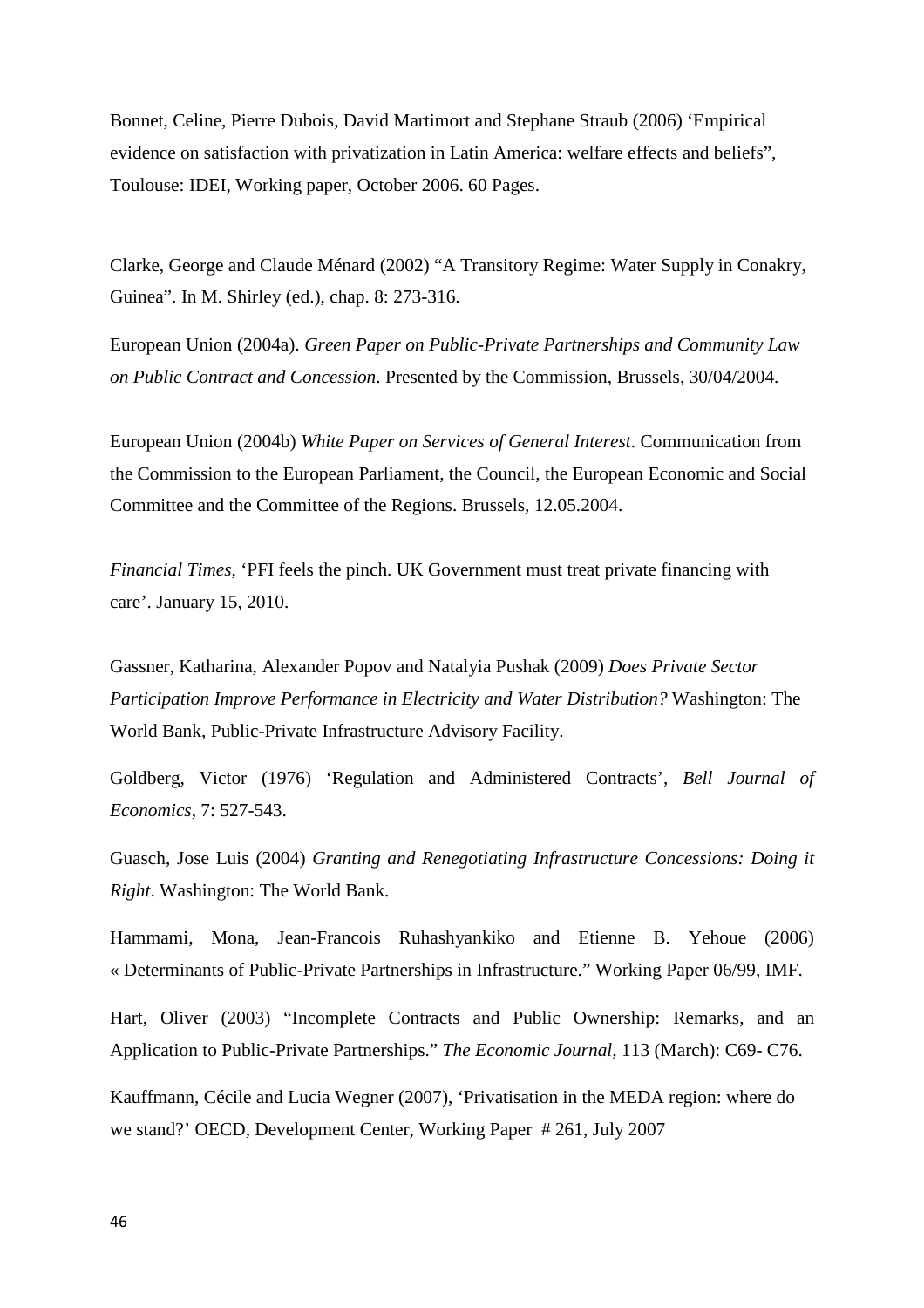Bonnet, Celine, Pierre Dubois, David Martimort and Stephane Straub (2006) 'Empirical evidence on satisfaction with privatization in Latin America: welfare effects and beliefs", Toulouse: IDEI, Working paper, October 2006. 60 Pages.

Clarke, George and Claude Ménard (2002) "A Transitory Regime: Water Supply in Conakry, Guinea". In M. Shirley (ed.), chap. 8: 273-316.

European Union (2004a). *Green Paper on Public-Private Partnerships and Community Law on Public Contract and Concession*. Presented by the Commission, Brussels, 30/04/2004.

European Union (2004b) *White Paper on Services of General Interest*. Communication from the Commission to the European Parliament, the Council, the European Economic and Social Committee and the Committee of the Regions. Brussels, 12.05.2004.

*Financial Times*, 'PFI feels the pinch. UK Government must treat private financing with care'. January 15, 2010.

Gassner, Katharina, Alexander Popov and Natalyia Pushak (2009) *Does Private Sector Participation Improve Performance in Electricity and Water Distribution?* Washington: The World Bank, Public-Private Infrastructure Advisory Facility.

Goldberg, Victor (1976) 'Regulation and Administered Contracts', *Bell Journal of Economics*, 7: 527-543.

Guasch, Jose Luis (2004) *Granting and Renegotiating Infrastructure Concessions: Doing it Right*. Washington: The World Bank.

Hammami, Mona, Jean-Francois Ruhashyankiko and Etienne B. Yehoue (2006) « Determinants of Public-Private Partnerships in Infrastructure." Working Paper 06/99, IMF.

Hart, Oliver (2003) "Incomplete Contracts and Public Ownership: Remarks, and an Application to Public-Private Partnerships." *The Economic Journal,* 113 (March): C69- C76.

Kauffmann, Cécile and Lucia Wegner (2007), 'Privatisation in the MEDA region: where do we stand?' OECD, Development Center, Working Paper # 261, July 2007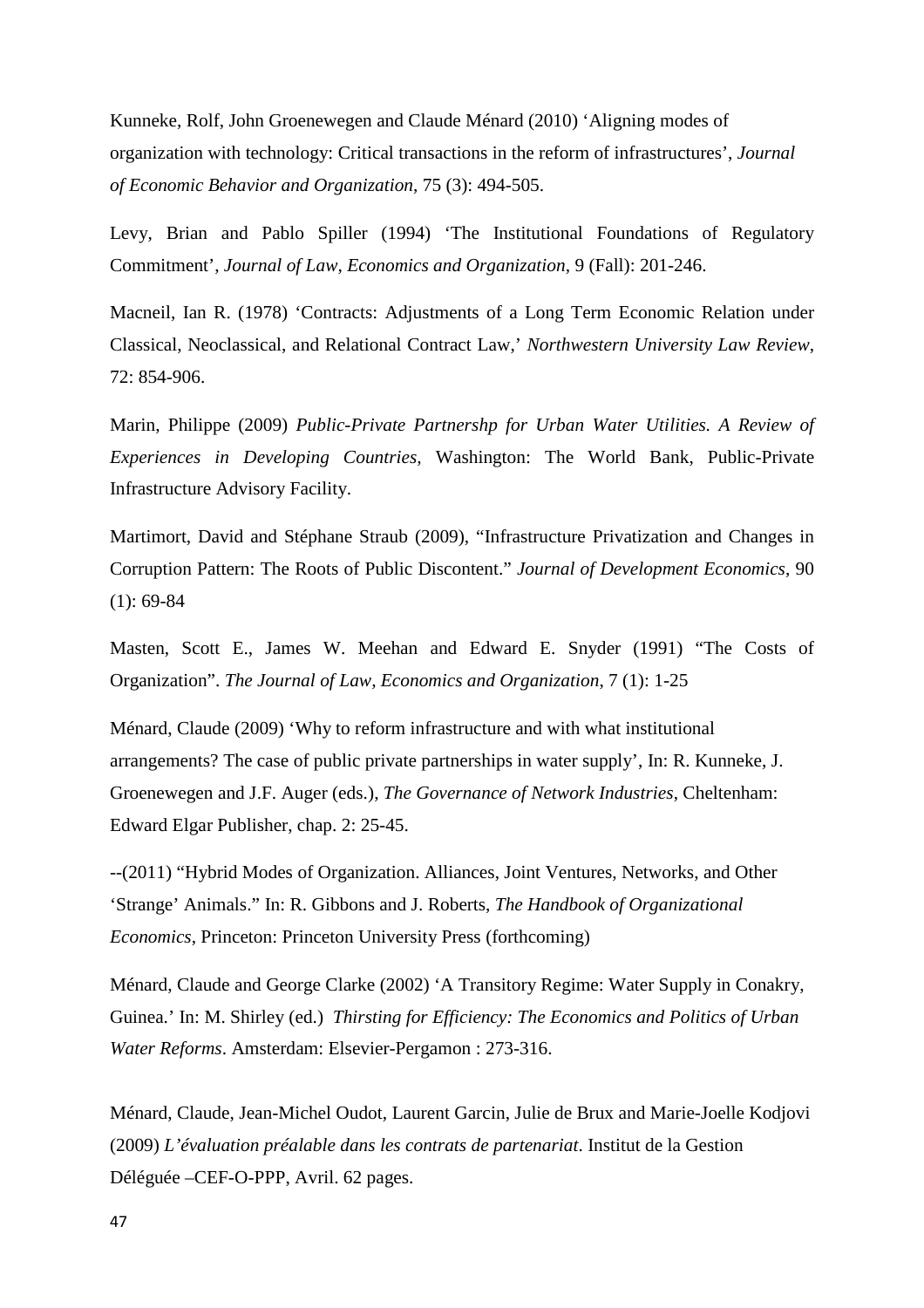Kunneke, Rolf, John Groenewegen and Claude Ménard (2010) 'Aligning modes of organization with technology: Critical transactions in the reform of infrastructures', *Journal of Economic Behavior and Organization*, 75 (3): 494-505.

Levy, Brian and Pablo Spiller (1994) 'The Institutional Foundations of Regulatory Commitment', *Journal of Law, Economics and Organization,* 9 (Fall): 201-246.

Macneil, Ian R. (1978) 'Contracts: Adjustments of a Long Term Economic Relation under Classical, Neoclassical, and Relational Contract Law,' *Northwestern University Law Review*, 72: 854-906.

Marin, Philippe (2009) *Public-Private Partnershp for Urban Water Utilities. A Review of Experiences in Developing Countries,* Washington: The World Bank, Public-Private Infrastructure Advisory Facility.

Martimort, David and Stéphane Straub (2009), "Infrastructure Privatization and Changes in Corruption Pattern: The Roots of Public Discontent." *Journal of Development Economics*, 90 (1): 69-84

Masten, Scott E., James W. Meehan and Edward E. Snyder (1991) "The Costs of Organization". *The Journal of Law, Economics and Organization*, 7 (1): 1-25

Ménard, Claude (2009) 'Why to reform infrastructure and with what institutional arrangements? The case of public private partnerships in water supply', In: R. Kunneke, J. Groenewegen and J.F. Auger (eds.), *The Governance of Network Industries*, Cheltenham: Edward Elgar Publisher, chap. 2: 25-45.

--(2011) "Hybrid Modes of Organization. Alliances, Joint Ventures, Networks, and Other 'Strange' Animals." In: R. Gibbons and J. Roberts, *The Handbook of Organizational Economics*, Princeton: Princeton University Press (forthcoming)

Ménard, Claude and George Clarke (2002) 'A Transitory Regime: Water Supply in Conakry, Guinea.' In: M. Shirley (ed.) *Thirsting for Efficiency: The Economics and Politics of Urban Water Reforms*. Amsterdam: Elsevier-Pergamon : 273-316.

Ménard, Claude, Jean-Michel Oudot, Laurent Garcin, Julie de Brux and Marie-Joelle Kodjovi (2009) *L'évaluation préalable dans les contrats de partenariat*. Institut de la Gestion Déléguée –CEF-O-PPP, Avril. 62 pages.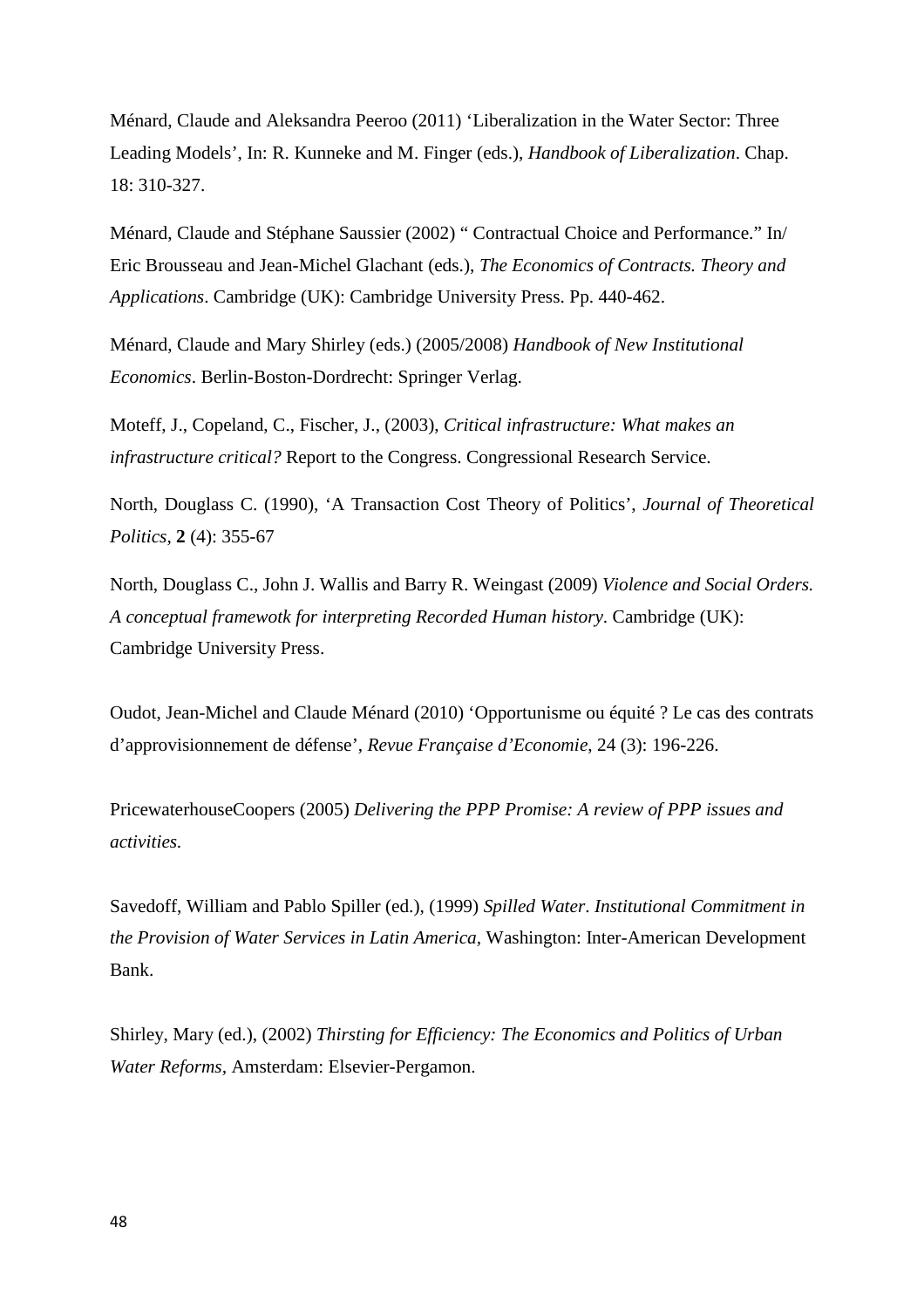Ménard, Claude and Aleksandra Peeroo (2011) 'Liberalization in the Water Sector: Three Leading Models', In: R. Kunneke and M. Finger (eds.), *Handbook of Liberalization*. Chap. 18: 310-327.

Ménard, Claude and Stéphane Saussier (2002) " Contractual Choice and Performance." In/ Eric Brousseau and Jean-Michel Glachant (eds.), *The Economics of Contracts. Theory and Applications*. Cambridge (UK): Cambridge University Press. Pp. 440-462.

Ménard, Claude and Mary Shirley (eds.) (2005/2008) *Handbook of New Institutional Economics*. Berlin-Boston-Dordrecht: Springer Verlag.

Moteff, J., Copeland, C., Fischer, J., (2003), *Critical infrastructure: What makes an infrastructure critical?* Report to the Congress. Congressional Research Service.

North, Douglass C. (1990), 'A Transaction Cost Theory of Politics', *Journal of Theoretical Politics*, **2** (4): 355-67

North, Douglass C., John J. Wallis and Barry R. Weingast (2009) *Violence and Social Orders. A conceptual framewotk for interpreting Recorded Human history*. Cambridge (UK): Cambridge University Press.

Oudot, Jean-Michel and Claude Ménard (2010) 'Opportunisme ou équité ? Le cas des contrats d'approvisionnement de défense', *Revue Française d'Economie*, 24 (3): 196-226.

PricewaterhouseCoopers (2005) *Delivering the PPP Promise: A review of PPP issues and activities.* 

Savedoff, William and Pablo Spiller (ed.), (1999) *Spilled Water*. *Institutional Commitment in the Provision of Water Services in Latin America,* Washington: Inter-American Development Bank.

Shirley, Mary (ed.), (2002) *Thirsting for Efficiency: The Economics and Politics of Urban Water Reforms,* Amsterdam: Elsevier-Pergamon.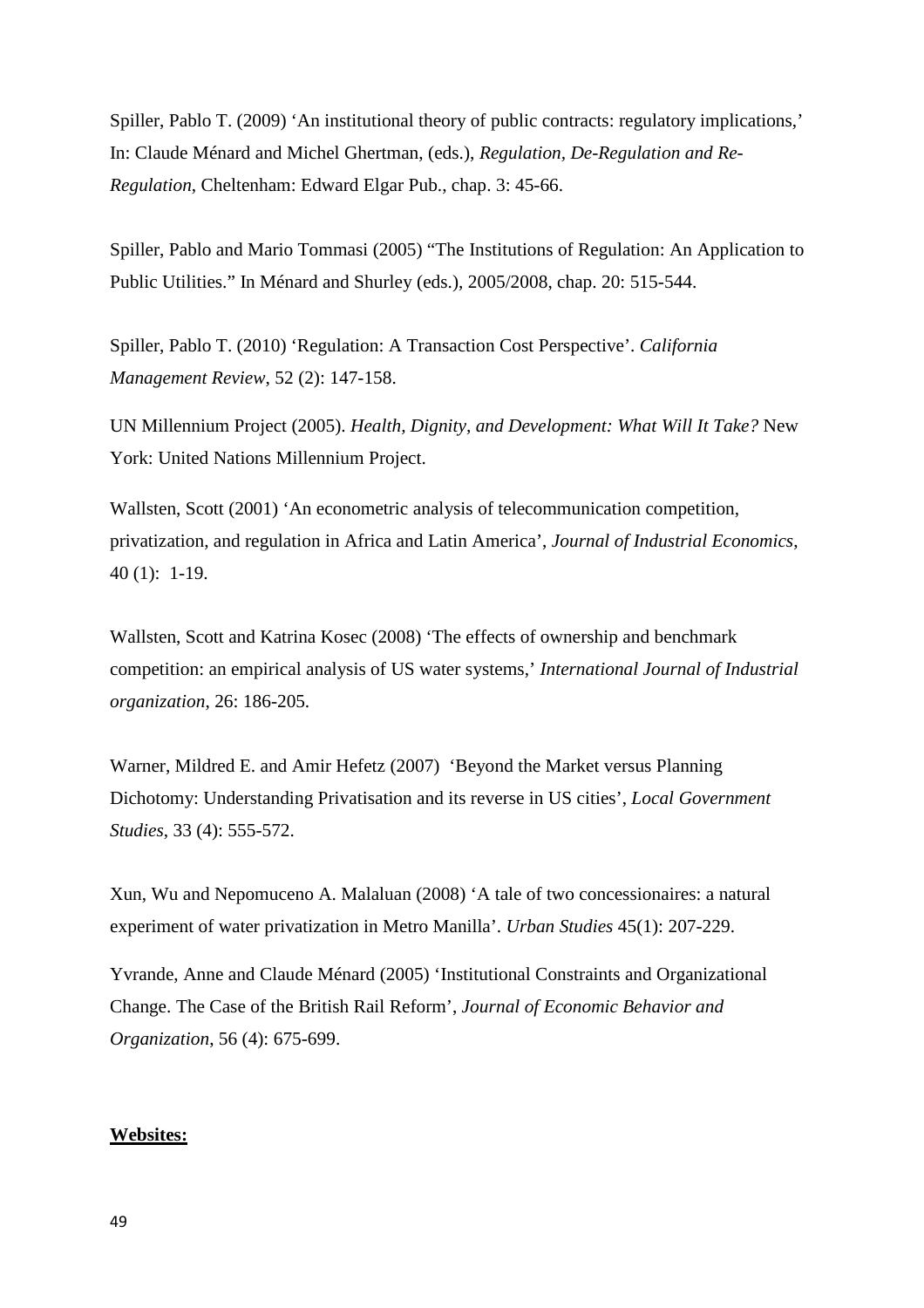Spiller, Pablo T. (2009) 'An institutional theory of public contracts: regulatory implications,' In: Claude Ménard and Michel Ghertman, (eds.), *Regulation, De-Regulation and Re-Regulation*, Cheltenham: Edward Elgar Pub., chap. 3: 45-66.

Spiller, Pablo and Mario Tommasi (2005) "The Institutions of Regulation: An Application to Public Utilities." In Ménard and Shurley (eds.), 2005/2008, chap. 20: 515-544.

Spiller, Pablo T. (2010) 'Regulation: A Transaction Cost Perspective'. *California Management Review*, 52 (2): 147-158.

UN Millennium Project (2005). *Health, Dignity, and Development: What Will It Take?* New York: United Nations Millennium Project.

Wallsten, Scott (2001) 'An econometric analysis of telecommunication competition, privatization, and regulation in Africa and Latin America', *Journal of Industrial Economics*, 40 (1): 1-19.

Wallsten, Scott and Katrina Kosec (2008) 'The effects of ownership and benchmark competition: an empirical analysis of US water systems,' *International Journal of Industrial organization*, 26: 186-205.

Warner, Mildred E. and Amir Hefetz (2007) 'Beyond the Market versus Planning Dichotomy: Understanding Privatisation and its reverse in US cities', *Local Government Studies*, 33 (4): 555-572.

Xun, Wu and Nepomuceno A. Malaluan (2008) 'A tale of two concessionaires: a natural experiment of water privatization in Metro Manilla'. *Urban Studies* 45(1): 207-229.

Yvrande, Anne and Claude Ménard (2005) 'Institutional Constraints and Organizational Change. The Case of the British Rail Reform', *Journal of Economic Behavior and Organization*, 56 (4): 675-699.

#### **Websites:**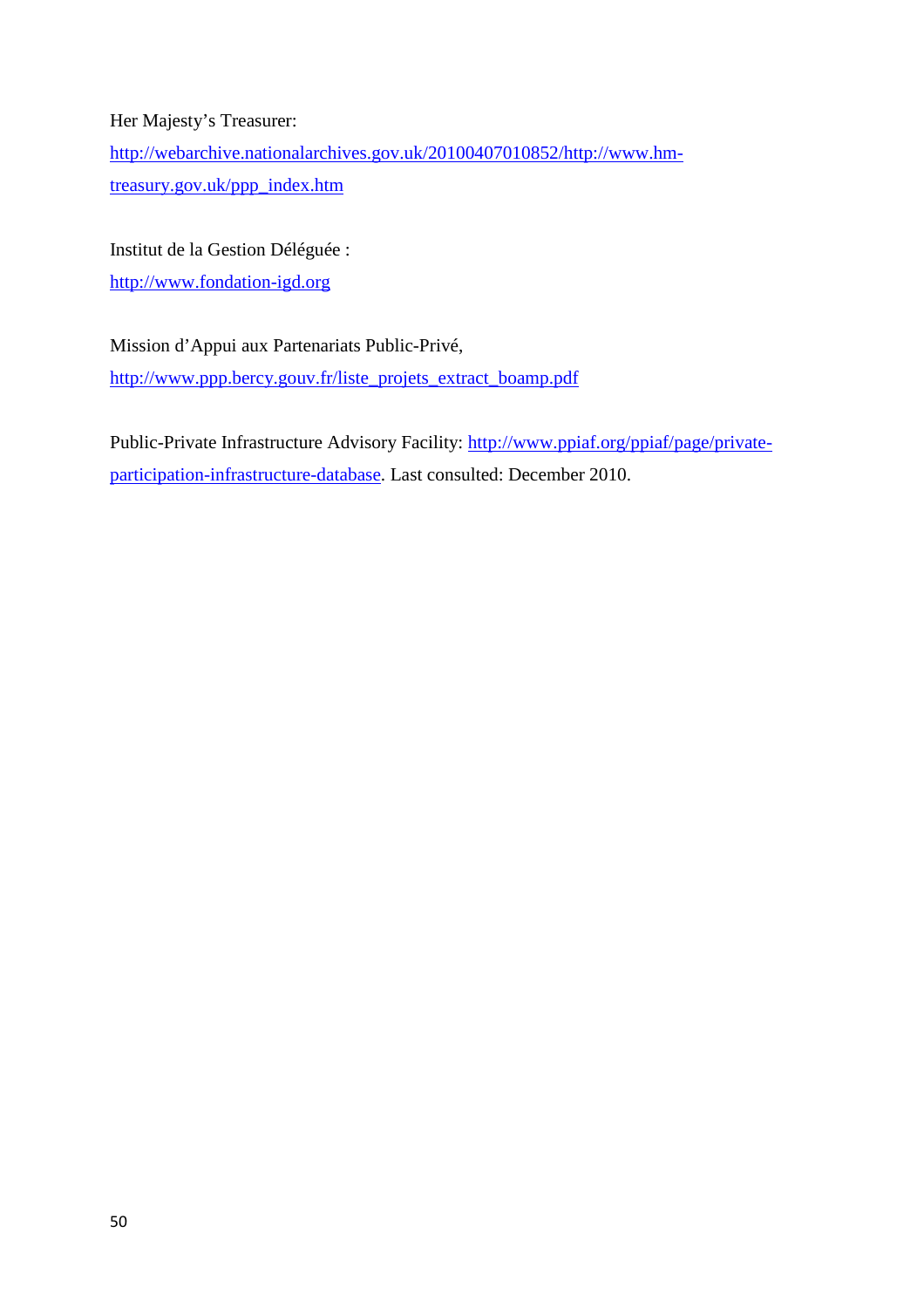Her Majesty's Treasurer:

http://webarchive.nationalarchives.gov.uk/20100407010852/http://www.hmtreasury.gov.uk/ppp\_index.htm

Institut de la Gestion Déléguée :

http://www.fondation-igd.org

Mission d'Appui aux Partenariats Public-Privé, http://www.ppp.bercy.gouv.fr/liste\_projets\_extract\_boamp.pdf

Public-Private Infrastructure Advisory Facility: http://www.ppiaf.org/ppiaf/page/privateparticipation-infrastructure-database. Last consulted: December 2010.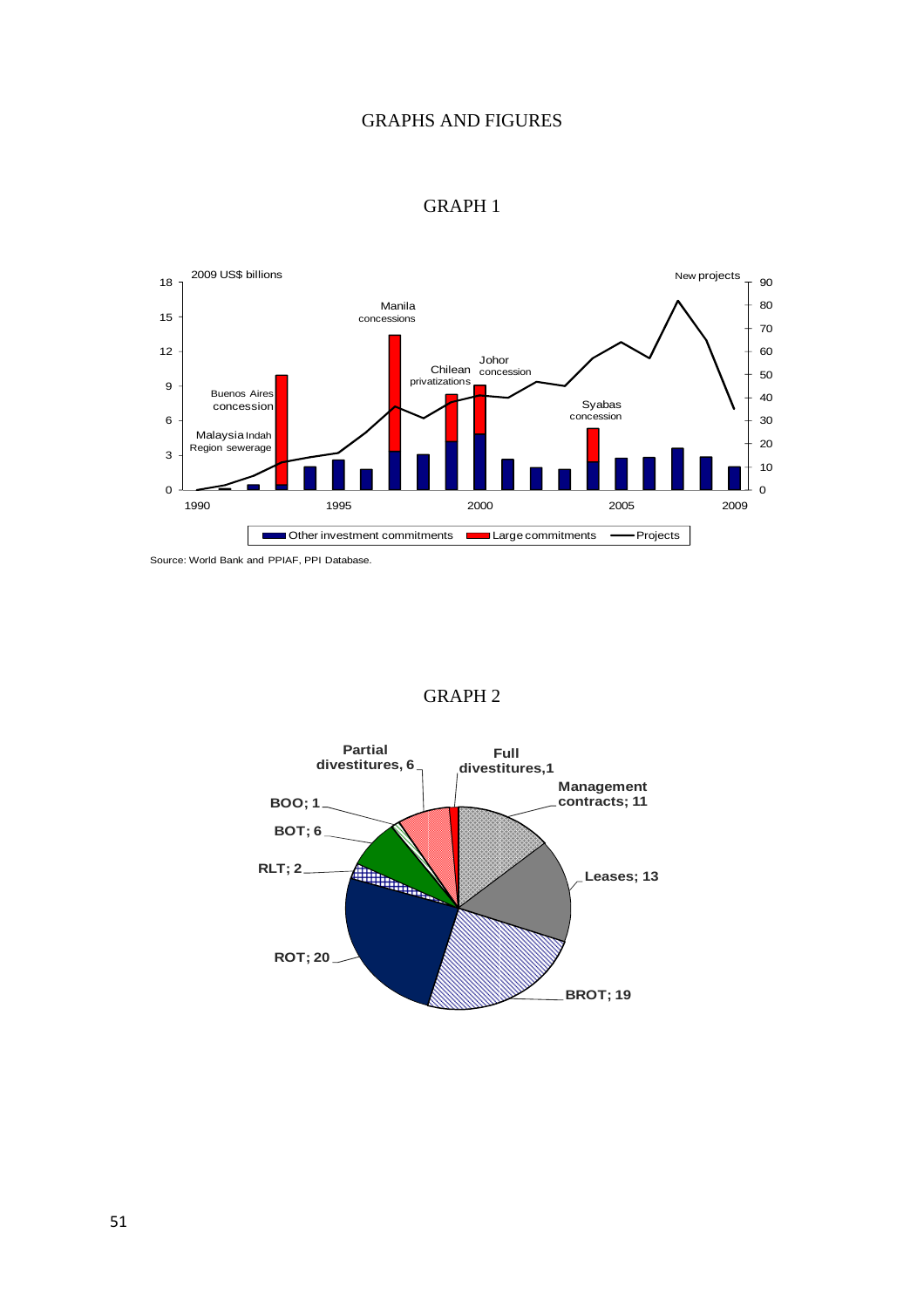## GRAPHS AND FIGURES



### GRAPH 1

Source: World Bank and PPIAF, PPI Database.